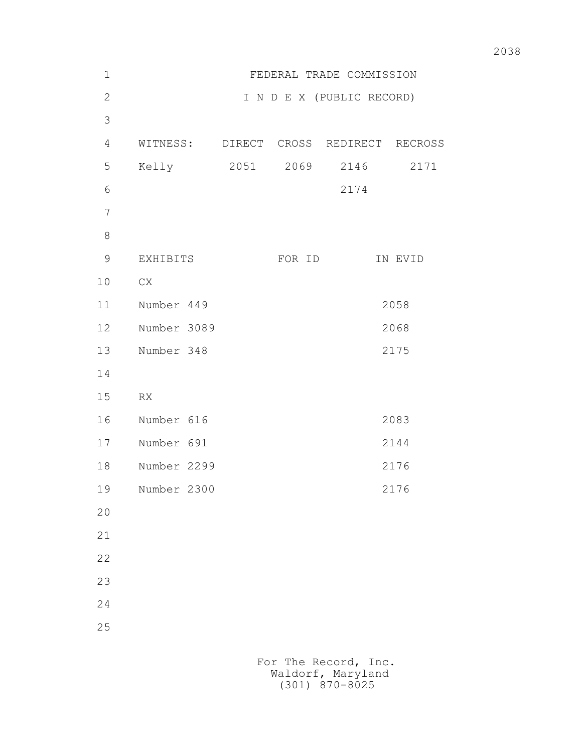| $1\,$          | FEDERAL TRADE COMMISSION               |  |        |                           |         |
|----------------|----------------------------------------|--|--------|---------------------------|---------|
| $\mathbf{2}$   |                                        |  |        | I N D E X (PUBLIC RECORD) |         |
| 3              |                                        |  |        |                           |         |
| $\overline{4}$ | WITNESS: DIRECT CROSS REDIRECT RECROSS |  |        |                           |         |
| 5              | Kelly 2051 2069                        |  |        | 2146                      | 2171    |
| $\sqrt{6}$     |                                        |  |        | 2174                      |         |
| $\overline{7}$ |                                        |  |        |                           |         |
| $8\,$          |                                        |  |        |                           |         |
| $\mathsf 9$    | EXHIBITS                               |  | FOR ID |                           | IN EVID |
| 10             | CX                                     |  |        |                           |         |
| 11             | Number 449                             |  |        |                           | 2058    |
| 12             | Number 3089                            |  |        |                           | 2068    |
| 13             | Number 348                             |  |        |                           | 2175    |
| 14             |                                        |  |        |                           |         |
| 15             | RX                                     |  |        |                           |         |
| 16             | Number 616                             |  |        |                           | 2083    |
| 17             | Number 691                             |  |        |                           | 2144    |
| 18             | Number 2299                            |  |        |                           | 2176    |
| 19             | Number 2300                            |  |        |                           | 2176    |
| 20             |                                        |  |        |                           |         |
| 21             |                                        |  |        |                           |         |
| 22             |                                        |  |        |                           |         |
| 23             |                                        |  |        |                           |         |
| 24             |                                        |  |        |                           |         |
| 25             |                                        |  |        |                           |         |
|                |                                        |  |        |                           |         |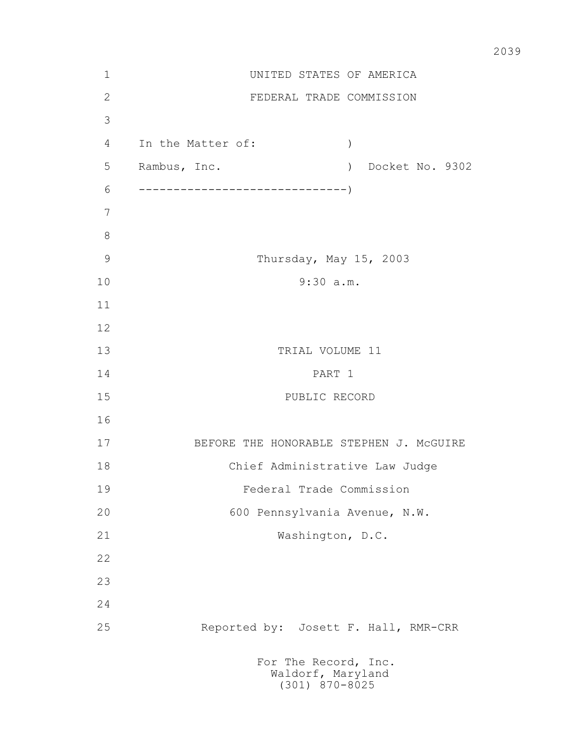| $\mathbf 1$   | UNITED STATES OF AMERICA                                      |  |  |  |  |
|---------------|---------------------------------------------------------------|--|--|--|--|
| $\sqrt{2}$    | FEDERAL TRADE COMMISSION                                      |  |  |  |  |
| 3             |                                                               |  |  |  |  |
| 4             | In the Matter of:<br>$\big)$                                  |  |  |  |  |
| 5             | Rambus, Inc.<br>Docket No. 9302<br>$\left( \right)$           |  |  |  |  |
| 6             |                                                               |  |  |  |  |
| 7             |                                                               |  |  |  |  |
| $8\,$         |                                                               |  |  |  |  |
| $\mathcal{G}$ | Thursday, May 15, 2003                                        |  |  |  |  |
| 10            | 9:30 a.m.                                                     |  |  |  |  |
| 11            |                                                               |  |  |  |  |
| 12            |                                                               |  |  |  |  |
| 13            | TRIAL VOLUME 11                                               |  |  |  |  |
| 14            | PART 1                                                        |  |  |  |  |
| 15            | PUBLIC RECORD                                                 |  |  |  |  |
| 16            |                                                               |  |  |  |  |
| 17            | BEFORE THE HONORABLE STEPHEN J. MCGUIRE                       |  |  |  |  |
| 18            | Chief Administrative Law Judge                                |  |  |  |  |
| 19            | Federal Trade Commission                                      |  |  |  |  |
| 20            | 600 Pennsylvania Avenue, N.W.                                 |  |  |  |  |
| 21            | Washington, D.C.                                              |  |  |  |  |
| 22            |                                                               |  |  |  |  |
| 23            |                                                               |  |  |  |  |
| 24            |                                                               |  |  |  |  |
| 25            | Reported by: Josett F. Hall, RMR-CRR                          |  |  |  |  |
|               | For The Record, Inc.<br>Waldorf, Maryland<br>$(301)$ 870-8025 |  |  |  |  |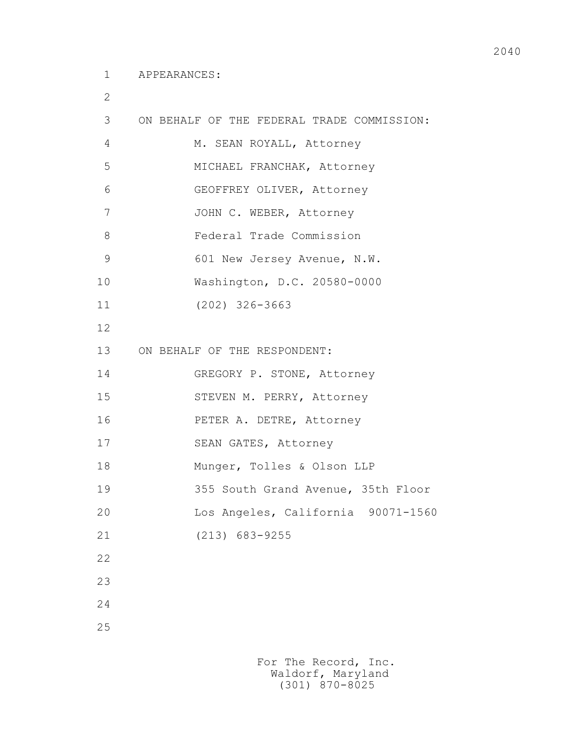2

| 3             | ON BEHALF OF THE FEDERAL TRADE COMMISSION: |
|---------------|--------------------------------------------|
| 4             | M. SEAN ROYALL, Attorney                   |
| 5             | MICHAEL FRANCHAK, Attorney                 |
| 6             | GEOFFREY OLIVER, Attorney                  |
| 7             | JOHN C. WEBER, Attorney                    |
| 8             | Federal Trade Commission                   |
| $\mathcal{G}$ | 601 New Jersey Avenue, N.W.                |
| 10            | Washington, D.C. 20580-0000                |
| 11            | $(202)$ 326-3663                           |
| 12            |                                            |
| 13            | ON BEHALF OF THE RESPONDENT:               |
| 14            | GREGORY P. STONE, Attorney                 |
| 15            | STEVEN M. PERRY, Attorney                  |
| 16            | PETER A. DETRE, Attorney                   |
| 17            | SEAN GATES, Attorney                       |
| 18            | Munger, Tolles & Olson LLP                 |
| 19            | 355 South Grand Avenue, 35th Floor         |
| 20            | Los Angeles, California 90071-1560         |
| 21            | $(213)$ 683-9255                           |
| 22            |                                            |
| 23            |                                            |
| 24            |                                            |
| 25            |                                            |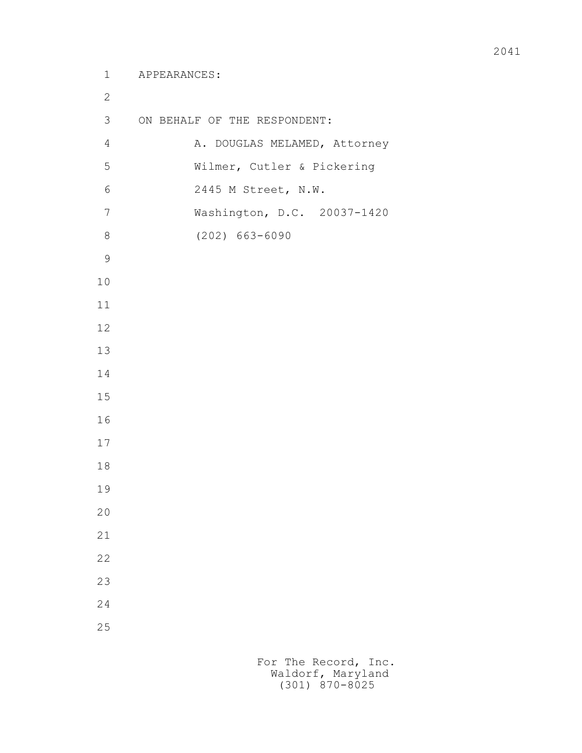```
 1 APPEARANCES:
2
        3 ON BEHALF OF THE RESPONDENT:
       4 A. DOUGLAS MELAMED, Attorney
        5 Wilmer, Cutler & Pickering
        6 2445 M Street, N.W.
        7 Washington, D.C. 20037-1420
        8 (202) 663-6090
9
       10
       11
       12
       13
       14
       15
       16
       17
       18
       19
       20
       21
       22
       23
       24
       25
```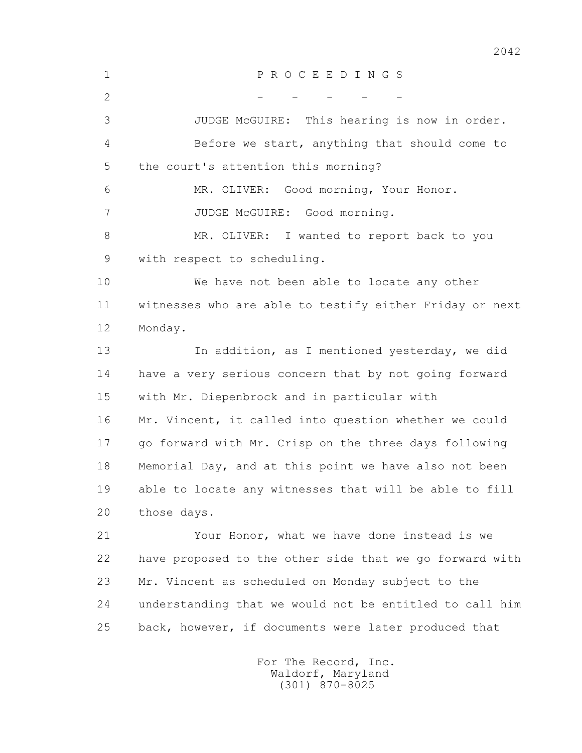1 P R O C E E D I N G S  $2$  - - - - - 3 JUDGE McGUIRE: This hearing is now in order. 4 Before we start, anything that should come to 5 the court's attention this morning? 6 MR. OLIVER: Good morning, Your Honor. 7 JUDGE McGUIRE: Good morning. 8 MR. OLIVER: I wanted to report back to you 9 with respect to scheduling. 10 We have not been able to locate any other 11 witnesses who are able to testify either Friday or next 12 Monday. 13 In addition, as I mentioned yesterday, we did 14 have a very serious concern that by not going forward 15 with Mr. Diepenbrock and in particular with 16 Mr. Vincent, it called into question whether we could 17 go forward with Mr. Crisp on the three days following 18 Memorial Day, and at this point we have also not been 19 able to locate any witnesses that will be able to fill 20 those days. 21 Your Honor, what we have done instead is we 22 have proposed to the other side that we go forward with 23 Mr. Vincent as scheduled on Monday subject to the 24 understanding that we would not be entitled to call him 25 back, however, if documents were later produced that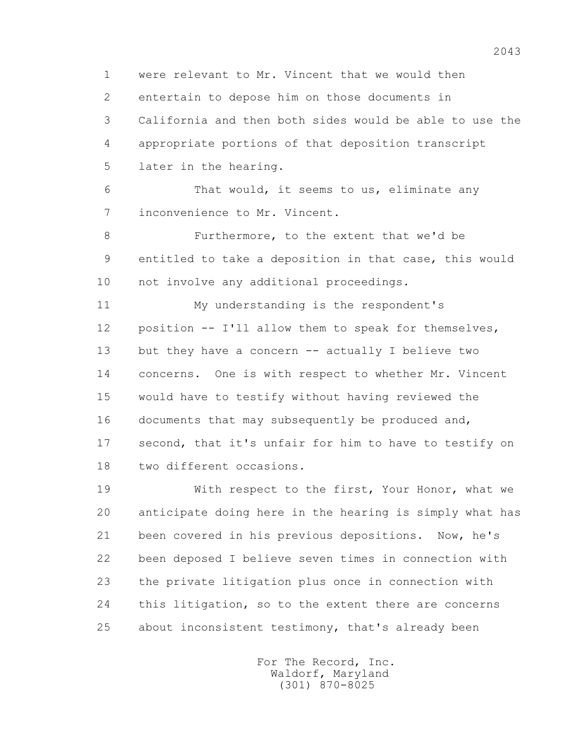1 were relevant to Mr. Vincent that we would then 2 entertain to depose him on those documents in 3 California and then both sides would be able to use the 4 appropriate portions of that deposition transcript 5 later in the hearing.

 6 That would, it seems to us, eliminate any 7 inconvenience to Mr. Vincent.

 8 Furthermore, to the extent that we'd be 9 entitled to take a deposition in that case, this would 10 not involve any additional proceedings.

 11 My understanding is the respondent's 12 position -- I'll allow them to speak for themselves, 13 but they have a concern -- actually I believe two 14 concerns. One is with respect to whether Mr. Vincent 15 would have to testify without having reviewed the 16 documents that may subsequently be produced and, 17 second, that it's unfair for him to have to testify on 18 two different occasions.

 19 With respect to the first, Your Honor, what we 20 anticipate doing here in the hearing is simply what has 21 been covered in his previous depositions. Now, he's 22 been deposed I believe seven times in connection with 23 the private litigation plus once in connection with 24 this litigation, so to the extent there are concerns 25 about inconsistent testimony, that's already been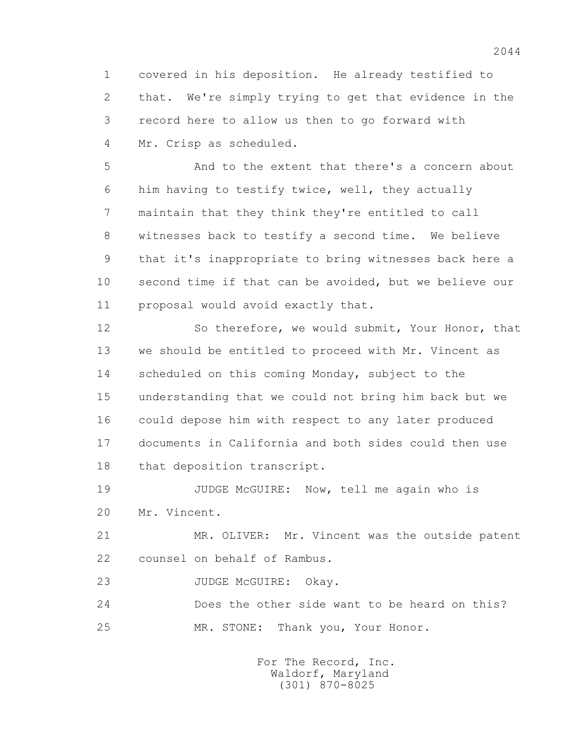1 covered in his deposition. He already testified to 2 that. We're simply trying to get that evidence in the 3 record here to allow us then to go forward with 4 Mr. Crisp as scheduled.

 5 And to the extent that there's a concern about 6 him having to testify twice, well, they actually 7 maintain that they think they're entitled to call 8 witnesses back to testify a second time. We believe 9 that it's inappropriate to bring witnesses back here a 10 second time if that can be avoided, but we believe our 11 proposal would avoid exactly that.

 12 So therefore, we would submit, Your Honor, that 13 we should be entitled to proceed with Mr. Vincent as 14 scheduled on this coming Monday, subject to the 15 understanding that we could not bring him back but we 16 could depose him with respect to any later produced 17 documents in California and both sides could then use 18 that deposition transcript.

19 JUDGE McGUIRE: Now, tell me again who is 20 Mr. Vincent.

 21 MR. OLIVER: Mr. Vincent was the outside patent 22 counsel on behalf of Rambus.

23 JUDGE McGUIRE: Okay.

 24 Does the other side want to be heard on this? 25 MR. STONE: Thank you, Your Honor.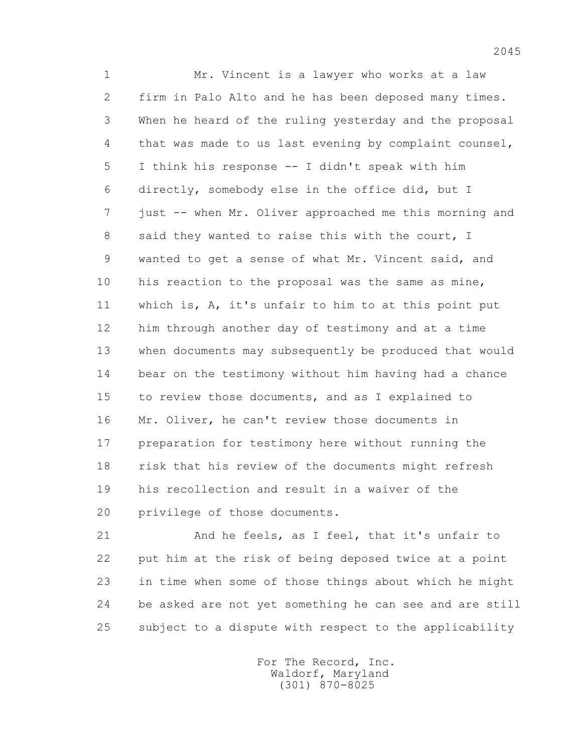1 Mr. Vincent is a lawyer who works at a law 2 firm in Palo Alto and he has been deposed many times. 3 When he heard of the ruling yesterday and the proposal 4 that was made to us last evening by complaint counsel, 5 I think his response -- I didn't speak with him 6 directly, somebody else in the office did, but I 7 just -- when Mr. Oliver approached me this morning and 8 said they wanted to raise this with the court, I 9 wanted to get a sense of what Mr. Vincent said, and 10 his reaction to the proposal was the same as mine, 11 which is, A, it's unfair to him to at this point put 12 him through another day of testimony and at a time 13 when documents may subsequently be produced that would 14 bear on the testimony without him having had a chance 15 to review those documents, and as I explained to 16 Mr. Oliver, he can't review those documents in 17 preparation for testimony here without running the 18 risk that his review of the documents might refresh 19 his recollection and result in a waiver of the 20 privilege of those documents.

 21 And he feels, as I feel, that it's unfair to 22 put him at the risk of being deposed twice at a point 23 in time when some of those things about which he might 24 be asked are not yet something he can see and are still 25 subject to a dispute with respect to the applicability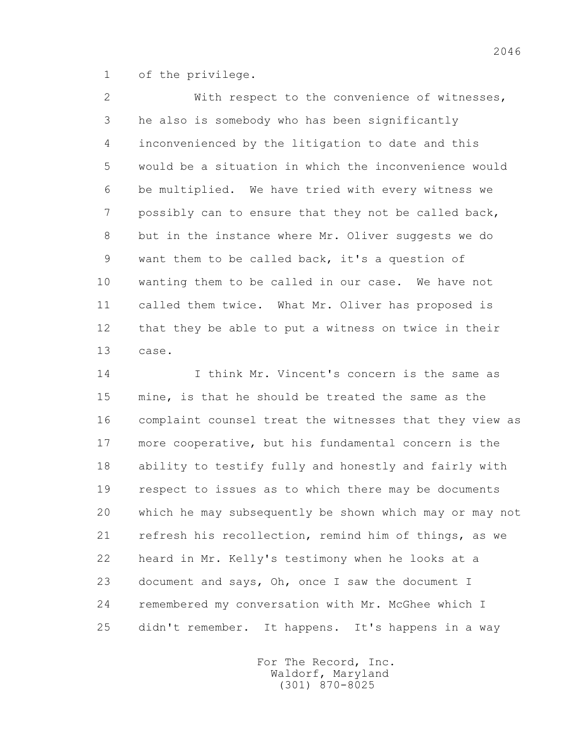1 of the privilege.

 2 With respect to the convenience of witnesses, 3 he also is somebody who has been significantly 4 inconvenienced by the litigation to date and this 5 would be a situation in which the inconvenience would 6 be multiplied. We have tried with every witness we 7 possibly can to ensure that they not be called back, 8 but in the instance where Mr. Oliver suggests we do 9 want them to be called back, it's a question of 10 wanting them to be called in our case. We have not 11 called them twice. What Mr. Oliver has proposed is 12 that they be able to put a witness on twice in their 13 case.

 14 I think Mr. Vincent's concern is the same as 15 mine, is that he should be treated the same as the 16 complaint counsel treat the witnesses that they view as 17 more cooperative, but his fundamental concern is the 18 ability to testify fully and honestly and fairly with 19 respect to issues as to which there may be documents 20 which he may subsequently be shown which may or may not 21 refresh his recollection, remind him of things, as we 22 heard in Mr. Kelly's testimony when he looks at a 23 document and says, Oh, once I saw the document I 24 remembered my conversation with Mr. McGhee which I 25 didn't remember. It happens. It's happens in a way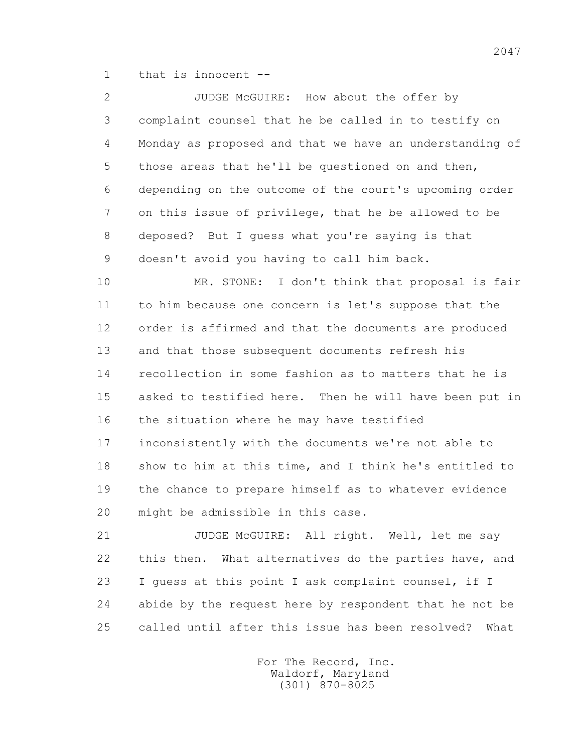1 that is innocent --

 2 JUDGE McGUIRE: How about the offer by 3 complaint counsel that he be called in to testify on 4 Monday as proposed and that we have an understanding of 5 those areas that he'll be questioned on and then, 6 depending on the outcome of the court's upcoming order 7 on this issue of privilege, that he be allowed to be 8 deposed? But I guess what you're saying is that 9 doesn't avoid you having to call him back.

 10 MR. STONE: I don't think that proposal is fair 11 to him because one concern is let's suppose that the 12 order is affirmed and that the documents are produced 13 and that those subsequent documents refresh his 14 recollection in some fashion as to matters that he is 15 asked to testified here. Then he will have been put in 16 the situation where he may have testified 17 inconsistently with the documents we're not able to 18 show to him at this time, and I think he's entitled to 19 the chance to prepare himself as to whatever evidence 20 might be admissible in this case.

 21 JUDGE McGUIRE: All right. Well, let me say 22 this then. What alternatives do the parties have, and 23 I guess at this point I ask complaint counsel, if I 24 abide by the request here by respondent that he not be 25 called until after this issue has been resolved? What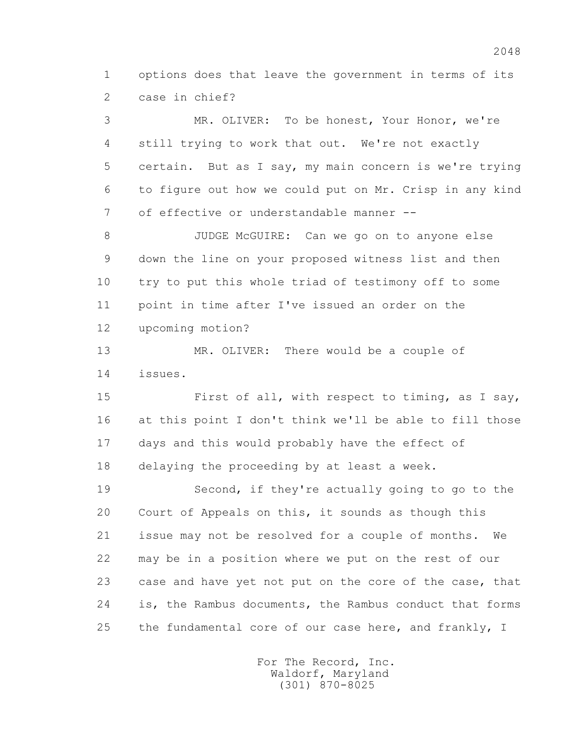1 options does that leave the government in terms of its 2 case in chief?

 3 MR. OLIVER: To be honest, Your Honor, we're 4 still trying to work that out. We're not exactly 5 certain. But as I say, my main concern is we're trying 6 to figure out how we could put on Mr. Crisp in any kind 7 of effective or understandable manner --

 8 JUDGE McGUIRE: Can we go on to anyone else 9 down the line on your proposed witness list and then 10 try to put this whole triad of testimony off to some 11 point in time after I've issued an order on the 12 upcoming motion?

 13 MR. OLIVER: There would be a couple of 14 issues.

 15 First of all, with respect to timing, as I say, 16 at this point I don't think we'll be able to fill those 17 days and this would probably have the effect of 18 delaying the proceeding by at least a week.

 19 Second, if they're actually going to go to the 20 Court of Appeals on this, it sounds as though this 21 issue may not be resolved for a couple of months. We 22 may be in a position where we put on the rest of our 23 case and have yet not put on the core of the case, that 24 is, the Rambus documents, the Rambus conduct that forms 25 the fundamental core of our case here, and frankly, I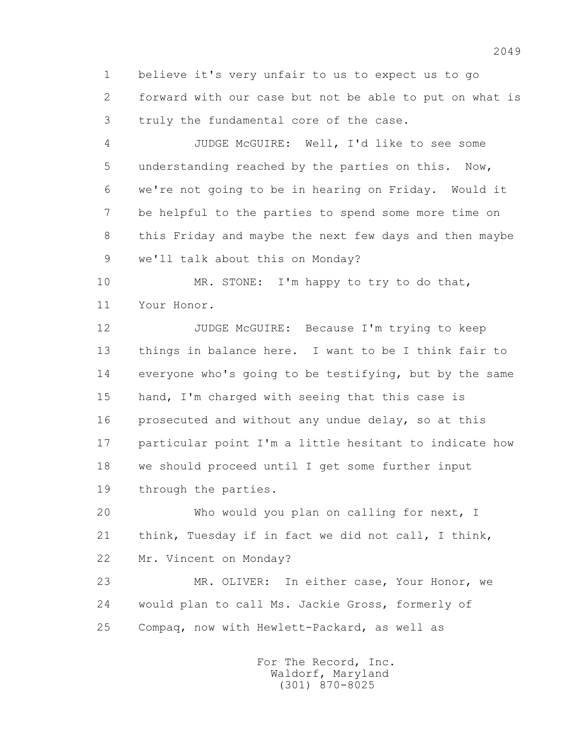1 believe it's very unfair to us to expect us to go 2 forward with our case but not be able to put on what is 3 truly the fundamental core of the case.

 4 JUDGE McGUIRE: Well, I'd like to see some 5 understanding reached by the parties on this. Now, 6 we're not going to be in hearing on Friday. Would it 7 be helpful to the parties to spend some more time on 8 this Friday and maybe the next few days and then maybe 9 we'll talk about this on Monday?

10 MR. STONE: I'm happy to try to do that, 11 Your Honor.

 12 JUDGE McGUIRE: Because I'm trying to keep 13 things in balance here. I want to be I think fair to 14 everyone who's going to be testifying, but by the same 15 hand, I'm charged with seeing that this case is 16 prosecuted and without any undue delay, so at this 17 particular point I'm a little hesitant to indicate how 18 we should proceed until I get some further input 19 through the parties.

 20 Who would you plan on calling for next, I 21 think, Tuesday if in fact we did not call, I think, 22 Mr. Vincent on Monday?

 23 MR. OLIVER: In either case, Your Honor, we 24 would plan to call Ms. Jackie Gross, formerly of 25 Compaq, now with Hewlett-Packard, as well as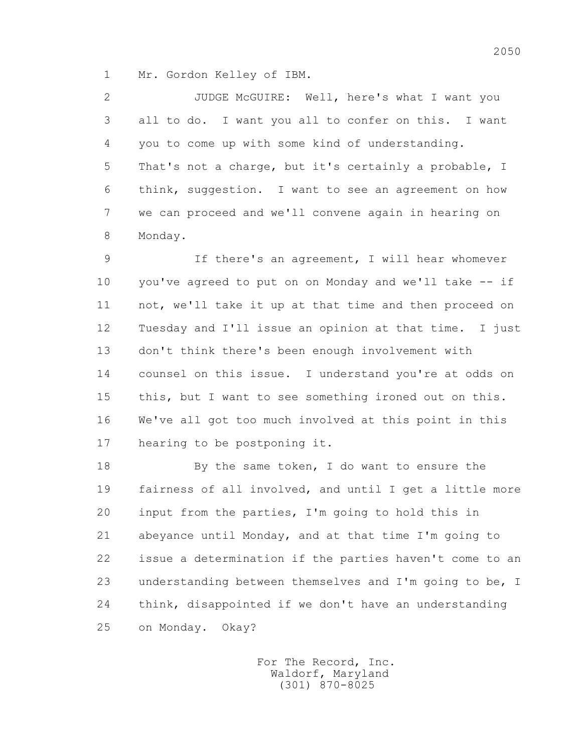1 Mr. Gordon Kelley of IBM.

 2 JUDGE McGUIRE: Well, here's what I want you 3 all to do. I want you all to confer on this. I want 4 you to come up with some kind of understanding. 5 That's not a charge, but it's certainly a probable, I 6 think, suggestion. I want to see an agreement on how 7 we can proceed and we'll convene again in hearing on 8 Monday.

 9 If there's an agreement, I will hear whomever 10 you've agreed to put on on Monday and we'll take -- if 11 not, we'll take it up at that time and then proceed on 12 Tuesday and I'll issue an opinion at that time. I just 13 don't think there's been enough involvement with 14 counsel on this issue. I understand you're at odds on 15 this, but I want to see something ironed out on this. 16 We've all got too much involved at this point in this 17 hearing to be postponing it.

 18 By the same token, I do want to ensure the 19 fairness of all involved, and until I get a little more 20 input from the parties, I'm going to hold this in 21 abeyance until Monday, and at that time I'm going to 22 issue a determination if the parties haven't come to an 23 understanding between themselves and I'm going to be, I 24 think, disappointed if we don't have an understanding 25 on Monday. Okay?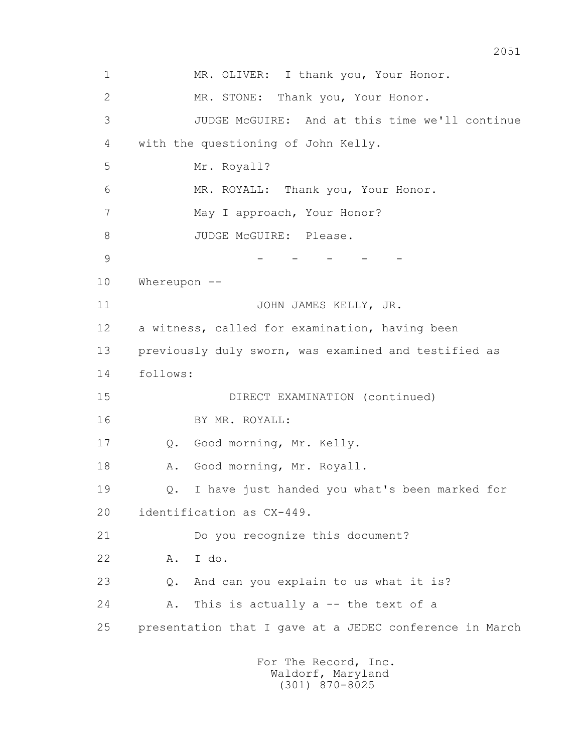1 MR. OLIVER: I thank you, Your Honor. 2 MR. STONE: Thank you, Your Honor. 3 JUDGE McGUIRE: And at this time we'll continue 4 with the questioning of John Kelly. 5 Mr. Royall? 6 MR. ROYALL: Thank you, Your Honor. 7 May I approach, Your Honor? 8 JUDGE McGUIRE: Please. 9 - - - - - 10 Whereupon -- 11 JOHN JAMES KELLY, JR. 12 a witness, called for examination, having been 13 previously duly sworn, was examined and testified as 14 follows: 15 DIRECT EXAMINATION (continued) 16 BY MR. ROYALL: 17 Q. Good morning, Mr. Kelly. 18 A. Good morning, Mr. Royall. 19 Q. I have just handed you what's been marked for 20 identification as CX-449. 21 Do you recognize this document? 22 A. I do. 23 Q. And can you explain to us what it is? 24 A. This is actually a -- the text of a 25 presentation that I gave at a JEDEC conference in March For The Record, Inc.

2051

 Waldorf, Maryland (301) 870-8025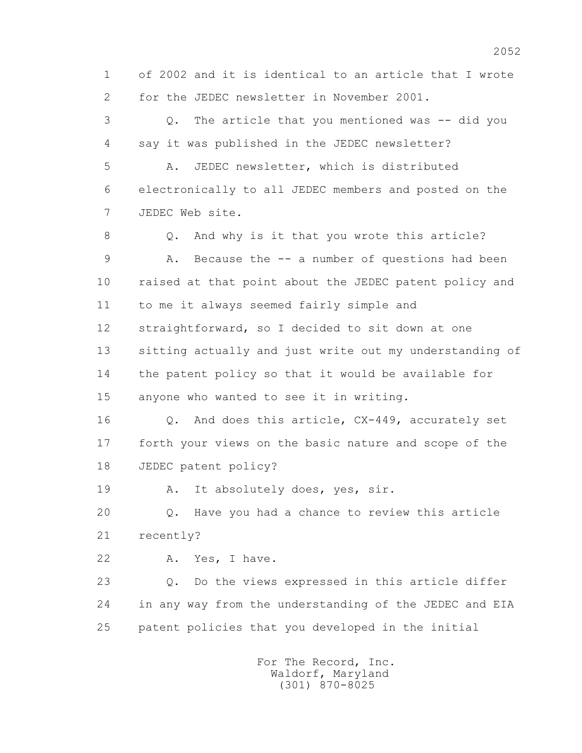1 of 2002 and it is identical to an article that I wrote 2 for the JEDEC newsletter in November 2001.

 3 Q. The article that you mentioned was -- did you 4 say it was published in the JEDEC newsletter? 5 A. JEDEC newsletter, which is distributed 6 electronically to all JEDEC members and posted on the 7 JEDEC Web site. 8 Q. And why is it that you wrote this article? 9 A. Because the -- a number of questions had been 10 raised at that point about the JEDEC patent policy and 11 to me it always seemed fairly simple and 12 straightforward, so I decided to sit down at one 13 sitting actually and just write out my understanding of 14 the patent policy so that it would be available for 15 anyone who wanted to see it in writing.

 16 Q. And does this article, CX-449, accurately set 17 forth your views on the basic nature and scope of the 18 JEDEC patent policy?

19 A. It absolutely does, yes, sir.

 20 Q. Have you had a chance to review this article 21 recently?

22 A. Yes, I have.

 23 Q. Do the views expressed in this article differ 24 in any way from the understanding of the JEDEC and EIA 25 patent policies that you developed in the initial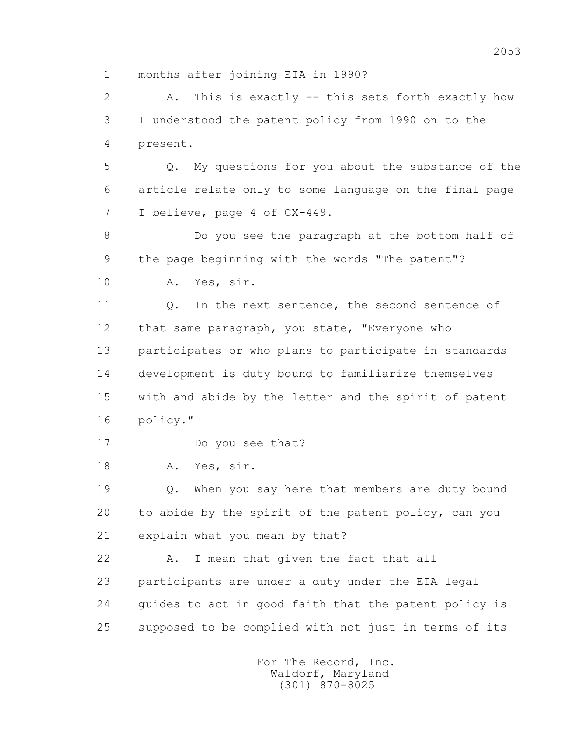1 months after joining EIA in 1990?

 2 A. This is exactly -- this sets forth exactly how 3 I understood the patent policy from 1990 on to the 4 present.

 5 Q. My questions for you about the substance of the 6 article relate only to some language on the final page 7 I believe, page 4 of CX-449.

 8 Do you see the paragraph at the bottom half of 9 the page beginning with the words "The patent"?

10 A. Yes, sir.

11 0. In the next sentence, the second sentence of 12 that same paragraph, you state, "Everyone who 13 participates or who plans to participate in standards 14 development is duty bound to familiarize themselves 15 with and abide by the letter and the spirit of patent 16 policy."

17 Do you see that?

18 A. Yes, sir.

 19 Q. When you say here that members are duty bound 20 to abide by the spirit of the patent policy, can you 21 explain what you mean by that?

 22 A. I mean that given the fact that all 23 participants are under a duty under the EIA legal 24 guides to act in good faith that the patent policy is 25 supposed to be complied with not just in terms of its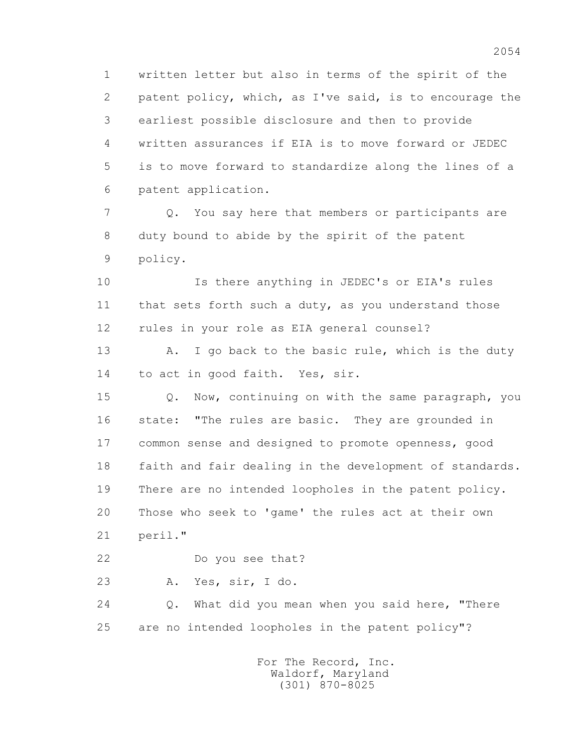1 written letter but also in terms of the spirit of the 2 patent policy, which, as I've said, is to encourage the 3 earliest possible disclosure and then to provide 4 written assurances if EIA is to move forward or JEDEC 5 is to move forward to standardize along the lines of a 6 patent application.

 7 Q. You say here that members or participants are 8 duty bound to abide by the spirit of the patent 9 policy.

 10 Is there anything in JEDEC's or EIA's rules 11 that sets forth such a duty, as you understand those 12 rules in your role as EIA general counsel?

 13 A. I go back to the basic rule, which is the duty 14 to act in good faith. Yes, sir.

 15 Q. Now, continuing on with the same paragraph, you 16 state: "The rules are basic. They are grounded in 17 common sense and designed to promote openness, good 18 faith and fair dealing in the development of standards. 19 There are no intended loopholes in the patent policy. 20 Those who seek to 'game' the rules act at their own 21 peril."

22 Do you see that?

23 A. Yes, sir, I do.

 24 Q. What did you mean when you said here, "There 25 are no intended loopholes in the patent policy"?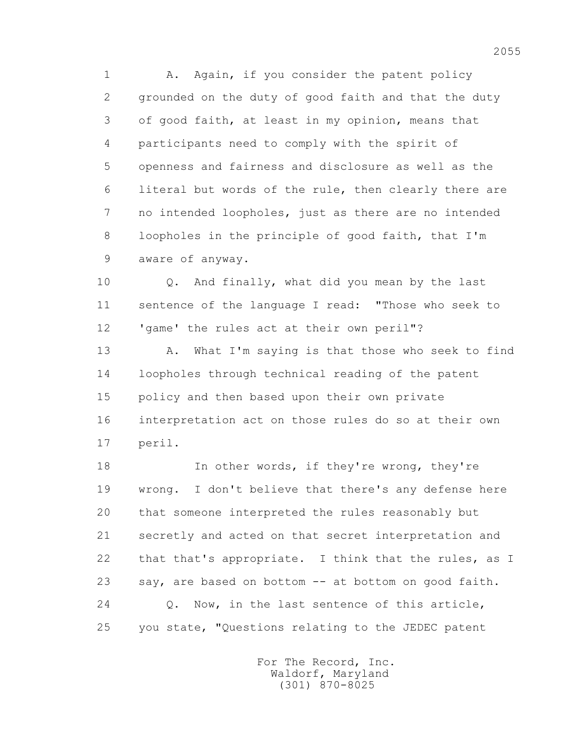1 A. Again, if you consider the patent policy 2 grounded on the duty of good faith and that the duty 3 of good faith, at least in my opinion, means that 4 participants need to comply with the spirit of 5 openness and fairness and disclosure as well as the 6 literal but words of the rule, then clearly there are 7 no intended loopholes, just as there are no intended 8 loopholes in the principle of good faith, that I'm 9 aware of anyway.

 10 Q. And finally, what did you mean by the last 11 sentence of the language I read: "Those who seek to 12 'game' the rules act at their own peril"?

13 A. What I'm saying is that those who seek to find 14 loopholes through technical reading of the patent 15 policy and then based upon their own private 16 interpretation act on those rules do so at their own 17 peril.

18 In other words, if they're wrong, they're 19 wrong. I don't believe that there's any defense here 20 that someone interpreted the rules reasonably but 21 secretly and acted on that secret interpretation and 22 that that's appropriate. I think that the rules, as I 23 say, are based on bottom -- at bottom on good faith. 24 Q. Now, in the last sentence of this article, 25 you state, "Questions relating to the JEDEC patent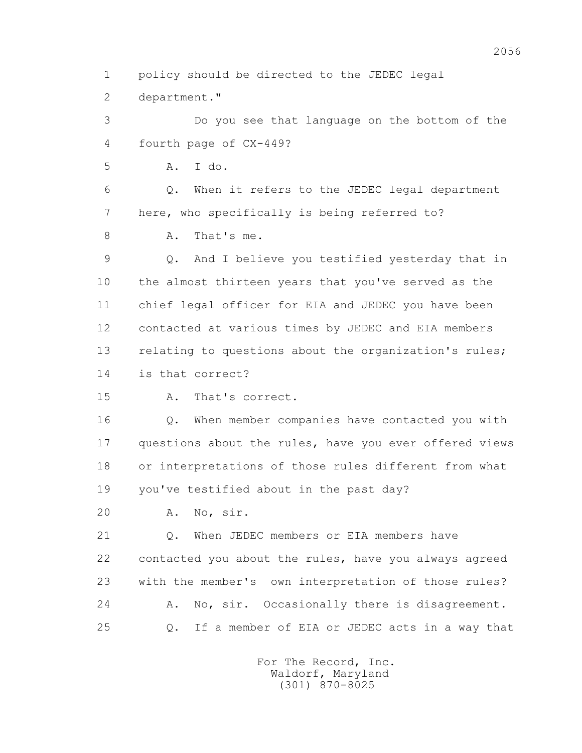1 policy should be directed to the JEDEC legal

2 department."

 3 Do you see that language on the bottom of the 4 fourth page of CX-449?

5 A. I do.

 6 Q. When it refers to the JEDEC legal department 7 here, who specifically is being referred to?

8 A. That's me.

 9 Q. And I believe you testified yesterday that in 10 the almost thirteen years that you've served as the 11 chief legal officer for EIA and JEDEC you have been 12 contacted at various times by JEDEC and EIA members 13 relating to questions about the organization's rules; 14 is that correct?

15 A. That's correct.

 16 Q. When member companies have contacted you with 17 questions about the rules, have you ever offered views 18 or interpretations of those rules different from what 19 you've testified about in the past day?

20 A. No, sir.

21 0. When JEDEC members or EIA members have 22 contacted you about the rules, have you always agreed 23 with the member's own interpretation of those rules? 24 A. No, sir. Occasionally there is disagreement. 25 Q. If a member of EIA or JEDEC acts in a way that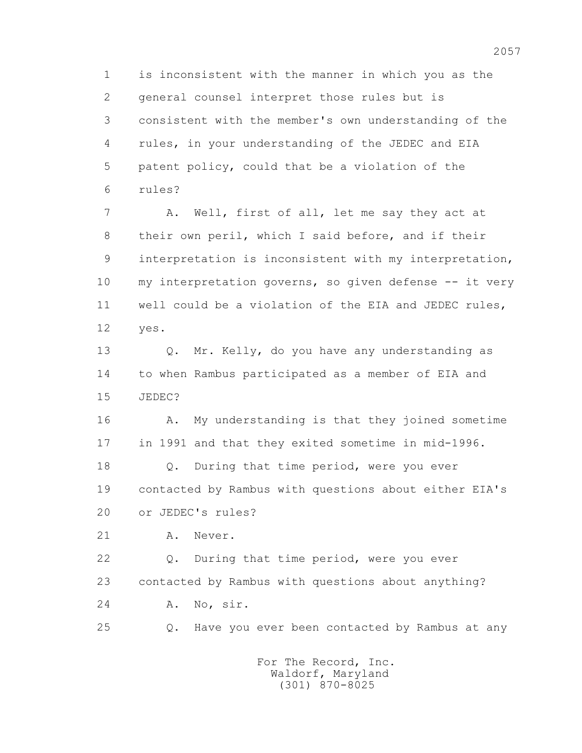1 is inconsistent with the manner in which you as the 2 general counsel interpret those rules but is 3 consistent with the member's own understanding of the 4 rules, in your understanding of the JEDEC and EIA 5 patent policy, could that be a violation of the 6 rules?

 7 A. Well, first of all, let me say they act at 8 their own peril, which I said before, and if their 9 interpretation is inconsistent with my interpretation, 10 my interpretation governs, so given defense -- it very 11 well could be a violation of the EIA and JEDEC rules, 12 yes.

13 0. Mr. Kelly, do you have any understanding as 14 to when Rambus participated as a member of EIA and 15 JEDEC?

16 A. My understanding is that they joined sometime 17 in 1991 and that they exited sometime in mid-1996.

 18 Q. During that time period, were you ever 19 contacted by Rambus with questions about either EIA's 20 or JEDEC's rules?

21 A. Never.

 22 Q. During that time period, were you ever 23 contacted by Rambus with questions about anything? 24 A. No, sir.

25 Q. Have you ever been contacted by Rambus at any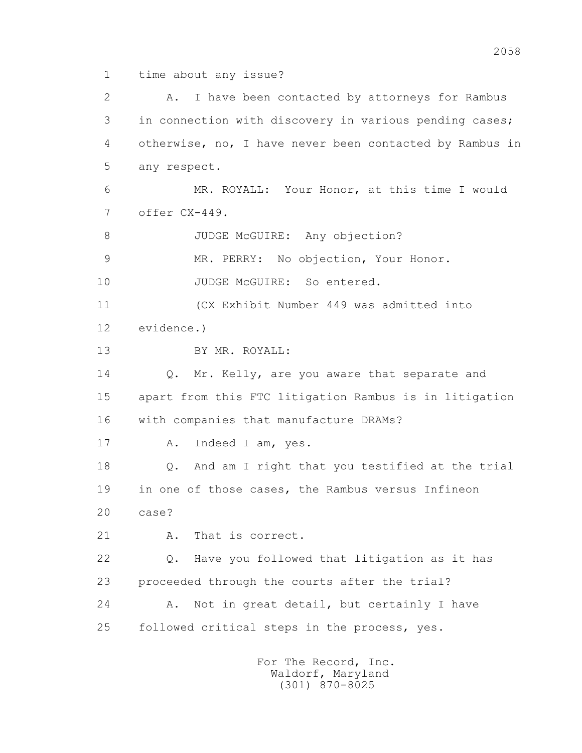1 time about any issue?

2 A. I have been contacted by attorneys for Rambus 3 in connection with discovery in various pending cases; 4 otherwise, no, I have never been contacted by Rambus in 5 any respect. 6 MR. ROYALL: Your Honor, at this time I would 7 offer CX-449. 8 JUDGE McGUIRE: Any objection? 9 MR. PERRY: No objection, Your Honor. 10 JUDGE McGUIRE: So entered. 11 (CX Exhibit Number 449 was admitted into 12 evidence.) 13 BY MR. ROYALL: 14 Q. Mr. Kelly, are you aware that separate and 15 apart from this FTC litigation Rambus is in litigation 16 with companies that manufacture DRAMs? 17 A. Indeed I am, yes. 18 Q. And am I right that you testified at the trial 19 in one of those cases, the Rambus versus Infineon 20 case? 21 A. That is correct. 22 Q. Have you followed that litigation as it has 23 proceeded through the courts after the trial? 24 A. Not in great detail, but certainly I have 25 followed critical steps in the process, yes.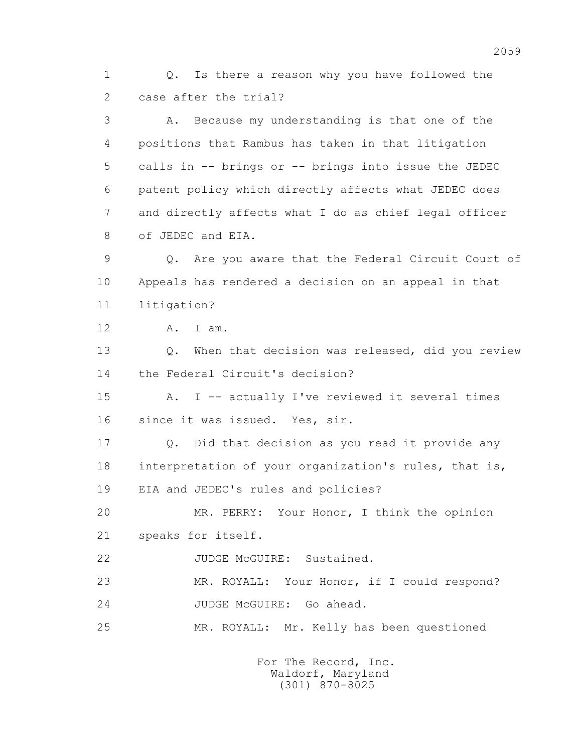1 Q. Is there a reason why you have followed the 2 case after the trial?

 3 A. Because my understanding is that one of the 4 positions that Rambus has taken in that litigation 5 calls in -- brings or -- brings into issue the JEDEC 6 patent policy which directly affects what JEDEC does 7 and directly affects what I do as chief legal officer 8 of JEDEC and EIA.

 9 Q. Are you aware that the Federal Circuit Court of 10 Appeals has rendered a decision on an appeal in that 11 litigation?

12 A. I am.

 13 Q. When that decision was released, did you review 14 the Federal Circuit's decision?

 15 A. I -- actually I've reviewed it several times 16 since it was issued. Yes, sir.

 17 Q. Did that decision as you read it provide any 18 interpretation of your organization's rules, that is, 19 EIA and JEDEC's rules and policies?

 20 MR. PERRY: Your Honor, I think the opinion 21 speaks for itself.

22 JUDGE McGUIRE: Sustained.

 23 MR. ROYALL: Your Honor, if I could respond? 24 JUDGE McGUIRE: Go ahead.

25 MR. ROYALL: Mr. Kelly has been questioned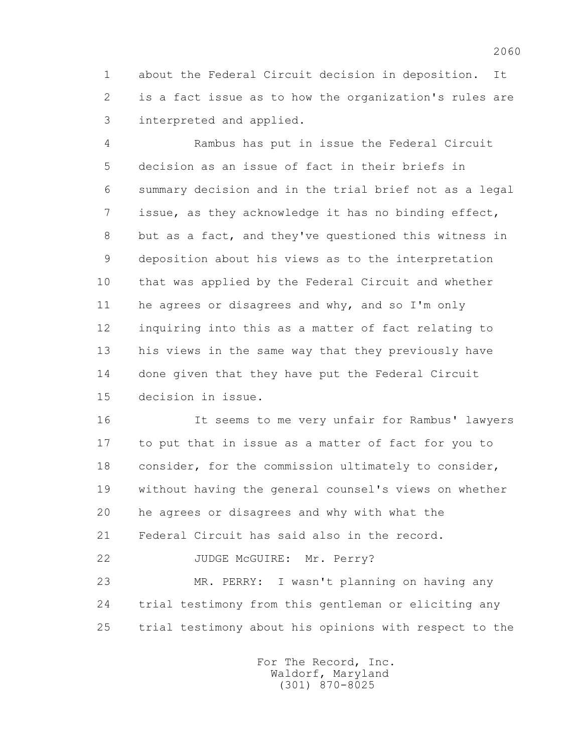1 about the Federal Circuit decision in deposition. It 2 is a fact issue as to how the organization's rules are 3 interpreted and applied.

 4 Rambus has put in issue the Federal Circuit 5 decision as an issue of fact in their briefs in 6 summary decision and in the trial brief not as a legal 7 issue, as they acknowledge it has no binding effect, 8 but as a fact, and they've questioned this witness in 9 deposition about his views as to the interpretation 10 that was applied by the Federal Circuit and whether 11 he agrees or disagrees and why, and so I'm only 12 inquiring into this as a matter of fact relating to 13 his views in the same way that they previously have 14 done given that they have put the Federal Circuit 15 decision in issue.

 16 It seems to me very unfair for Rambus' lawyers 17 to put that in issue as a matter of fact for you to 18 consider, for the commission ultimately to consider, 19 without having the general counsel's views on whether 20 he agrees or disagrees and why with what the 21 Federal Circuit has said also in the record. 22 JUDGE McGUIRE: Mr. Perry?

 23 MR. PERRY: I wasn't planning on having any 24 trial testimony from this gentleman or eliciting any 25 trial testimony about his opinions with respect to the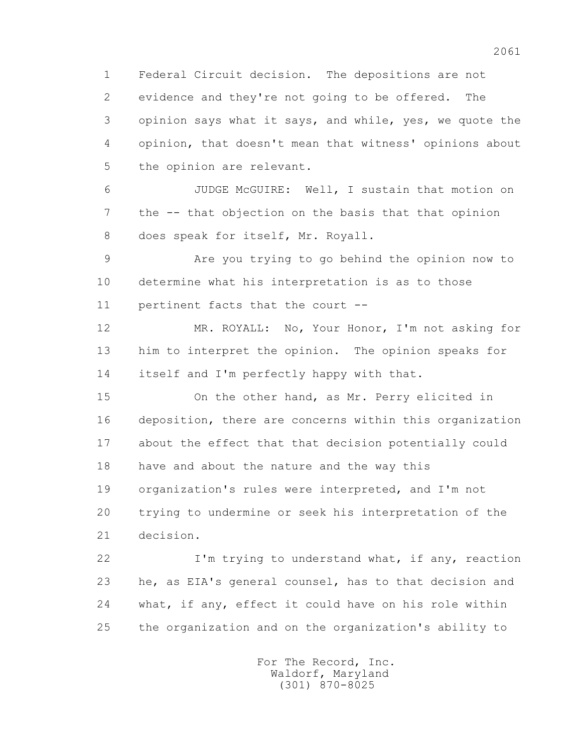1 Federal Circuit decision. The depositions are not 2 evidence and they're not going to be offered. The 3 opinion says what it says, and while, yes, we quote the 4 opinion, that doesn't mean that witness' opinions about 5 the opinion are relevant.

 6 JUDGE McGUIRE: Well, I sustain that motion on 7 the -- that objection on the basis that that opinion 8 does speak for itself, Mr. Royall.

 9 Are you trying to go behind the opinion now to 10 determine what his interpretation is as to those 11 pertinent facts that the court --

 12 MR. ROYALL: No, Your Honor, I'm not asking for 13 him to interpret the opinion. The opinion speaks for 14 itself and I'm perfectly happy with that.

 15 On the other hand, as Mr. Perry elicited in 16 deposition, there are concerns within this organization 17 about the effect that that decision potentially could 18 have and about the nature and the way this 19 organization's rules were interpreted, and I'm not 20 trying to undermine or seek his interpretation of the 21 decision.

22 I'm trying to understand what, if any, reaction 23 he, as EIA's general counsel, has to that decision and 24 what, if any, effect it could have on his role within 25 the organization and on the organization's ability to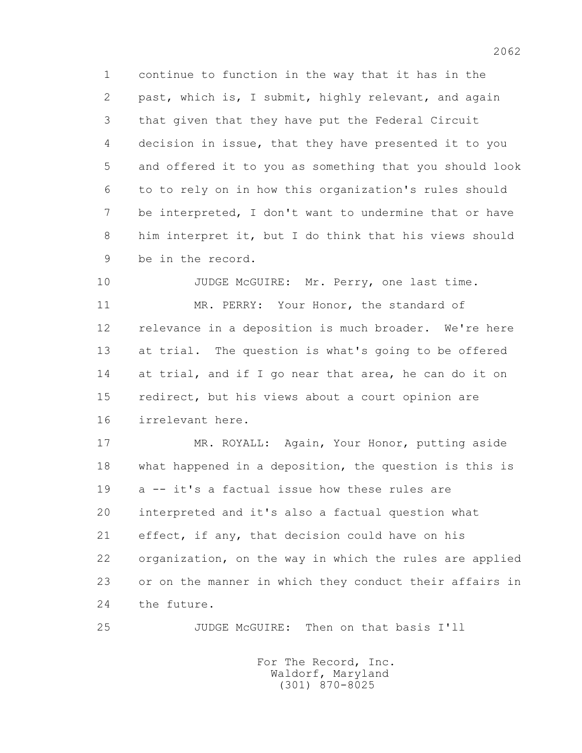1 continue to function in the way that it has in the 2 past, which is, I submit, highly relevant, and again 3 that given that they have put the Federal Circuit 4 decision in issue, that they have presented it to you 5 and offered it to you as something that you should look 6 to to rely on in how this organization's rules should 7 be interpreted, I don't want to undermine that or have 8 him interpret it, but I do think that his views should 9 be in the record.

10 JUDGE McGUIRE: Mr. Perry, one last time. 11 MR. PERRY: Your Honor, the standard of 12 relevance in a deposition is much broader. We're here 13 at trial. The question is what's going to be offered 14 at trial, and if I go near that area, he can do it on 15 redirect, but his views about a court opinion are 16 irrelevant here.

 17 MR. ROYALL: Again, Your Honor, putting aside 18 what happened in a deposition, the question is this is 19 a -- it's a factual issue how these rules are 20 interpreted and it's also a factual question what 21 effect, if any, that decision could have on his 22 organization, on the way in which the rules are applied 23 or on the manner in which they conduct their affairs in 24 the future.

25 JUDGE McGUIRE: Then on that basis I'll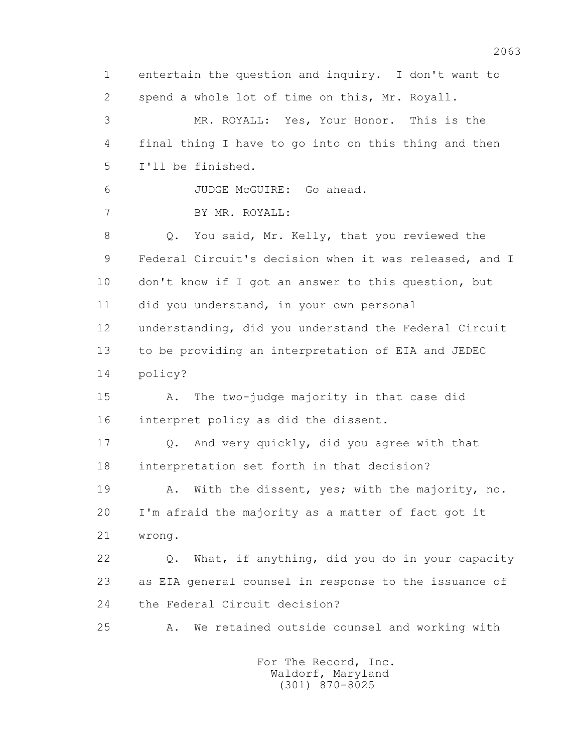1 entertain the question and inquiry. I don't want to 2 spend a whole lot of time on this, Mr. Royall. 3 MR. ROYALL: Yes, Your Honor. This is the 4 final thing I have to go into on this thing and then 5 I'll be finished. 6 JUDGE McGUIRE: Go ahead. 7 BY MR. ROYALL: 8 Q. You said, Mr. Kelly, that you reviewed the 9 Federal Circuit's decision when it was released, and I 10 don't know if I got an answer to this question, but 11 did you understand, in your own personal 12 understanding, did you understand the Federal Circuit 13 to be providing an interpretation of EIA and JEDEC 14 policy? 15 A. The two-judge majority in that case did 16 interpret policy as did the dissent. 17 Q. And very quickly, did you agree with that 18 interpretation set forth in that decision? 19 A. With the dissent, yes; with the majority, no. 20 I'm afraid the majority as a matter of fact got it 21 wrong. 22 Q. What, if anything, did you do in your capacity 23 as EIA general counsel in response to the issuance of 24 the Federal Circuit decision? 25 A. We retained outside counsel and working with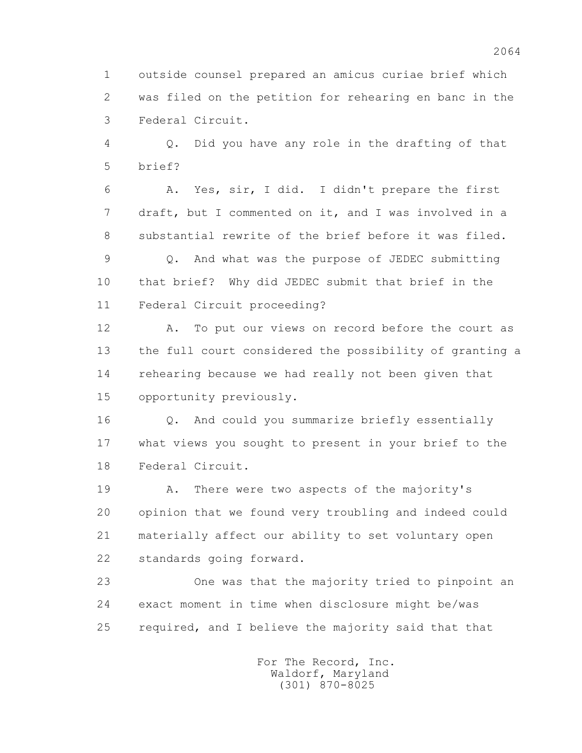1 outside counsel prepared an amicus curiae brief which 2 was filed on the petition for rehearing en banc in the 3 Federal Circuit.

 4 Q. Did you have any role in the drafting of that 5 brief?

 6 A. Yes, sir, I did. I didn't prepare the first 7 draft, but I commented on it, and I was involved in a 8 substantial rewrite of the brief before it was filed.

 9 Q. And what was the purpose of JEDEC submitting 10 that brief? Why did JEDEC submit that brief in the 11 Federal Circuit proceeding?

 12 A. To put our views on record before the court as 13 the full court considered the possibility of granting a 14 rehearing because we had really not been given that 15 opportunity previously.

16 0. And could you summarize briefly essentially 17 what views you sought to present in your brief to the 18 Federal Circuit.

 19 A. There were two aspects of the majority's 20 opinion that we found very troubling and indeed could 21 materially affect our ability to set voluntary open 22 standards going forward.

 23 One was that the majority tried to pinpoint an 24 exact moment in time when disclosure might be/was 25 required, and I believe the majority said that that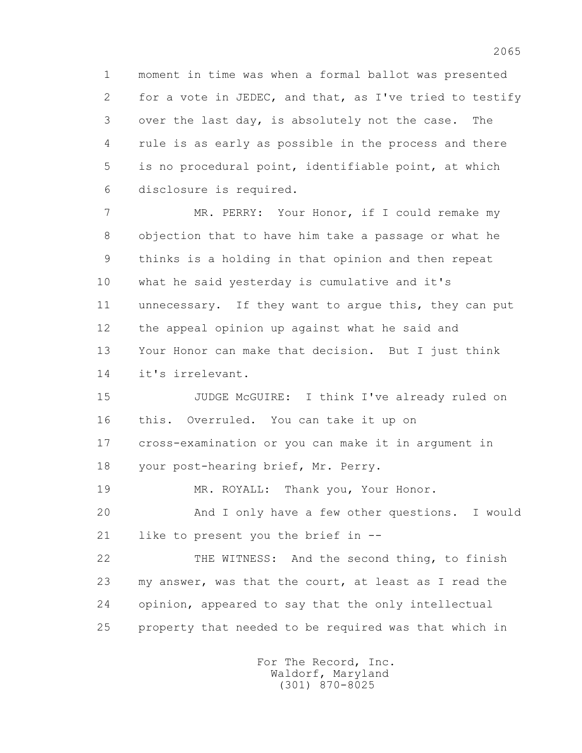1 moment in time was when a formal ballot was presented 2 for a vote in JEDEC, and that, as I've tried to testify 3 over the last day, is absolutely not the case. The 4 rule is as early as possible in the process and there 5 is no procedural point, identifiable point, at which 6 disclosure is required.

 7 MR. PERRY: Your Honor, if I could remake my 8 objection that to have him take a passage or what he 9 thinks is a holding in that opinion and then repeat 10 what he said yesterday is cumulative and it's 11 unnecessary. If they want to argue this, they can put 12 the appeal opinion up against what he said and 13 Your Honor can make that decision. But I just think 14 it's irrelevant.

 15 JUDGE McGUIRE: I think I've already ruled on 16 this. Overruled. You can take it up on 17 cross-examination or you can make it in argument in 18 your post-hearing brief, Mr. Perry.

19 MR. ROYALL: Thank you, Your Honor.

 20 And I only have a few other questions. I would 21 like to present you the brief in --

 22 THE WITNESS: And the second thing, to finish 23 my answer, was that the court, at least as I read the 24 opinion, appeared to say that the only intellectual 25 property that needed to be required was that which in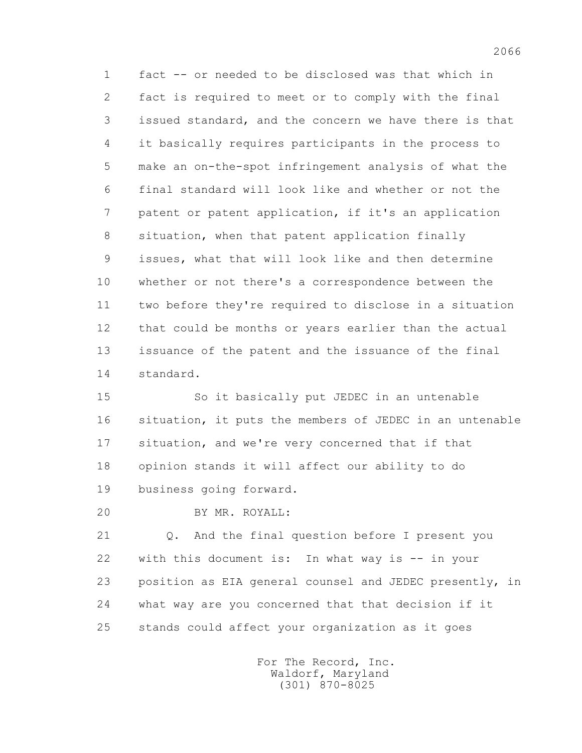1 fact -- or needed to be disclosed was that which in 2 fact is required to meet or to comply with the final 3 issued standard, and the concern we have there is that 4 it basically requires participants in the process to 5 make an on-the-spot infringement analysis of what the 6 final standard will look like and whether or not the 7 patent or patent application, if it's an application 8 situation, when that patent application finally 9 issues, what that will look like and then determine 10 whether or not there's a correspondence between the 11 two before they're required to disclose in a situation 12 that could be months or years earlier than the actual 13 issuance of the patent and the issuance of the final 14 standard.

 15 So it basically put JEDEC in an untenable 16 situation, it puts the members of JEDEC in an untenable 17 situation, and we're very concerned that if that 18 opinion stands it will affect our ability to do 19 business going forward.

20 BY MR. ROYALL:

 21 Q. And the final question before I present you 22 with this document is: In what way is -- in your 23 position as EIA general counsel and JEDEC presently, in 24 what way are you concerned that that decision if it 25 stands could affect your organization as it goes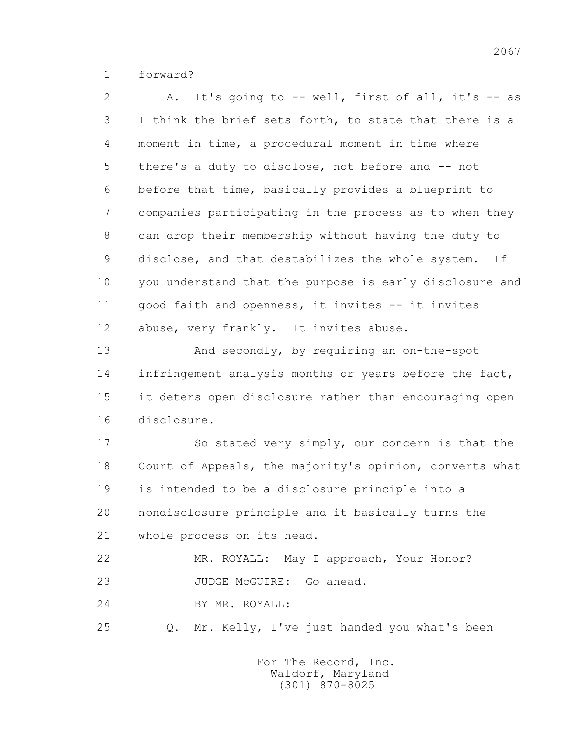1 forward?

 2 A. It's going to -- well, first of all, it's -- as 3 I think the brief sets forth, to state that there is a 4 moment in time, a procedural moment in time where 5 there's a duty to disclose, not before and -- not 6 before that time, basically provides a blueprint to 7 companies participating in the process as to when they 8 can drop their membership without having the duty to 9 disclose, and that destabilizes the whole system. If 10 you understand that the purpose is early disclosure and 11 good faith and openness, it invites -- it invites 12 abuse, very frankly. It invites abuse.

 13 And secondly, by requiring an on-the-spot 14 infringement analysis months or years before the fact, 15 it deters open disclosure rather than encouraging open 16 disclosure.

 17 So stated very simply, our concern is that the 18 Court of Appeals, the majority's opinion, converts what 19 is intended to be a disclosure principle into a 20 nondisclosure principle and it basically turns the 21 whole process on its head.

 22 MR. ROYALL: May I approach, Your Honor? 23 JUDGE McGUIRE: Go ahead.

24 BY MR. ROYALL:

25 Q. Mr. Kelly, I've just handed you what's been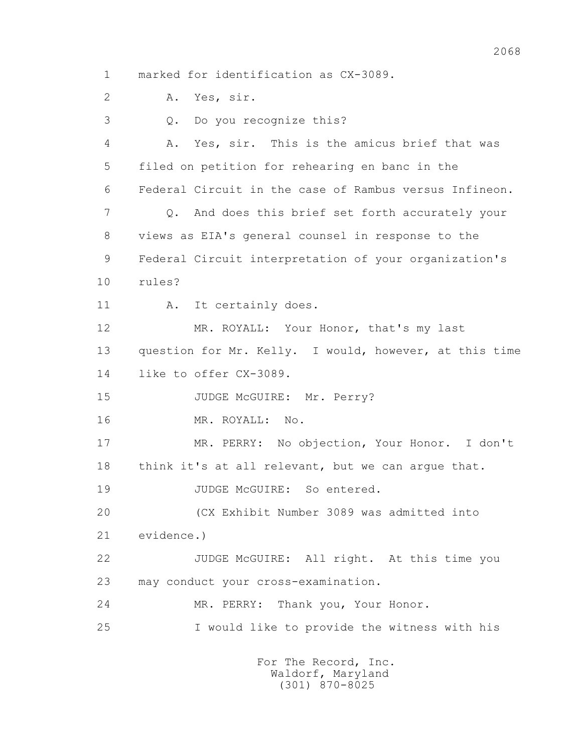1 marked for identification as CX-3089.

2 A. Yes, sir.

 3 Q. Do you recognize this? 4 A. Yes, sir. This is the amicus brief that was 5 filed on petition for rehearing en banc in the 6 Federal Circuit in the case of Rambus versus Infineon. 7 Q. And does this brief set forth accurately your 8 views as EIA's general counsel in response to the 9 Federal Circuit interpretation of your organization's 10 rules? 11 A. It certainly does. 12 MR. ROYALL: Your Honor, that's my last 13 question for Mr. Kelly. I would, however, at this time 14 like to offer CX-3089. 15 JUDGE McGUIRE: Mr. Perry? 16 MR. ROYALL: No. 17 MR. PERRY: No objection, Your Honor. I don't 18 think it's at all relevant, but we can argue that. 19 JUDGE McGUIRE: So entered. 20 (CX Exhibit Number 3089 was admitted into 21 evidence.) 22 JUDGE McGUIRE: All right. At this time you 23 may conduct your cross-examination. 24 MR. PERRY: Thank you, Your Honor. 25 I would like to provide the witness with his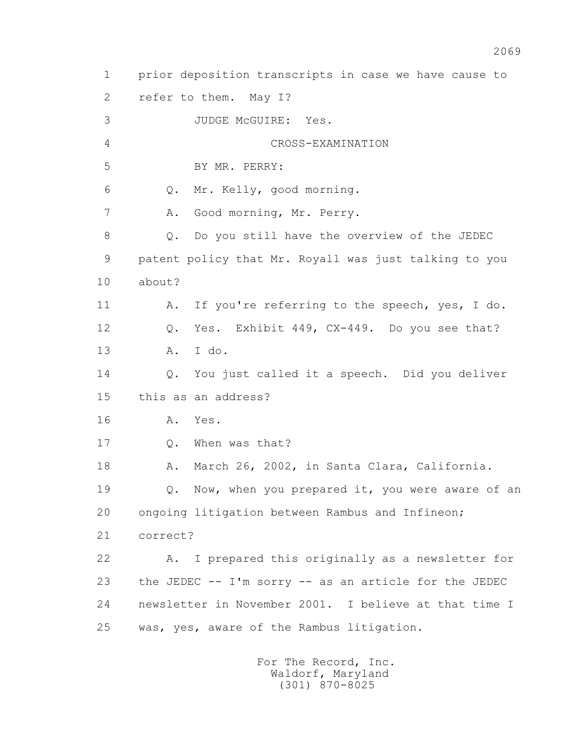1 prior deposition transcripts in case we have cause to 2 refer to them. May I? 3 JUDGE McGUIRE: Yes. 4 CROSS-EXAMINATION 5 BY MR. PERRY: 6 Q. Mr. Kelly, good morning. 7 A. Good morning, Mr. Perry. 8 Q. Do you still have the overview of the JEDEC 9 patent policy that Mr. Royall was just talking to you 10 about? 11 A. If you're referring to the speech, yes, I do. 12 Q. Yes. Exhibit 449, CX-449. Do you see that? 13 A. I do. 14 Q. You just called it a speech. Did you deliver 15 this as an address? 16 A. Yes. 17 Q. When was that? 18 A. March 26, 2002, in Santa Clara, California. 19 Q. Now, when you prepared it, you were aware of an 20 ongoing litigation between Rambus and Infineon; 21 correct? 22 A. I prepared this originally as a newsletter for 23 the JEDEC -- I'm sorry -- as an article for the JEDEC 24 newsletter in November 2001. I believe at that time I 25 was, yes, aware of the Rambus litigation.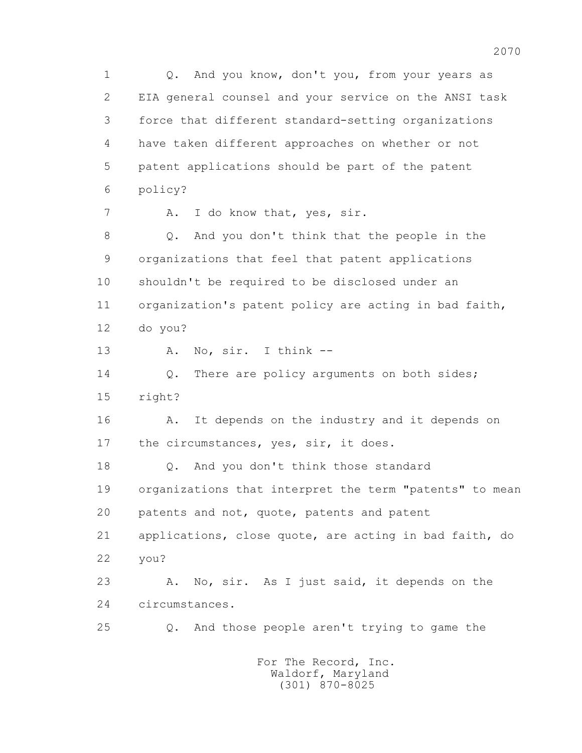1 Q. And you know, don't you, from your years as 2 EIA general counsel and your service on the ANSI task 3 force that different standard-setting organizations 4 have taken different approaches on whether or not 5 patent applications should be part of the patent 6 policy? 7 A. I do know that, yes, sir. 8 Q. And you don't think that the people in the 9 organizations that feel that patent applications 10 shouldn't be required to be disclosed under an 11 organization's patent policy are acting in bad faith, 12 do you? 13 A. No, sir. I think -- 14 Q. There are policy arguments on both sides; 15 right? 16 A. It depends on the industry and it depends on 17 the circumstances, yes, sir, it does. 18 Q. And you don't think those standard 19 organizations that interpret the term "patents" to mean 20 patents and not, quote, patents and patent 21 applications, close quote, are acting in bad faith, do 22 you? 23 A. No, sir. As I just said, it depends on the 24 circumstances. 25 Q. And those people aren't trying to game the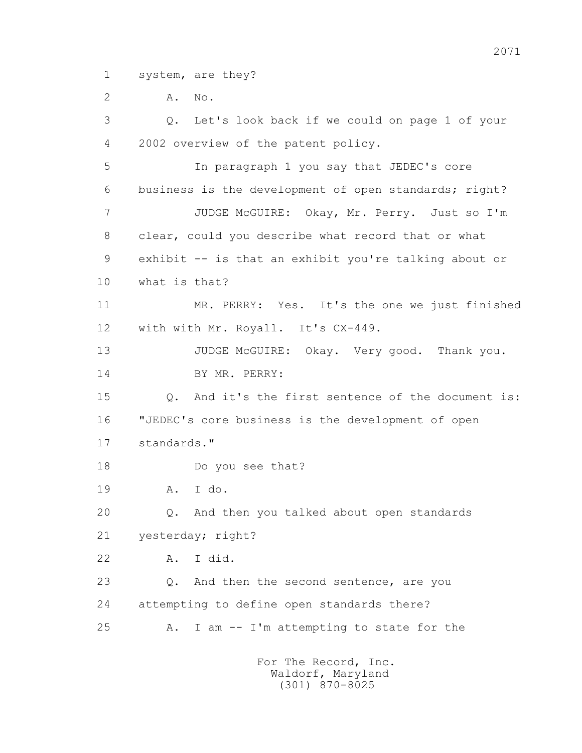1 system, are they?

2 **A.** No.

 3 Q. Let's look back if we could on page 1 of your 4 2002 overview of the patent policy. 5 In paragraph 1 you say that JEDEC's core 6 business is the development of open standards; right? 7 JUDGE McGUIRE: Okay, Mr. Perry. Just so I'm 8 clear, could you describe what record that or what 9 exhibit -- is that an exhibit you're talking about or 10 what is that? 11 MR. PERRY: Yes. It's the one we just finished 12 with with Mr. Royall. It's CX-449. 13 JUDGE McGUIRE: Okay. Very good. Thank you. 14 BY MR. PERRY: 15 Q. And it's the first sentence of the document is: 16 "JEDEC's core business is the development of open 17 standards." 18 Do you see that? 19 A. I do. 20 Q. And then you talked about open standards 21 yesterday; right? 22 A. I did. 23 Q. And then the second sentence, are you 24 attempting to define open standards there? 25 A. I am -- I'm attempting to state for the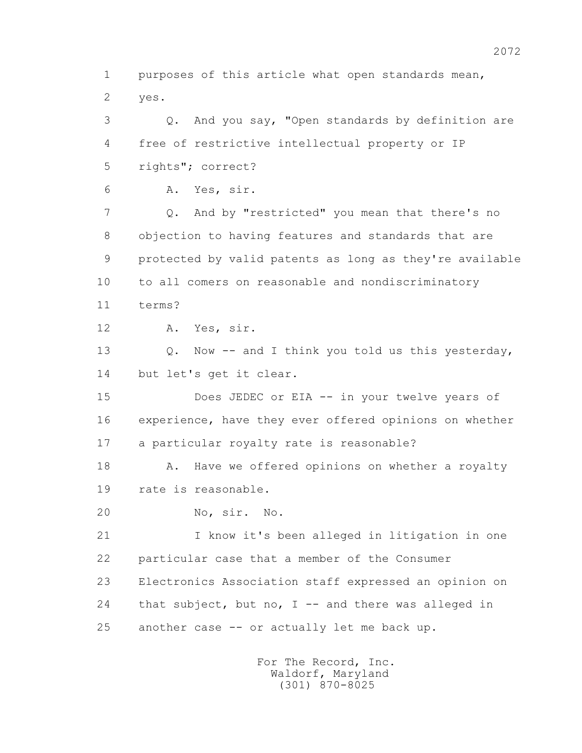1 purposes of this article what open standards mean, 2 yes.

 3 Q. And you say, "Open standards by definition are 4 free of restrictive intellectual property or IP 5 rights"; correct?

6 A. Yes, sir.

 7 Q. And by "restricted" you mean that there's no 8 objection to having features and standards that are 9 protected by valid patents as long as they're available 10 to all comers on reasonable and nondiscriminatory 11 terms?

12 A. Yes, sir.

13 O. Now -- and I think you told us this yesterday, 14 but let's get it clear.

 15 Does JEDEC or EIA -- in your twelve years of 16 experience, have they ever offered opinions on whether 17 a particular royalty rate is reasonable?

18 A. Have we offered opinions on whether a royalty 19 rate is reasonable.

20 No, sir. No.

 21 I know it's been alleged in litigation in one 22 particular case that a member of the Consumer 23 Electronics Association staff expressed an opinion on 24 that subject, but no, I -- and there was alleged in 25 another case -- or actually let me back up.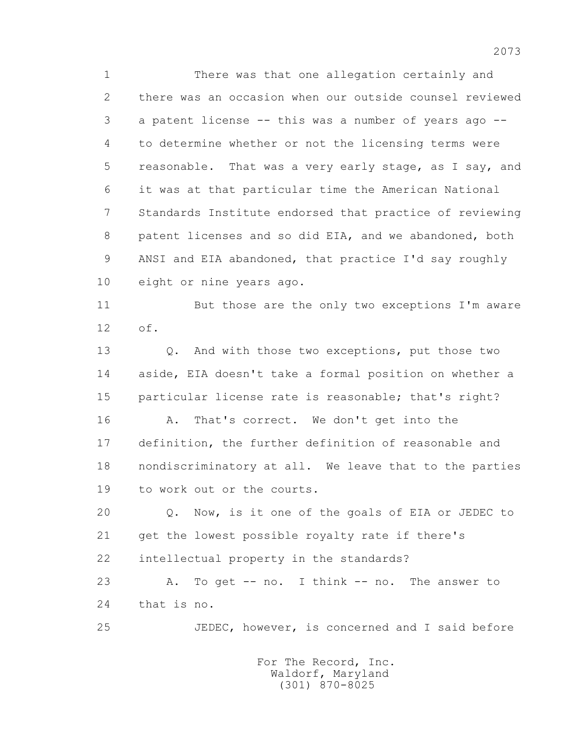1 There was that one allegation certainly and 2 there was an occasion when our outside counsel reviewed 3 a patent license -- this was a number of years ago -- 4 to determine whether or not the licensing terms were 5 reasonable. That was a very early stage, as I say, and 6 it was at that particular time the American National 7 Standards Institute endorsed that practice of reviewing 8 patent licenses and so did EIA, and we abandoned, both 9 ANSI and EIA abandoned, that practice I'd say roughly 10 eight or nine years ago.

 11 But those are the only two exceptions I'm aware 12 of.

 13 Q. And with those two exceptions, put those two 14 aside, EIA doesn't take a formal position on whether a 15 particular license rate is reasonable; that's right?

16 A. That's correct. We don't get into the 17 definition, the further definition of reasonable and 18 nondiscriminatory at all. We leave that to the parties 19 to work out or the courts.

 20 Q. Now, is it one of the goals of EIA or JEDEC to 21 get the lowest possible royalty rate if there's 22 intellectual property in the standards?

 23 A. To get -- no. I think -- no. The answer to 24 that is no.

25 JEDEC, however, is concerned and I said before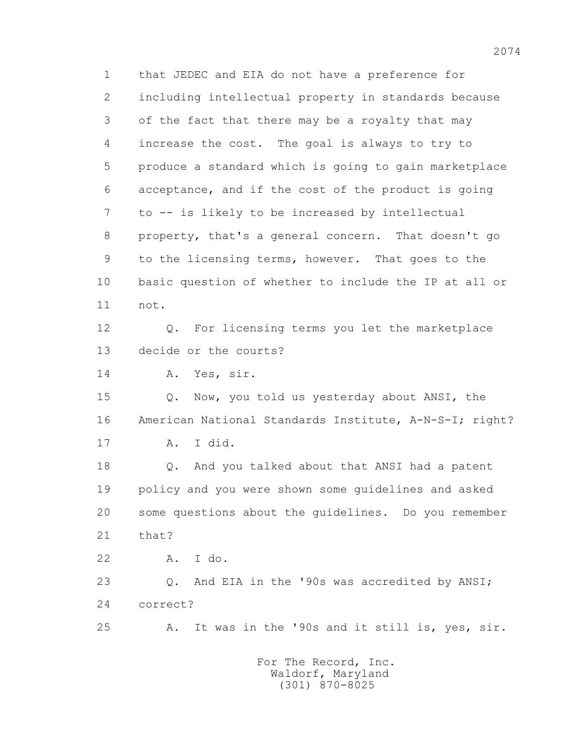1 that JEDEC and EIA do not have a preference for 2 including intellectual property in standards because 3 of the fact that there may be a royalty that may 4 increase the cost. The goal is always to try to 5 produce a standard which is going to gain marketplace 6 acceptance, and if the cost of the product is going 7 to -- is likely to be increased by intellectual 8 property, that's a general concern. That doesn't go 9 to the licensing terms, however. That goes to the 10 basic question of whether to include the IP at all or 11 not. 12 Q. For licensing terms you let the marketplace 13 decide or the courts? 14 A. Yes, sir. 15 Q. Now, you told us yesterday about ANSI, the 16 American National Standards Institute, A-N-S-I; right? 17 A. I did. 18 Q. And you talked about that ANSI had a patent 19 policy and you were shown some guidelines and asked 20 some questions about the guidelines. Do you remember 21 that? 22 A. I do. 23 Q. And EIA in the '90s was accredited by ANSI; 24 correct? 25 A. It was in the '90s and it still is, yes, sir. For The Record, Inc.

 Waldorf, Maryland (301) 870-8025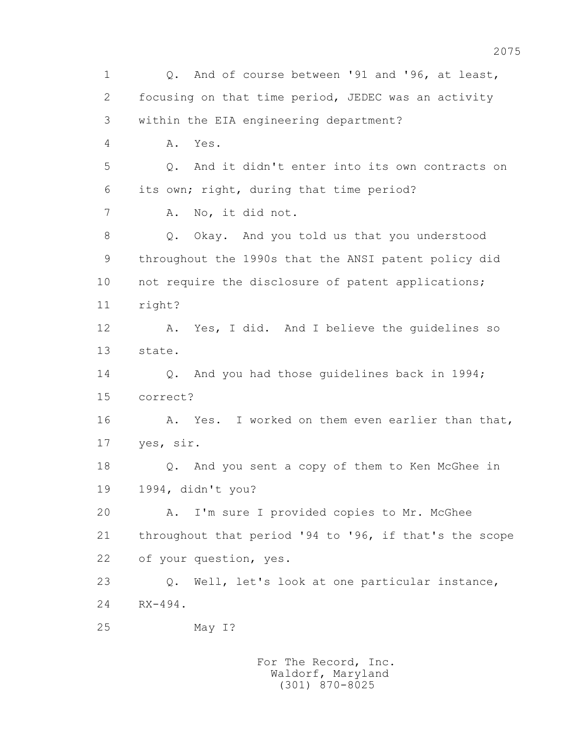1 Q. And of course between '91 and '96, at least, 2 focusing on that time period, JEDEC was an activity 3 within the EIA engineering department? 4 A. Yes. 5 Q. And it didn't enter into its own contracts on 6 its own; right, during that time period? 7 A. No, it did not. 8 Q. Okay. And you told us that you understood 9 throughout the 1990s that the ANSI patent policy did 10 not require the disclosure of patent applications; 11 right? 12 A. Yes, I did. And I believe the guidelines so 13 state. 14 0. And you had those quidelines back in 1994; 15 correct? 16 A. Yes. I worked on them even earlier than that, 17 yes, sir. 18 Q. And you sent a copy of them to Ken McGhee in 19 1994, didn't you? 20 A. I'm sure I provided copies to Mr. McGhee 21 throughout that period '94 to '96, if that's the scope 22 of your question, yes. 23 Q. Well, let's look at one particular instance, 24 RX-494. 25 May I?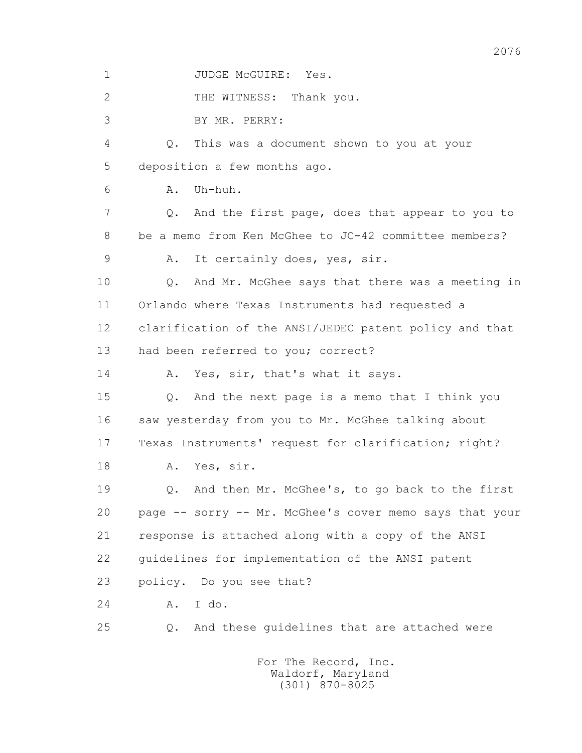1 JUDGE McGUIRE: Yes. 2 THE WITNESS: Thank you. 3 BY MR. PERRY: 4 Q. This was a document shown to you at your 5 deposition a few months ago. 6 A. Uh-huh. 7 Q. And the first page, does that appear to you to 8 be a memo from Ken McGhee to JC-42 committee members? 9 A. It certainly does, yes, sir. 10 Q. And Mr. McGhee says that there was a meeting in 11 Orlando where Texas Instruments had requested a 12 clarification of the ANSI/JEDEC patent policy and that 13 had been referred to you; correct? 14 A. Yes, sir, that's what it says. 15 Q. And the next page is a memo that I think you 16 saw yesterday from you to Mr. McGhee talking about 17 Texas Instruments' request for clarification; right? 18 A. Yes, sir. 19 Q. And then Mr. McGhee's, to go back to the first 20 page -- sorry -- Mr. McGhee's cover memo says that your 21 response is attached along with a copy of the ANSI 22 guidelines for implementation of the ANSI patent 23 policy. Do you see that? 24 A. I do. 25 Q. And these guidelines that are attached were For The Record, Inc.

 Waldorf, Maryland (301) 870-8025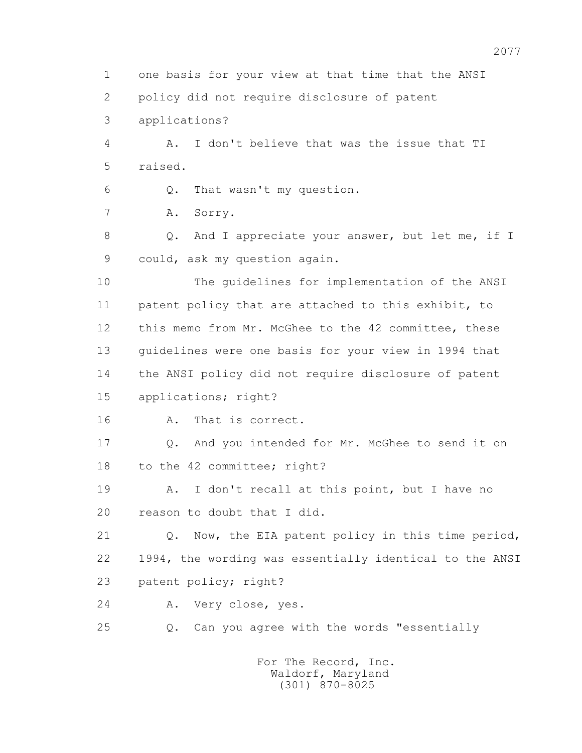1 one basis for your view at that time that the ANSI

2 policy did not require disclosure of patent

3 applications?

 4 A. I don't believe that was the issue that TI 5 raised.

6 Q. That wasn't my question.

7 A. Sorry.

8 Q. And I appreciate your answer, but let me, if I 9 could, ask my question again.

 10 The guidelines for implementation of the ANSI 11 patent policy that are attached to this exhibit, to 12 this memo from Mr. McGhee to the 42 committee, these 13 guidelines were one basis for your view in 1994 that 14 the ANSI policy did not require disclosure of patent 15 applications; right?

16 A. That is correct.

 17 Q. And you intended for Mr. McGhee to send it on 18 to the 42 committee; right?

 19 A. I don't recall at this point, but I have no 20 reason to doubt that I did.

 21 Q. Now, the EIA patent policy in this time period, 22 1994, the wording was essentially identical to the ANSI 23 patent policy; right?

24 A. Very close, yes.

25 Q. Can you agree with the words "essentially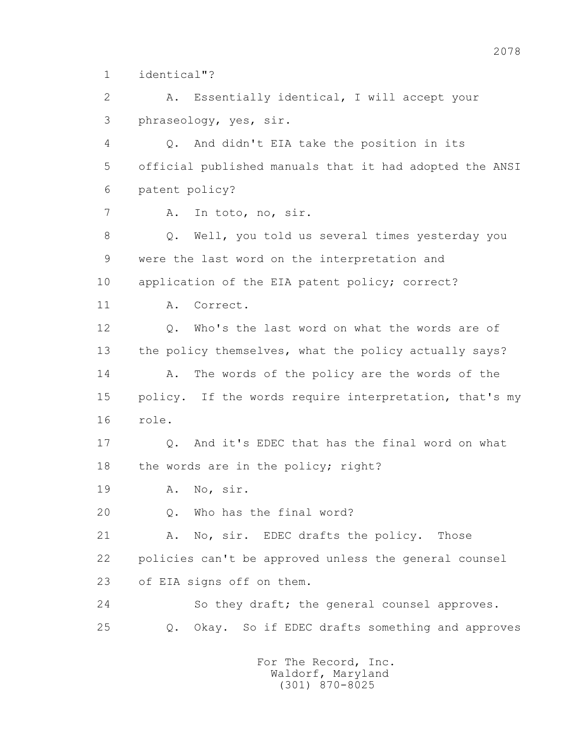1 identical"?

 2 A. Essentially identical, I will accept your 3 phraseology, yes, sir.

 4 Q. And didn't EIA take the position in its 5 official published manuals that it had adopted the ANSI 6 patent policy?

7 A. In toto, no, sir.

 8 Q. Well, you told us several times yesterday you 9 were the last word on the interpretation and 10 application of the EIA patent policy; correct?

11 A. Correct.

 12 Q. Who's the last word on what the words are of 13 the policy themselves, what the policy actually says? 14 A. The words of the policy are the words of the 15 policy. If the words require interpretation, that's my 16 role.

 17 Q. And it's EDEC that has the final word on what 18 the words are in the policy; right?

19 A. No, sir.

20 Q. Who has the final word?

21 A. No, sir. EDEC drafts the policy. Those 22 policies can't be approved unless the general counsel 23 of EIA signs off on them.

 24 So they draft; the general counsel approves. 25 Q. Okay. So if EDEC drafts something and approves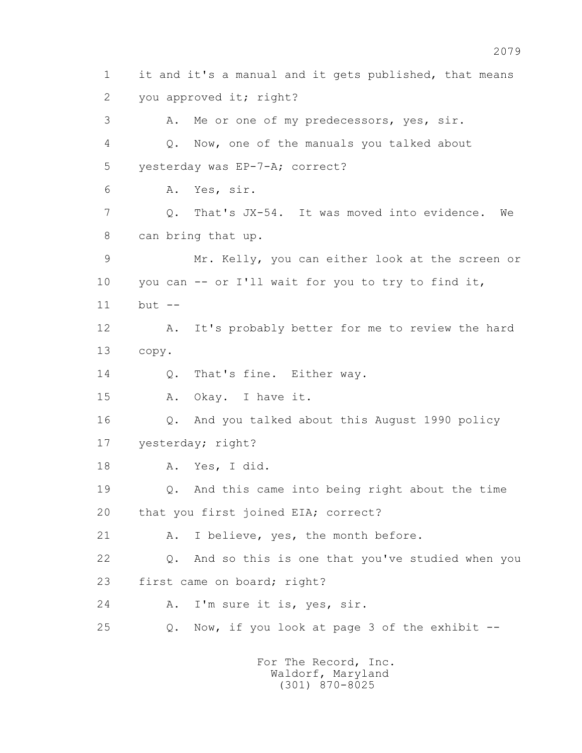1 it and it's a manual and it gets published, that means 2 you approved it; right? 3 A. Me or one of my predecessors, yes, sir. 4 Q. Now, one of the manuals you talked about 5 yesterday was EP-7-A; correct? 6 A. Yes, sir. 7 Q. That's JX-54. It was moved into evidence. We 8 can bring that up. 9 Mr. Kelly, you can either look at the screen or 10 you can -- or I'll wait for you to try to find it, 11 but -- 12 A. It's probably better for me to review the hard 13 copy. 14 0. That's fine. Either way. 15 A. Okay. I have it. 16 Q. And you talked about this August 1990 policy 17 yesterday; right? 18 A. Yes, I did. 19 Q. And this came into being right about the time 20 that you first joined EIA; correct? 21 A. I believe, yes, the month before. 22 Q. And so this is one that you've studied when you 23 first came on board; right? 24 A. I'm sure it is, yes, sir. 25 Q. Now, if you look at page 3 of the exhibit --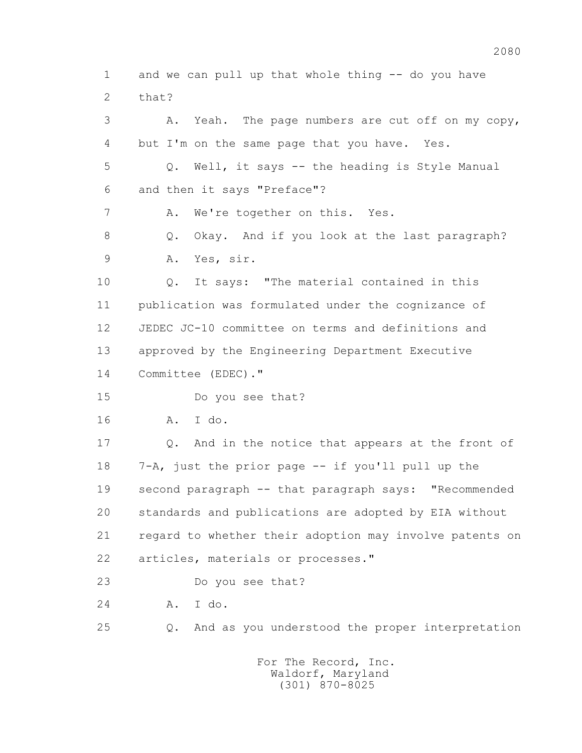1 and we can pull up that whole thing -- do you have 2 that? 3 A. Yeah. The page numbers are cut off on my copy, 4 but I'm on the same page that you have. Yes. 5 Q. Well, it says -- the heading is Style Manual 6 and then it says "Preface"? 7 A. We're together on this. Yes. 8 Q. Okay. And if you look at the last paragraph? 9 A. Yes, sir. 10 Q. It says: "The material contained in this 11 publication was formulated under the cognizance of 12 JEDEC JC-10 committee on terms and definitions and 13 approved by the Engineering Department Executive 14 Committee (EDEC)." 15 Do you see that? 16 A. I do. 17 Q. And in the notice that appears at the front of 18 7-A, just the prior page -- if you'll pull up the 19 second paragraph -- that paragraph says: "Recommended 20 standards and publications are adopted by EIA without 21 regard to whether their adoption may involve patents on 22 articles, materials or processes." 23 Do you see that? 24 A. I do. 25 Q. And as you understood the proper interpretation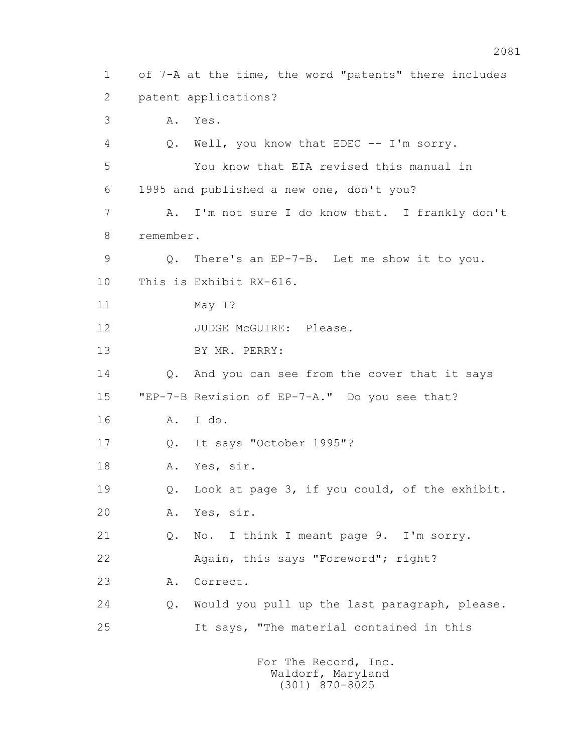1 of 7-A at the time, the word "patents" there includes 2 patent applications? 3 A. Yes. 4 Q. Well, you know that EDEC -- I'm sorry. 5 You know that EIA revised this manual in 6 1995 and published a new one, don't you? 7 A. I'm not sure I do know that. I frankly don't 8 remember. 9 Q. There's an EP-7-B. Let me show it to you. 10 This is Exhibit RX-616. 11 May I? 12 JUDGE McGUIRE: Please. 13 BY MR. PERRY: 14 Q. And you can see from the cover that it says 15 "EP-7-B Revision of EP-7-A." Do you see that? 16 A. I do. 17 Q. It says "October 1995"? 18 A. Yes, sir. 19 Q. Look at page 3, if you could, of the exhibit. 20 A. Yes, sir. 21 Q. No. I think I meant page 9. I'm sorry. 22 Again, this says "Foreword"; right? 23 A. Correct. 24 Q. Would you pull up the last paragraph, please. 25 It says, "The material contained in this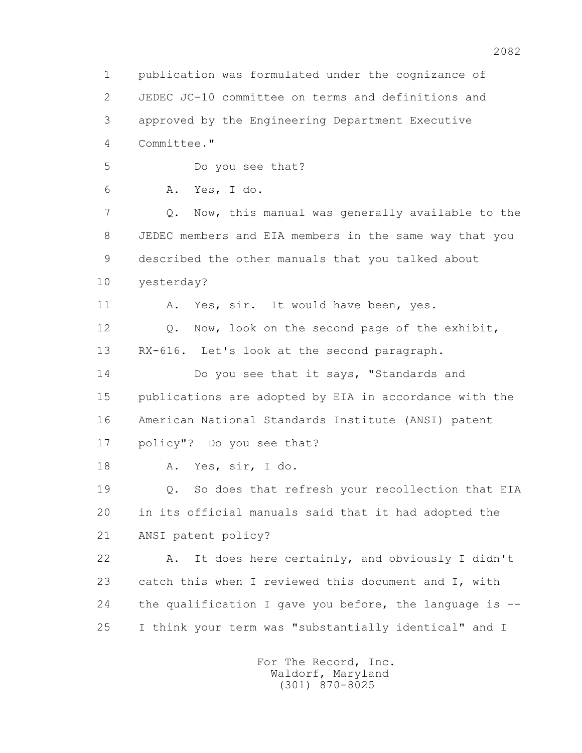1 publication was formulated under the cognizance of 2 JEDEC JC-10 committee on terms and definitions and 3 approved by the Engineering Department Executive 4 Committee." 5 Do you see that? 6 A. Yes, I do. 7 Q. Now, this manual was generally available to the 8 JEDEC members and EIA members in the same way that you 9 described the other manuals that you talked about 10 yesterday? 11 A. Yes, sir. It would have been, yes. 12 Q. Now, look on the second page of the exhibit, 13 RX-616. Let's look at the second paragraph. 14 Do you see that it says, "Standards and 15 publications are adopted by EIA in accordance with the 16 American National Standards Institute (ANSI) patent 17 policy"? Do you see that? 18 A. Yes, sir, I do. 19 Q. So does that refresh your recollection that EIA 20 in its official manuals said that it had adopted the 21 ANSI patent policy? 22 A. It does here certainly, and obviously I didn't 23 catch this when I reviewed this document and I, with 24 the qualification I gave you before, the language is -- 25 I think your term was "substantially identical" and I For The Record, Inc.

 Waldorf, Maryland (301) 870-8025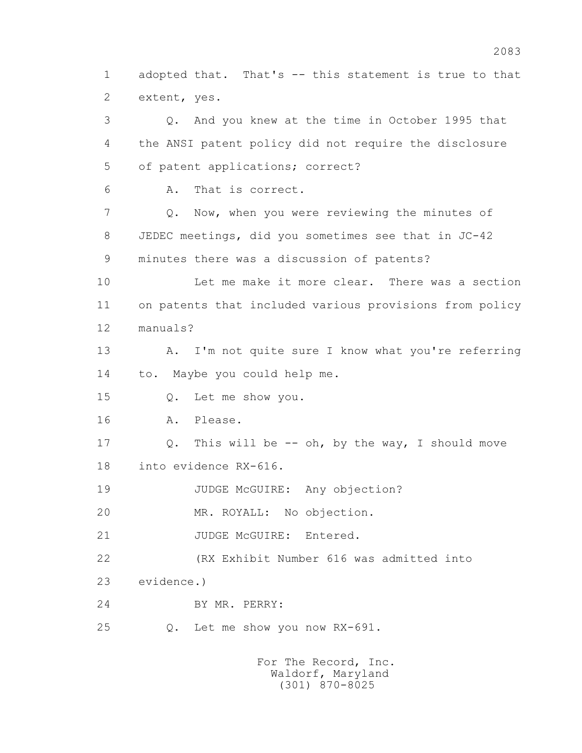1 adopted that. That's -- this statement is true to that 2 extent, yes.

 3 Q. And you knew at the time in October 1995 that 4 the ANSI patent policy did not require the disclosure 5 of patent applications; correct? 6 A. That is correct. 7 Q. Now, when you were reviewing the minutes of 8 JEDEC meetings, did you sometimes see that in JC-42 9 minutes there was a discussion of patents? 10 Let me make it more clear. There was a section 11 on patents that included various provisions from policy 12 manuals? 13 A. I'm not quite sure I know what you're referring 14 to. Maybe you could help me. 15 Q. Let me show you. 16 A. Please. 17 Q. This will be -- oh, by the way, I should move 18 into evidence RX-616. 19 JUDGE McGUIRE: Any objection? 20 MR. ROYALL: No objection. 21 JUDGE McGUIRE: Entered. 22 (RX Exhibit Number 616 was admitted into 23 evidence.) 24 BY MR. PERRY: 25 Q. Let me show you now RX-691.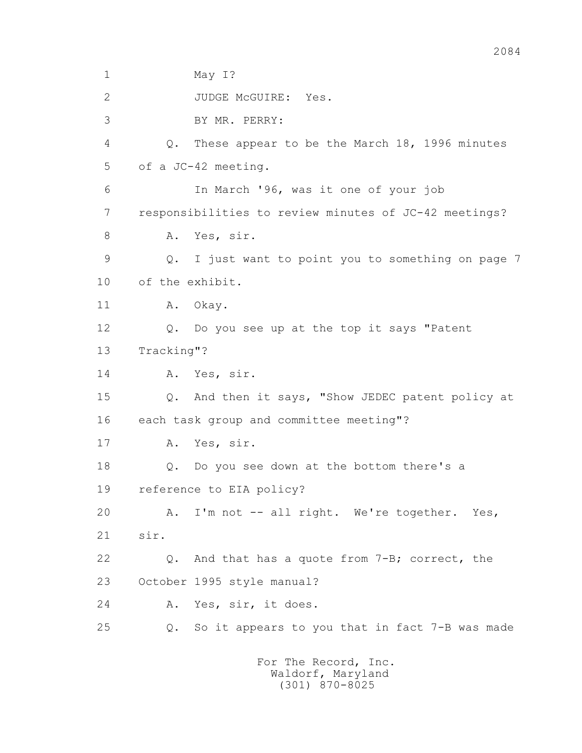1 May 1? 2 JUDGE McGUIRE: Yes. 3 BY MR. PERRY: 4 Q. These appear to be the March 18, 1996 minutes 5 of a JC-42 meeting. 6 In March '96, was it one of your job 7 responsibilities to review minutes of JC-42 meetings? 8 A. Yes, sir. 9 Q. I just want to point you to something on page 7 10 of the exhibit. 11 A. Okay. 12 Q. Do you see up at the top it says "Patent 13 Tracking"? 14 A. Yes, sir. 15 Q. And then it says, "Show JEDEC patent policy at 16 each task group and committee meeting"? 17 A. Yes, sir. 18 Q. Do you see down at the bottom there's a 19 reference to EIA policy? 20 A. I'm not -- all right. We're together. Yes, 21 sir. 22 Q. And that has a quote from 7-B; correct, the 23 October 1995 style manual? 24 A. Yes, sir, it does. 25 Q. So it appears to you that in fact 7-B was made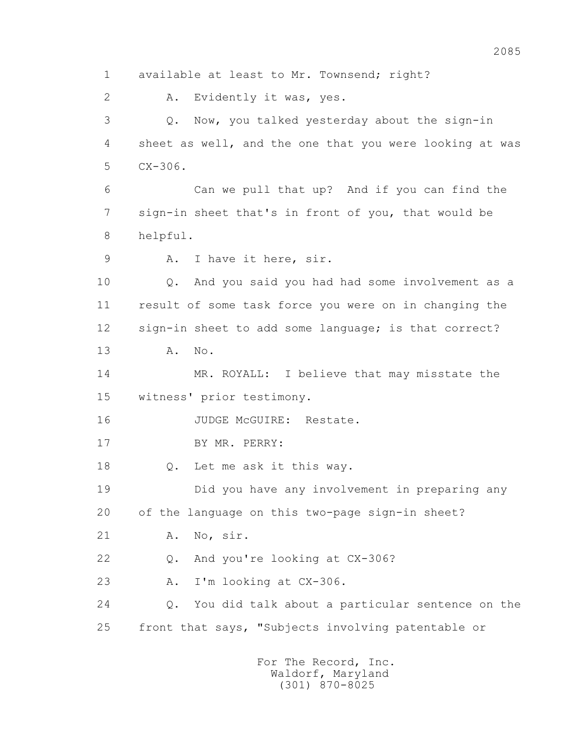1 available at least to Mr. Townsend; right? 2 A. Evidently it was, yes. 3 Q. Now, you talked yesterday about the sign-in 4 sheet as well, and the one that you were looking at was 5 CX-306. 6 Can we pull that up? And if you can find the 7 sign-in sheet that's in front of you, that would be 8 helpful. 9 A. I have it here, sir. 10 Q. And you said you had had some involvement as a 11 result of some task force you were on in changing the 12 sign-in sheet to add some language; is that correct? 13 A. No. 14 MR. ROYALL: I believe that may misstate the 15 witness' prior testimony. 16 JUDGE McGUIRE: Restate. 17 BY MR. PERRY: 18 Q. Let me ask it this way. 19 Did you have any involvement in preparing any 20 of the language on this two-page sign-in sheet? 21 A. No, sir. 22 Q. And you're looking at CX-306? 23 A. I'm looking at CX-306. 24 Q. You did talk about a particular sentence on the 25 front that says, "Subjects involving patentable or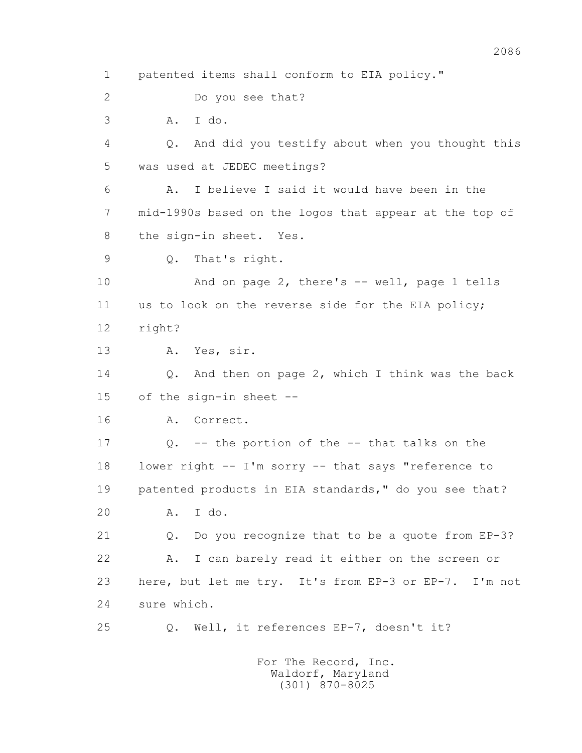1 patented items shall conform to EIA policy." 2 Do you see that? 3 A. I do. 4 Q. And did you testify about when you thought this 5 was used at JEDEC meetings? 6 A. I believe I said it would have been in the 7 mid-1990s based on the logos that appear at the top of 8 the sign-in sheet. Yes. 9 Q. That's right. 10 And on page 2, there's -- well, page 1 tells 11 us to look on the reverse side for the EIA policy; 12 right? 13 A. Yes, sir. 14 Q. And then on page 2, which I think was the back 15 of the sign-in sheet -- 16 A. Correct. 17 Q. -- the portion of the -- that talks on the 18 lower right -- I'm sorry -- that says "reference to 19 patented products in EIA standards," do you see that? 20 A. I do. 21 Q. Do you recognize that to be a quote from EP-3? 22 A. I can barely read it either on the screen or 23 here, but let me try. It's from EP-3 or EP-7. I'm not 24 sure which. 25 Q. Well, it references EP-7, doesn't it?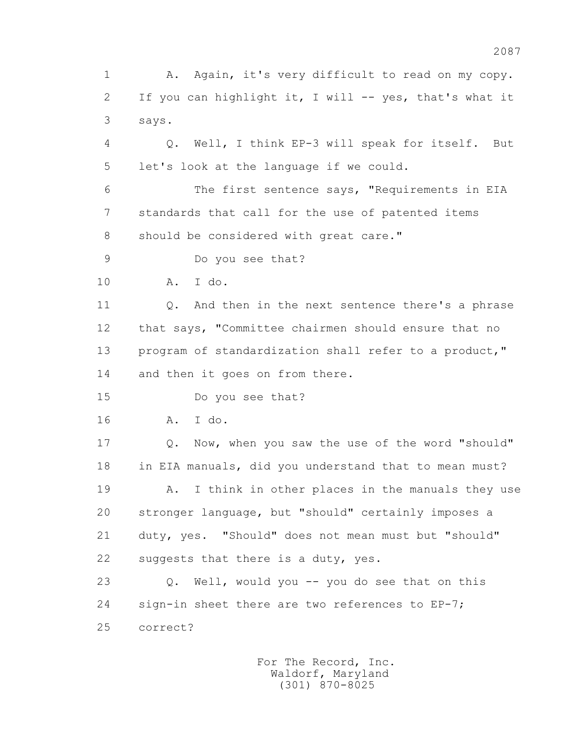1 A. Again, it's very difficult to read on my copy. 2 If you can highlight it, I will -- yes, that's what it 3 says.

 4 Q. Well, I think EP-3 will speak for itself. But 5 let's look at the language if we could.

 6 The first sentence says, "Requirements in EIA 7 standards that call for the use of patented items 8 should be considered with great care."

9 Do you see that?

10 A. I do.

 11 Q. And then in the next sentence there's a phrase 12 that says, "Committee chairmen should ensure that no 13 program of standardization shall refer to a product," 14 and then it goes on from there.

15 Do you see that?

16 A. I do.

 17 Q. Now, when you saw the use of the word "should" 18 in EIA manuals, did you understand that to mean must? 19 A. I think in other places in the manuals they use 20 stronger language, but "should" certainly imposes a

 21 duty, yes. "Should" does not mean must but "should" 22 suggests that there is a duty, yes.

 23 Q. Well, would you -- you do see that on this 24 sign-in sheet there are two references to EP-7; 25 correct?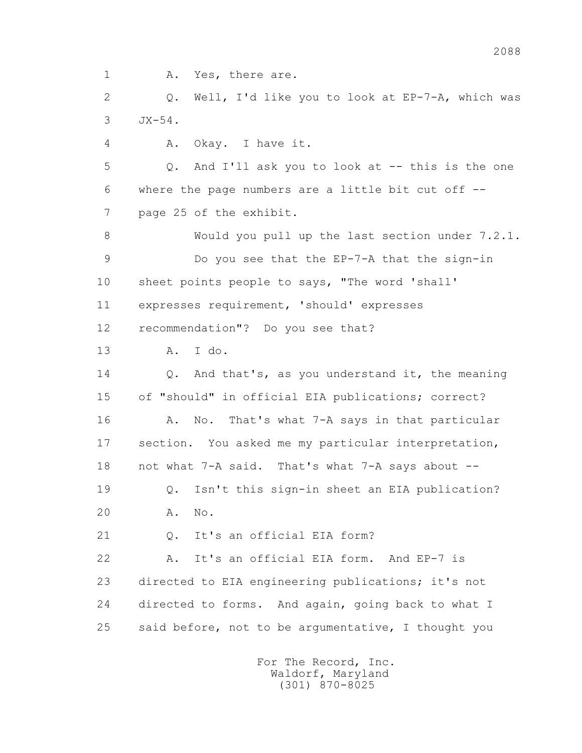1 A. Yes, there are.

 2 Q. Well, I'd like you to look at EP-7-A, which was 3 JX-54.

4 A. Okay. I have it.

 5 Q. And I'll ask you to look at -- this is the one 6 where the page numbers are a little bit cut off -- 7 page 25 of the exhibit.

 8 Would you pull up the last section under 7.2.1. 9 Do you see that the EP-7-A that the sign-in 10 sheet points people to says, "The word 'shall' 11 expresses requirement, 'should' expresses

12 recommendation"? Do you see that?

13 A. I do.

14 0. And that's, as you understand it, the meaning 15 of "should" in official EIA publications; correct? 16 A. No. That's what 7-A says in that particular 17 section. You asked me my particular interpretation, 18 not what 7-A said. That's what 7-A says about -- 19 Q. Isn't this sign-in sheet an EIA publication?

20 A. No.

21 0. It's an official EIA form?

 22 A. It's an official EIA form. And EP-7 is 23 directed to EIA engineering publications; it's not 24 directed to forms. And again, going back to what I 25 said before, not to be argumentative, I thought you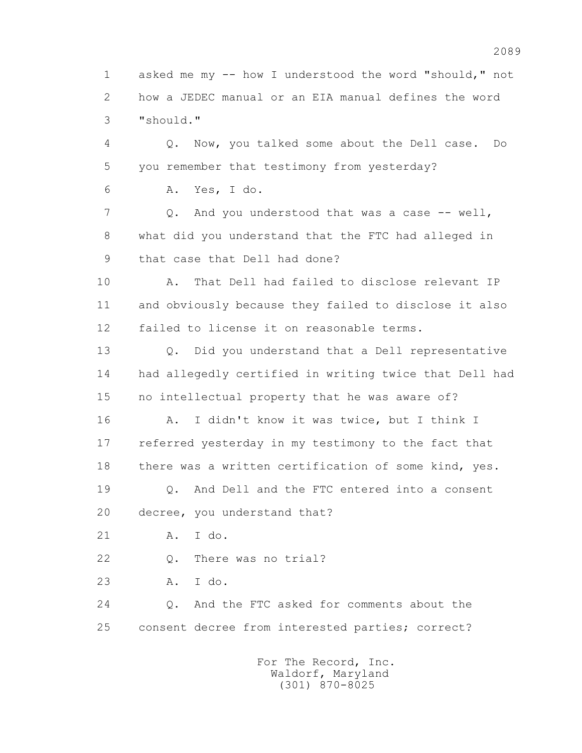1 asked me my -- how I understood the word "should," not 2 how a JEDEC manual or an EIA manual defines the word 3 "should."

 4 Q. Now, you talked some about the Dell case. Do 5 you remember that testimony from yesterday?

6 A. Yes, I do.

7 0. And you understood that was a case -- well, 8 what did you understand that the FTC had alleged in 9 that case that Dell had done?

 10 A. That Dell had failed to disclose relevant IP 11 and obviously because they failed to disclose it also 12 failed to license it on reasonable terms.

 13 Q. Did you understand that a Dell representative 14 had allegedly certified in writing twice that Dell had 15 no intellectual property that he was aware of?

 16 A. I didn't know it was twice, but I think I 17 referred yesterday in my testimony to the fact that 18 there was a written certification of some kind, yes.

 19 Q. And Dell and the FTC entered into a consent 20 decree, you understand that?

21 A. I do.

22 Q. There was no trial?

23 A. I do.

 24 Q. And the FTC asked for comments about the 25 consent decree from interested parties; correct?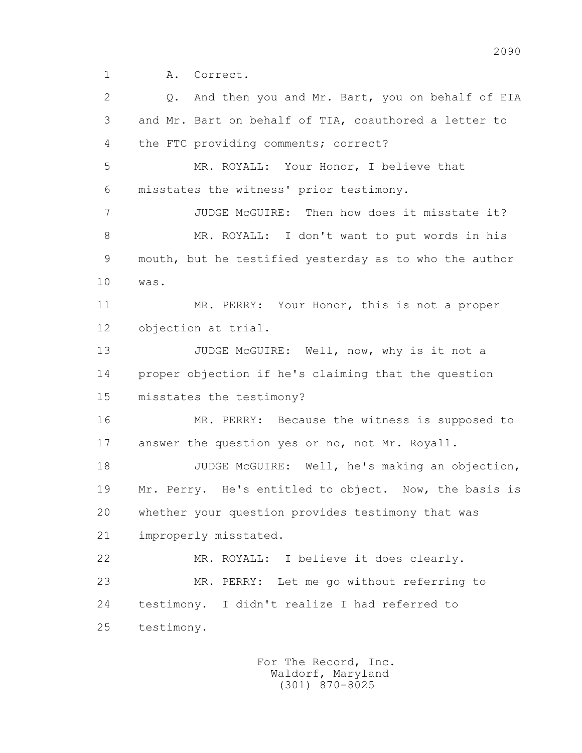1 A. Correct.

 2 Q. And then you and Mr. Bart, you on behalf of EIA 3 and Mr. Bart on behalf of TIA, coauthored a letter to 4 the FTC providing comments; correct? 5 MR. ROYALL: Your Honor, I believe that 6 misstates the witness' prior testimony. 7 JUDGE McGUIRE: Then how does it misstate it? 8 MR. ROYALL: I don't want to put words in his 9 mouth, but he testified yesterday as to who the author 10 was. 11 MR. PERRY: Your Honor, this is not a proper 12 objection at trial. 13 JUDGE McGUIRE: Well, now, why is it not a 14 proper objection if he's claiming that the question 15 misstates the testimony? 16 MR. PERRY: Because the witness is supposed to 17 answer the question yes or no, not Mr. Royall. 18 JUDGE McGUIRE: Well, he's making an objection, 19 Mr. Perry. He's entitled to object. Now, the basis is 20 whether your question provides testimony that was 21 improperly misstated. 22 MR. ROYALL: I believe it does clearly. 23 MR. PERRY: Let me go without referring to 24 testimony. I didn't realize I had referred to 25 testimony.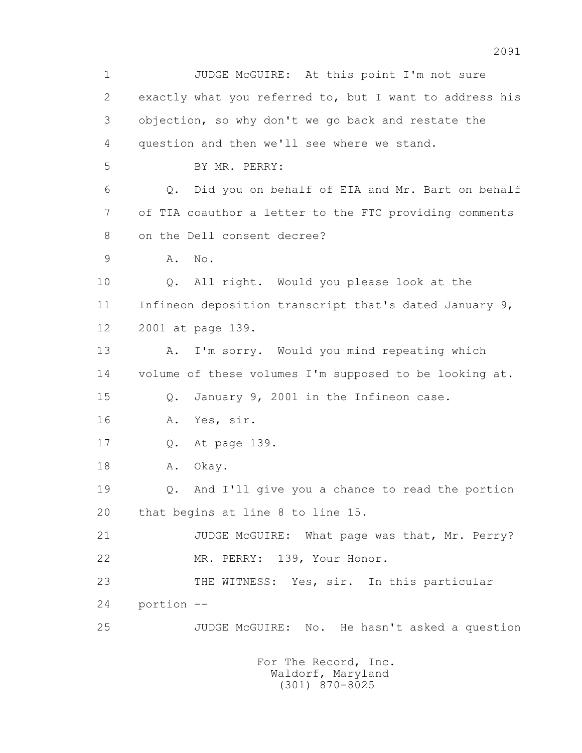1 JUDGE McGUIRE: At this point I'm not sure 2 exactly what you referred to, but I want to address his 3 objection, so why don't we go back and restate the 4 question and then we'll see where we stand. 5 BY MR. PERRY: 6 Q. Did you on behalf of EIA and Mr. Bart on behalf 7 of TIA coauthor a letter to the FTC providing comments 8 on the Dell consent decree? 9 A. No. 10 Q. All right. Would you please look at the 11 Infineon deposition transcript that's dated January 9, 12 2001 at page 139. 13 A. I'm sorry. Would you mind repeating which 14 volume of these volumes I'm supposed to be looking at. 15 Q. January 9, 2001 in the Infineon case. 16 A. Yes, sir. 17 Q. At page 139. 18 A. Okay. 19 Q. And I'll give you a chance to read the portion 20 that begins at line 8 to line 15. 21 JUDGE McGUIRE: What page was that, Mr. Perry? 22 MR. PERRY: 139, Your Honor. 23 THE WITNESS: Yes, sir. In this particular 24 portion -- 25 JUDGE McGUIRE: No. He hasn't asked a question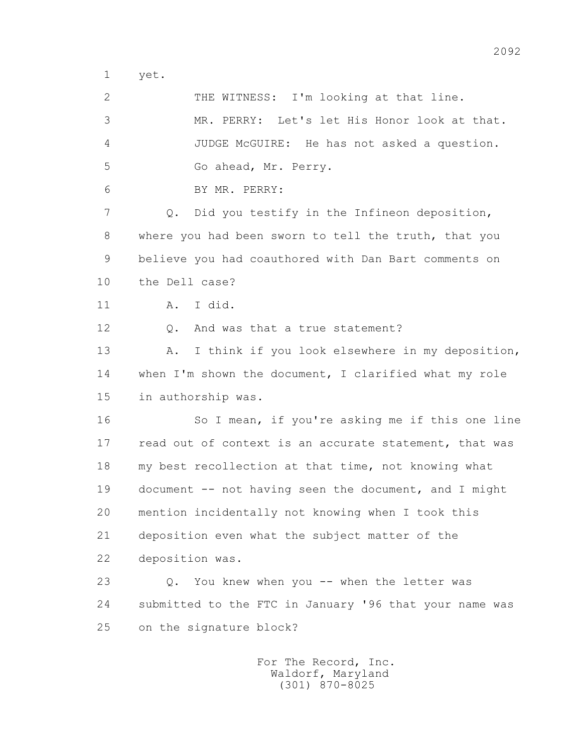1 yet.

 2 THE WITNESS: I'm looking at that line. 3 MR. PERRY: Let's let His Honor look at that. 4 JUDGE McGUIRE: He has not asked a question. 5 Go ahead, Mr. Perry. 6 BY MR. PERRY: 7 Q. Did you testify in the Infineon deposition, 8 where you had been sworn to tell the truth, that you 9 believe you had coauthored with Dan Bart comments on 10 the Dell case? 11 A. I did. 12 Q. And was that a true statement? 13 A. I think if you look elsewhere in my deposition, 14 when I'm shown the document, I clarified what my role 15 in authorship was. 16 So I mean, if you're asking me if this one line 17 read out of context is an accurate statement, that was 18 my best recollection at that time, not knowing what 19 document -- not having seen the document, and I might 20 mention incidentally not knowing when I took this 21 deposition even what the subject matter of the 22 deposition was. 23 Q. You knew when you -- when the letter was 24 submitted to the FTC in January '96 that your name was 25 on the signature block?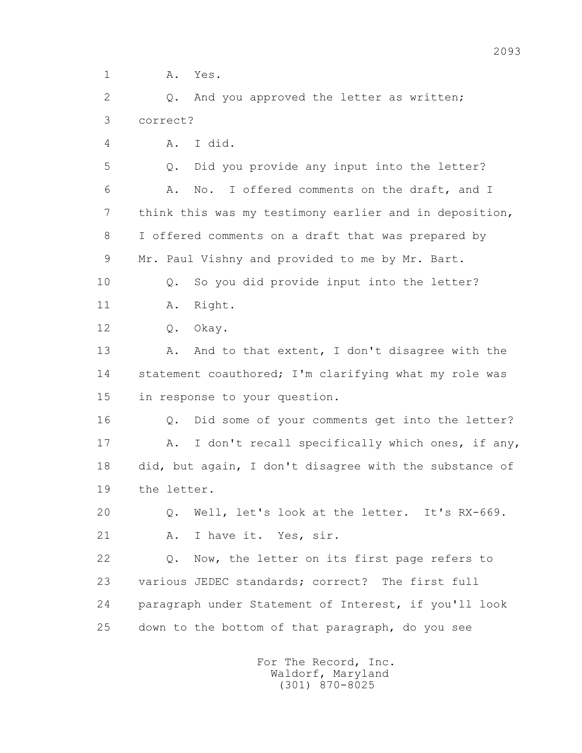1 **A.** Yes.

2 0. And you approved the letter as written; 3 correct?

4 A. I did.

 5 Q. Did you provide any input into the letter? 6 A. No. I offered comments on the draft, and I 7 think this was my testimony earlier and in deposition, 8 I offered comments on a draft that was prepared by 9 Mr. Paul Vishny and provided to me by Mr. Bart. 10 Q. So you did provide input into the letter?

11 A. Right.

12 Q. Okay.

13 A. And to that extent, I don't disagree with the 14 statement coauthored; I'm clarifying what my role was 15 in response to your question.

 16 Q. Did some of your comments get into the letter? 17 A. I don't recall specifically which ones, if any, 18 did, but again, I don't disagree with the substance of 19 the letter.

 20 Q. Well, let's look at the letter. It's RX-669. 21 A. I have it. Yes, sir.

 22 Q. Now, the letter on its first page refers to 23 various JEDEC standards; correct? The first full 24 paragraph under Statement of Interest, if you'll look 25 down to the bottom of that paragraph, do you see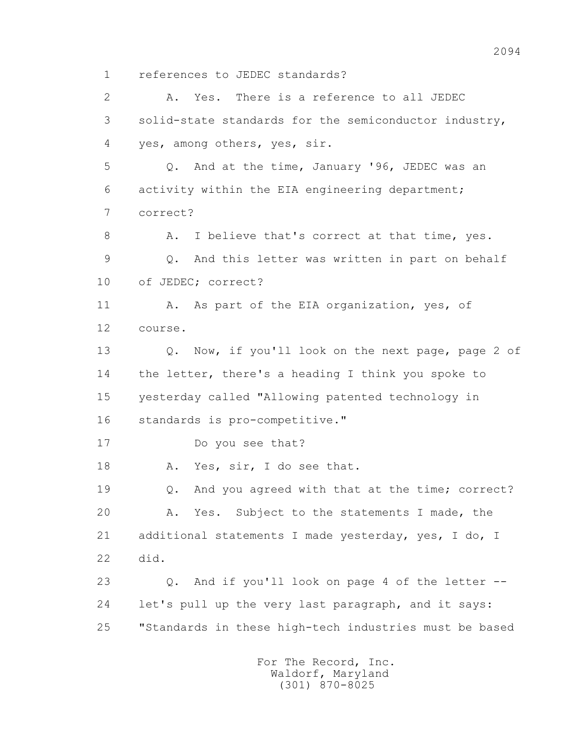1 references to JEDEC standards?

 2 A. Yes. There is a reference to all JEDEC 3 solid-state standards for the semiconductor industry, 4 yes, among others, yes, sir. 5 Q. And at the time, January '96, JEDEC was an 6 activity within the EIA engineering department; 7 correct? 8 A. I believe that's correct at that time, yes. 9 Q. And this letter was written in part on behalf 10 of JEDEC; correct? 11 A. As part of the EIA organization, yes, of 12 course. 13 Q. Now, if you'll look on the next page, page 2 of 14 the letter, there's a heading I think you spoke to 15 yesterday called "Allowing patented technology in 16 standards is pro-competitive." 17 Do you see that? 18 A. Yes, sir, I do see that. 19 Q. And you agreed with that at the time; correct? 20 A. Yes. Subject to the statements I made, the 21 additional statements I made yesterday, yes, I do, I 22 did. 23 Q. And if you'll look on page 4 of the letter -- 24 let's pull up the very last paragraph, and it says: 25 "Standards in these high-tech industries must be based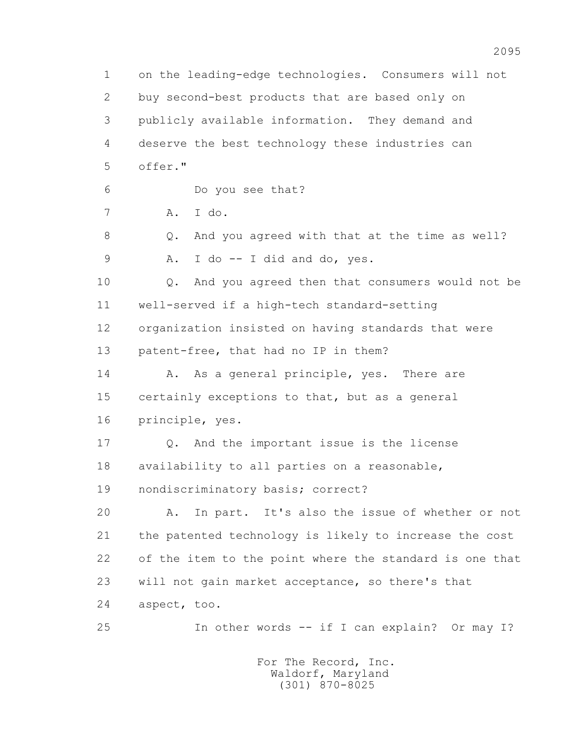1 on the leading-edge technologies. Consumers will not 2 buy second-best products that are based only on 3 publicly available information. They demand and 4 deserve the best technology these industries can 5 offer." 6 Do you see that? 7 A. I do. 8 Q. And you agreed with that at the time as well? 9 A. I do -- I did and do, yes. 10 Q. And you agreed then that consumers would not be 11 well-served if a high-tech standard-setting 12 organization insisted on having standards that were 13 patent-free, that had no IP in them? 14 A. As a general principle, yes. There are 15 certainly exceptions to that, but as a general 16 principle, yes. 17 Q. And the important issue is the license 18 availability to all parties on a reasonable, 19 nondiscriminatory basis; correct? 20 A. In part. It's also the issue of whether or not 21 the patented technology is likely to increase the cost 22 of the item to the point where the standard is one that 23 will not gain market acceptance, so there's that 24 aspect, too. 25 In other words -- if I can explain? Or may I? For The Record, Inc.

> Waldorf, Maryland (301) 870-8025

2095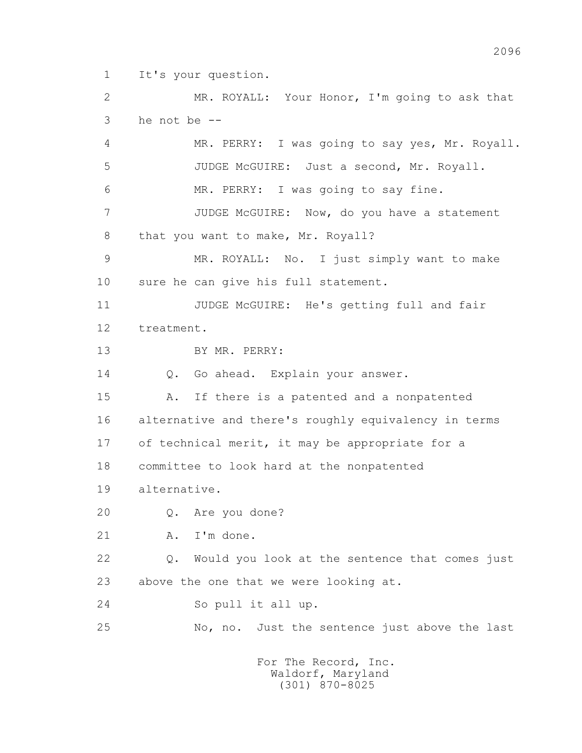1 It's your question.

 2 MR. ROYALL: Your Honor, I'm going to ask that 3 he not be -- 4 MR. PERRY: I was going to say yes, Mr. Royall.

 5 JUDGE McGUIRE: Just a second, Mr. Royall. 6 MR. PERRY: I was going to say fine. 7 JUDGE McGUIRE: Now, do you have a statement 8 that you want to make, Mr. Royall? 9 MR. ROYALL: No. I just simply want to make 10 sure he can give his full statement. 11 JUDGE McGUIRE: He's getting full and fair 12 treatment. 13 BY MR. PERRY: 14 O. Go ahead. Explain your answer. 15 A. If there is a patented and a nonpatented 16 alternative and there's roughly equivalency in terms 17 of technical merit, it may be appropriate for a 18 committee to look hard at the nonpatented 19 alternative. 20 Q. Are you done? 21 A. I'm done. 22 Q. Would you look at the sentence that comes just 23 above the one that we were looking at. 24 So pull it all up. 25 No, no. Just the sentence just above the last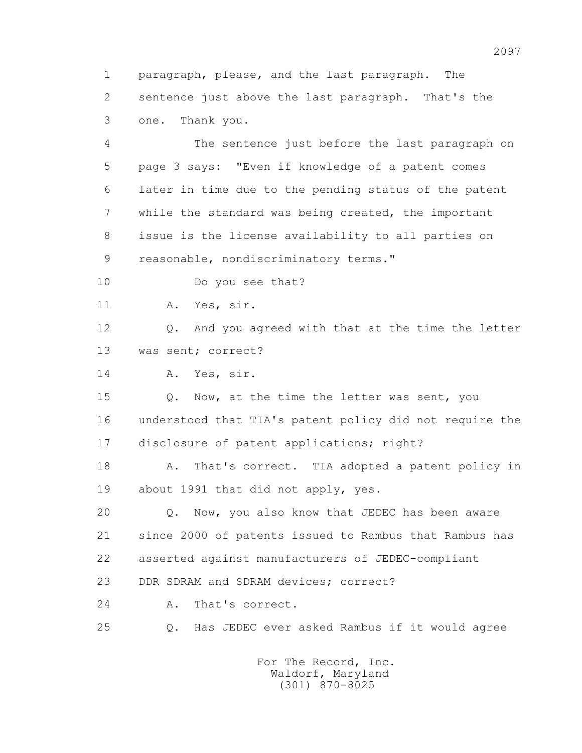1 paragraph, please, and the last paragraph. The 2 sentence just above the last paragraph. That's the 3 one. Thank you.

 4 The sentence just before the last paragraph on 5 page 3 says: "Even if knowledge of a patent comes 6 later in time due to the pending status of the patent 7 while the standard was being created, the important 8 issue is the license availability to all parties on 9 reasonable, nondiscriminatory terms."

10 Do you see that?

11 A. Yes, sir.

 12 Q. And you agreed with that at the time the letter 13 was sent; correct?

14 A. Yes, sir.

15 Q. Now, at the time the letter was sent, you 16 understood that TIA's patent policy did not require the 17 disclosure of patent applications; right?

 18 A. That's correct. TIA adopted a patent policy in 19 about 1991 that did not apply, yes.

 20 Q. Now, you also know that JEDEC has been aware 21 since 2000 of patents issued to Rambus that Rambus has 22 asserted against manufacturers of JEDEC-compliant

23 DDR SDRAM and SDRAM devices; correct?

24 A. That's correct.

25 Q. Has JEDEC ever asked Rambus if it would agree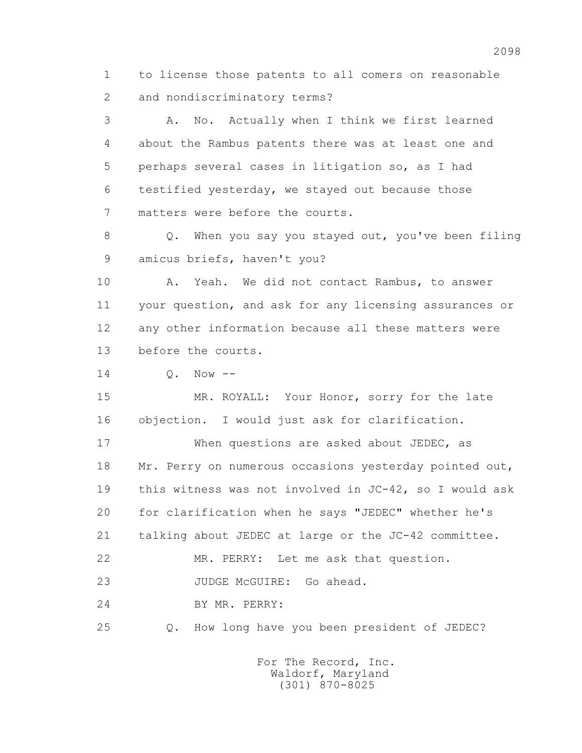1 to license those patents to all comers on reasonable 2 and nondiscriminatory terms?

 3 A. No. Actually when I think we first learned 4 about the Rambus patents there was at least one and 5 perhaps several cases in litigation so, as I had 6 testified yesterday, we stayed out because those 7 matters were before the courts.

 8 Q. When you say you stayed out, you've been filing 9 amicus briefs, haven't you?

 10 A. Yeah. We did not contact Rambus, to answer 11 your question, and ask for any licensing assurances or 12 any other information because all these matters were 13 before the courts.

 $14$   $0.$  Now  $-$ 

15 MR. ROYALL: Your Honor, sorry for the late 16 objection. I would just ask for clarification.

17 When questions are asked about JEDEC, as 18 Mr. Perry on numerous occasions yesterday pointed out, 19 this witness was not involved in JC-42, so I would ask 20 for clarification when he says "JEDEC" whether he's 21 talking about JEDEC at large or the JC-42 committee. 22 MR. PERRY: Let me ask that question. 23 JUDGE McGUIRE: Go ahead. 24 BY MR. PERRY:

25 Q. How long have you been president of JEDEC?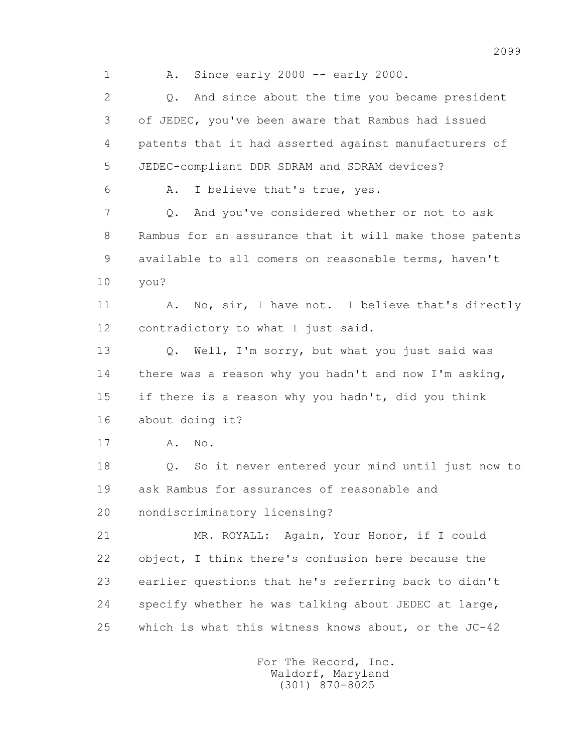1 A. Since early 2000 -- early 2000.

2 0. And since about the time you became president 3 of JEDEC, you've been aware that Rambus had issued 4 patents that it had asserted against manufacturers of 5 JEDEC-compliant DDR SDRAM and SDRAM devices? 6 A. I believe that's true, yes. 7 Q. And you've considered whether or not to ask 8 Rambus for an assurance that it will make those patents 9 available to all comers on reasonable terms, haven't 10 you? 11 A. No, sir, I have not. I believe that's directly 12 contradictory to what I just said. 13 Q. Well, I'm sorry, but what you just said was 14 there was a reason why you hadn't and now I'm asking, 15 if there is a reason why you hadn't, did you think 16 about doing it? 17 **A.** No. 18 Q. So it never entered your mind until just now to 19 ask Rambus for assurances of reasonable and 20 nondiscriminatory licensing? 21 MR. ROYALL: Again, Your Honor, if I could 22 object, I think there's confusion here because the 23 earlier questions that he's referring back to didn't 24 specify whether he was talking about JEDEC at large, 25 which is what this witness knows about, or the JC-42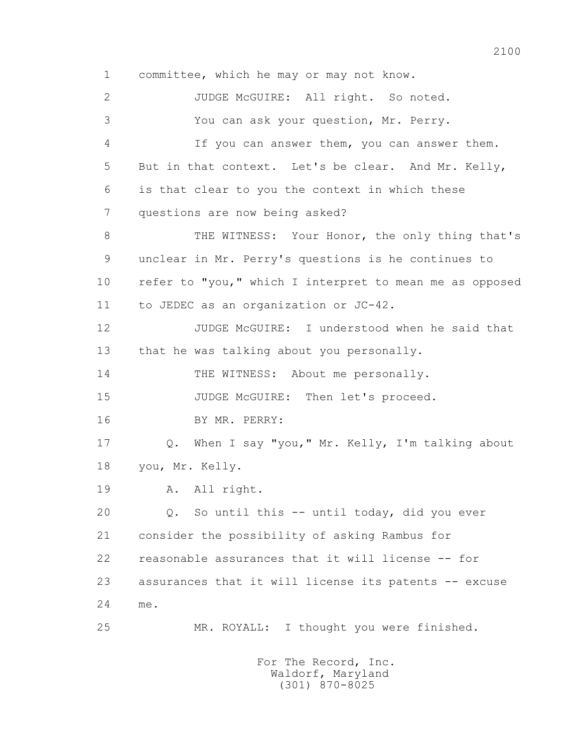1 committee, which he may or may not know. 2 JUDGE McGUIRE: All right. So noted. 3 You can ask your question, Mr. Perry. 4 If you can answer them, you can answer them. 5 But in that context. Let's be clear. And Mr. Kelly, 6 is that clear to you the context in which these 7 questions are now being asked? 8 THE WITNESS: Your Honor, the only thing that's 9 unclear in Mr. Perry's questions is he continues to 10 refer to "you," which I interpret to mean me as opposed 11 to JEDEC as an organization or JC-42. 12 JUDGE McGUIRE: I understood when he said that 13 that he was talking about you personally. 14 THE WITNESS: About me personally. 15 JUDGE McGUIRE: Then let's proceed. 16 BY MR. PERRY: 17 Q. When I say "you," Mr. Kelly, I'm talking about 18 you, Mr. Kelly. 19 A. All right. 20 Q. So until this -- until today, did you ever 21 consider the possibility of asking Rambus for 22 reasonable assurances that it will license -- for 23 assurances that it will license its patents -- excuse 24 me. 25 MR. ROYALL: I thought you were finished. For The Record, Inc.

 Waldorf, Maryland (301) 870-8025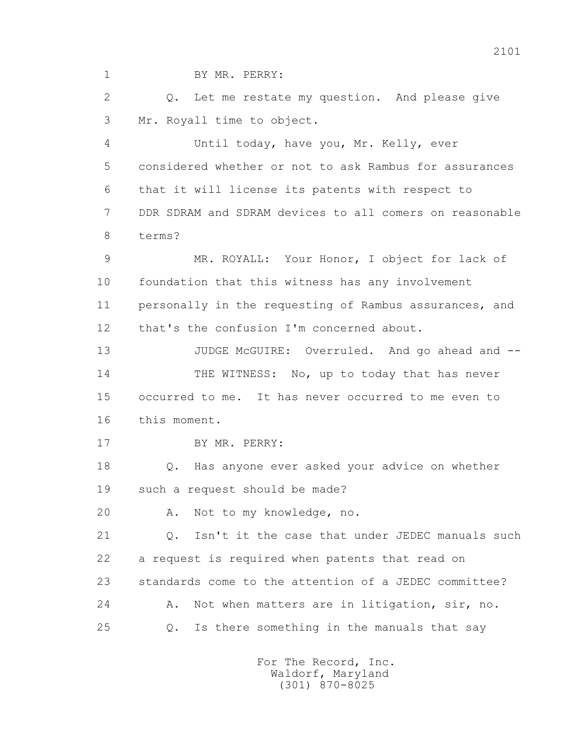1 BY MR. PERRY: 2 0. Let me restate my question. And please give 3 Mr. Royall time to object. 4 Until today, have you, Mr. Kelly, ever 5 considered whether or not to ask Rambus for assurances 6 that it will license its patents with respect to 7 DDR SDRAM and SDRAM devices to all comers on reasonable 8 terms? 9 MR. ROYALL: Your Honor, I object for lack of 10 foundation that this witness has any involvement 11 personally in the requesting of Rambus assurances, and 12 that's the confusion I'm concerned about. 13 JUDGE McGUIRE: Overruled. And go ahead and --14 THE WITNESS: No, up to today that has never 15 occurred to me. It has never occurred to me even to 16 this moment. 17 BY MR. PERRY: 18 Q. Has anyone ever asked your advice on whether 19 such a request should be made? 20 A. Not to my knowledge, no. 21 0. Isn't it the case that under JEDEC manuals such 22 a request is required when patents that read on 23 standards come to the attention of a JEDEC committee? 24 A. Not when matters are in litigation, sir, no. 25 Q. Is there something in the manuals that say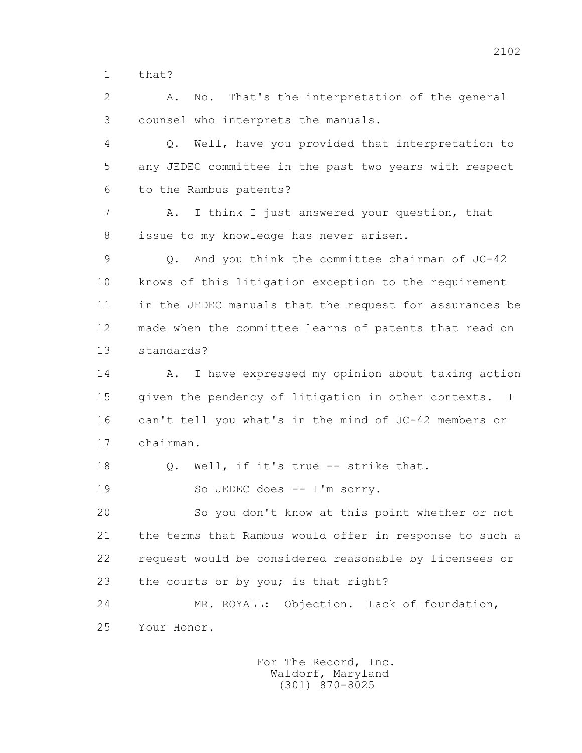1 that?

 2 A. No. That's the interpretation of the general 3 counsel who interprets the manuals.

 4 Q. Well, have you provided that interpretation to 5 any JEDEC committee in the past two years with respect 6 to the Rambus patents?

 7 A. I think I just answered your question, that 8 issue to my knowledge has never arisen.

 9 Q. And you think the committee chairman of JC-42 10 knows of this litigation exception to the requirement 11 in the JEDEC manuals that the request for assurances be 12 made when the committee learns of patents that read on 13 standards?

14 A. I have expressed my opinion about taking action 15 given the pendency of litigation in other contexts. I 16 can't tell you what's in the mind of JC-42 members or 17 chairman.

18 Q. Well, if it's true -- strike that.

19 So JEDEC does -- I'm sorry.

 20 So you don't know at this point whether or not 21 the terms that Rambus would offer in response to such a 22 request would be considered reasonable by licensees or 23 the courts or by you; is that right?

 24 MR. ROYALL: Objection. Lack of foundation, 25 Your Honor.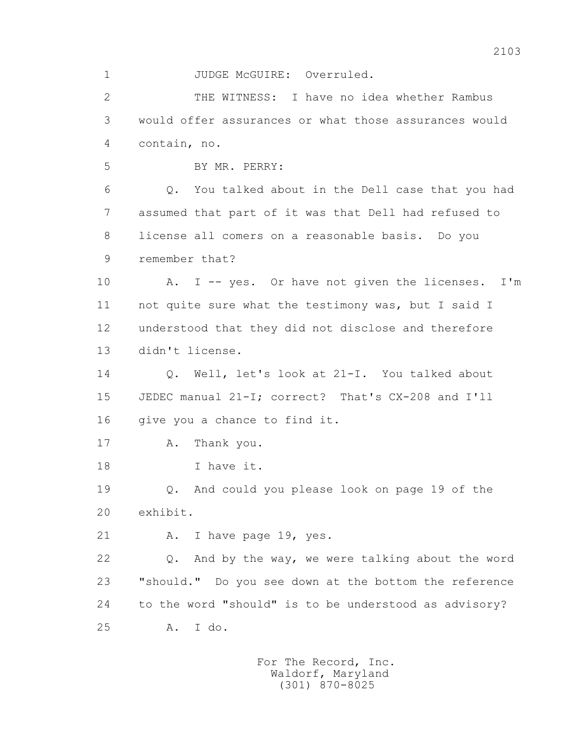1 JUDGE McGUIRE: Overruled.

 2 THE WITNESS: I have no idea whether Rambus 3 would offer assurances or what those assurances would 4 contain, no.

5 BY MR. PERRY:

 6 Q. You talked about in the Dell case that you had 7 assumed that part of it was that Dell had refused to 8 license all comers on a reasonable basis. Do you 9 remember that?

 10 A. I -- yes. Or have not given the licenses. I'm 11 not quite sure what the testimony was, but I said I 12 understood that they did not disclose and therefore 13 didn't license.

14 0. Well, let's look at 21-I. You talked about 15 JEDEC manual 21-I; correct? That's CX-208 and I'll 16 give you a chance to find it.

17 A. Thank you.

18 I have it.

 19 Q. And could you please look on page 19 of the 20 exhibit.

21 A. I have page 19, yes.

 22 Q. And by the way, we were talking about the word 23 "should." Do you see down at the bottom the reference 24 to the word "should" is to be understood as advisory? 25 A. I do.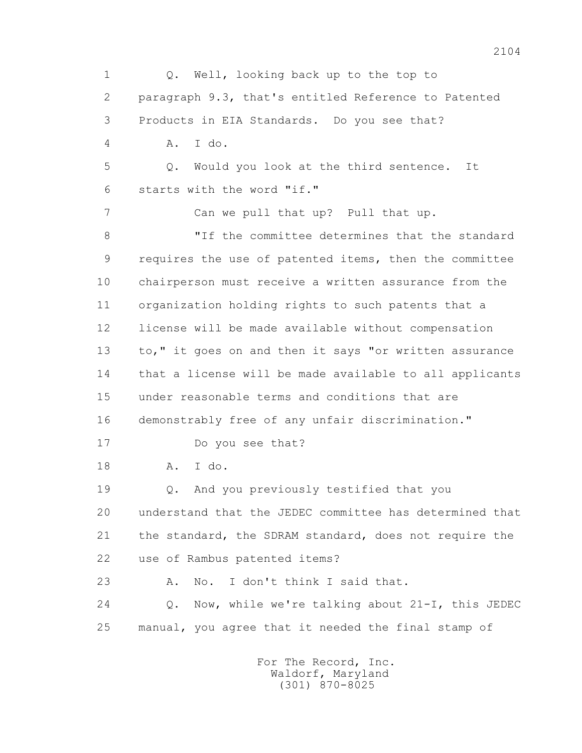1 Q. Well, looking back up to the top to 2 paragraph 9.3, that's entitled Reference to Patented 3 Products in EIA Standards. Do you see that? 4 A. I do. 5 Q. Would you look at the third sentence. It 6 starts with the word "if." 7 Can we pull that up? Pull that up. 8 TH the committee determines that the standard 9 requires the use of patented items, then the committee 10 chairperson must receive a written assurance from the 11 organization holding rights to such patents that a 12 license will be made available without compensation 13 to," it goes on and then it says "or written assurance 14 that a license will be made available to all applicants 15 under reasonable terms and conditions that are 16 demonstrably free of any unfair discrimination." 17 Do you see that? 18 A. I do. 19 Q. And you previously testified that you 20 understand that the JEDEC committee has determined that 21 the standard, the SDRAM standard, does not require the 22 use of Rambus patented items? 23 A. No. I don't think I said that. 24 Q. Now, while we're talking about 21-I, this JEDEC 25 manual, you agree that it needed the final stamp of

 For The Record, Inc. Waldorf, Maryland (301) 870-8025

2104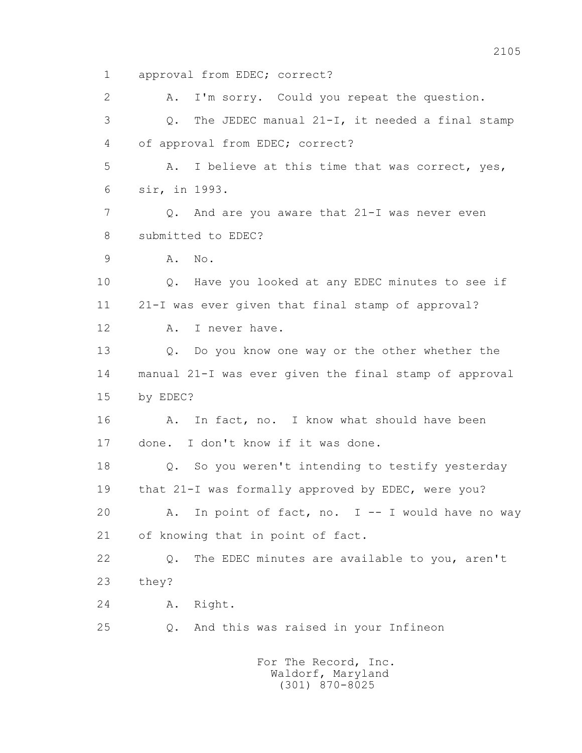1 approval from EDEC; correct? 2 A. I'm sorry. Could you repeat the question. 3 Q. The JEDEC manual 21-I, it needed a final stamp 4 of approval from EDEC; correct? 5 A. I believe at this time that was correct, yes, 6 sir, in 1993. 7 0. And are you aware that 21-I was never even 8 submitted to EDEC? 9 A. No. 10 Q. Have you looked at any EDEC minutes to see if 11 21-I was ever given that final stamp of approval? 12 A. I never have. 13 Q. Do you know one way or the other whether the 14 manual 21-I was ever given the final stamp of approval 15 by EDEC? 16 A. In fact, no. I know what should have been 17 done. I don't know if it was done. 18 Q. So you weren't intending to testify yesterday 19 that 21-I was formally approved by EDEC, were you? 20 A. In point of fact, no. I -- I would have no way 21 of knowing that in point of fact. 22 Q. The EDEC minutes are available to you, aren't 23 they? 24 A. Right. 25 Q. And this was raised in your Infineon For The Record, Inc.

 Waldorf, Maryland (301) 870-8025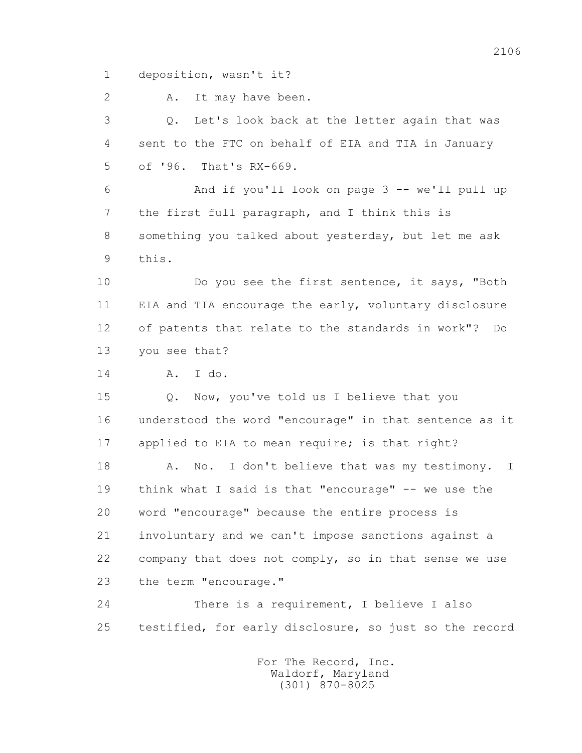1 deposition, wasn't it?

2 A. It may have been.

 3 Q. Let's look back at the letter again that was 4 sent to the FTC on behalf of EIA and TIA in January 5 of '96. That's RX-669.

 6 And if you'll look on page 3 -- we'll pull up 7 the first full paragraph, and I think this is 8 something you talked about yesterday, but let me ask 9 this.

 10 Do you see the first sentence, it says, "Both 11 EIA and TIA encourage the early, voluntary disclosure 12 of patents that relate to the standards in work"? Do 13 you see that?

14 A. I do.

 15 Q. Now, you've told us I believe that you 16 understood the word "encourage" in that sentence as it 17 applied to EIA to mean require; is that right?

18 A. No. I don't believe that was my testimony. I 19 think what I said is that "encourage" -- we use the 20 word "encourage" because the entire process is 21 involuntary and we can't impose sanctions against a 22 company that does not comply, so in that sense we use 23 the term "encourage."

 24 There is a requirement, I believe I also 25 testified, for early disclosure, so just so the record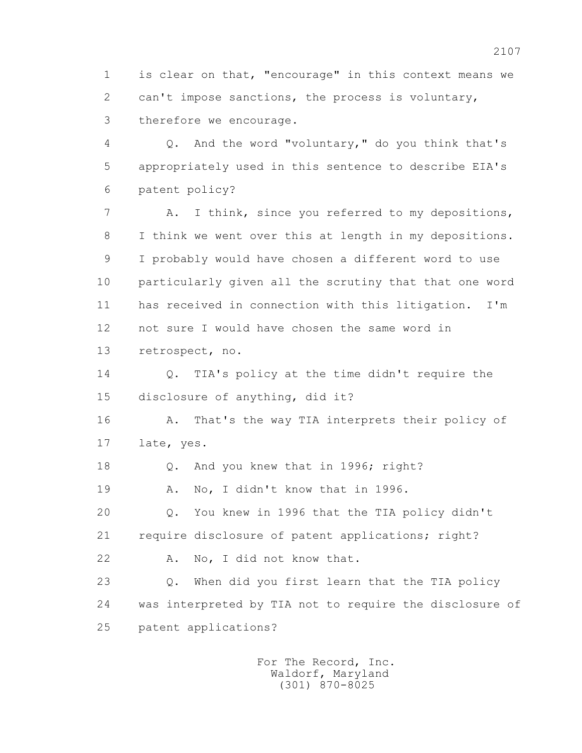1 is clear on that, "encourage" in this context means we 2 can't impose sanctions, the process is voluntary, 3 therefore we encourage.

 4 Q. And the word "voluntary," do you think that's 5 appropriately used in this sentence to describe EIA's 6 patent policy?

 7 A. I think, since you referred to my depositions, 8 I think we went over this at length in my depositions. 9 I probably would have chosen a different word to use 10 particularly given all the scrutiny that that one word 11 has received in connection with this litigation. I'm 12 not sure I would have chosen the same word in 13 retrospect, no.

 14 Q. TIA's policy at the time didn't require the 15 disclosure of anything, did it?

 16 A. That's the way TIA interprets their policy of 17 late, yes.

18 Q. And you knew that in 1996; right?

19 A. No, I didn't know that in 1996.

 20 Q. You knew in 1996 that the TIA policy didn't 21 require disclosure of patent applications; right?

22 A. No, I did not know that.

 23 Q. When did you first learn that the TIA policy 24 was interpreted by TIA not to require the disclosure of 25 patent applications?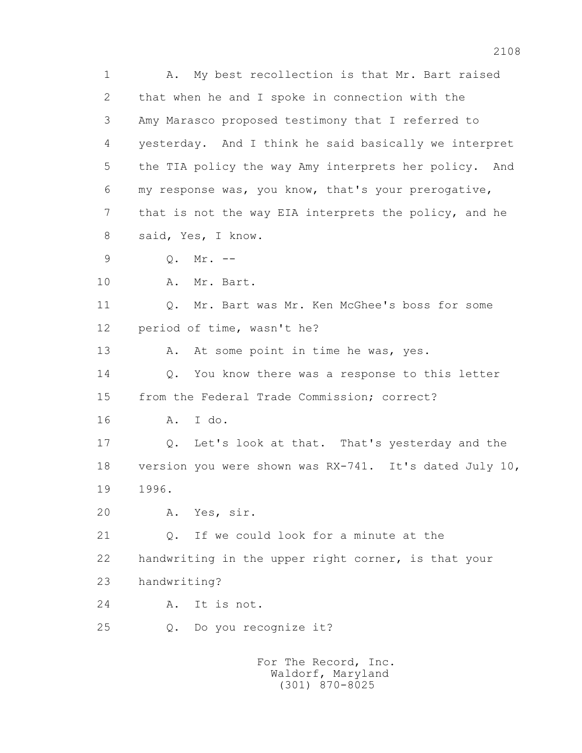1 A. My best recollection is that Mr. Bart raised 2 that when he and I spoke in connection with the 3 Amy Marasco proposed testimony that I referred to 4 yesterday. And I think he said basically we interpret 5 the TIA policy the way Amy interprets her policy. And 6 my response was, you know, that's your prerogative, 7 that is not the way EIA interprets the policy, and he 8 said, Yes, I know. 9 Q. Mr. -- 10 A. Mr. Bart. 11 Q. Mr. Bart was Mr. Ken McGhee's boss for some 12 period of time, wasn't he? 13 A. At some point in time he was, yes. 14 Q. You know there was a response to this letter 15 from the Federal Trade Commission; correct? 16 A. I do. 17 Q. Let's look at that. That's yesterday and the 18 version you were shown was RX-741. It's dated July 10, 19 1996. 20 A. Yes, sir. 21 0. If we could look for a minute at the 22 handwriting in the upper right corner, is that your 23 handwriting? 24 A. It is not. 25 Q. Do you recognize it? For The Record, Inc.

 Waldorf, Maryland (301) 870-8025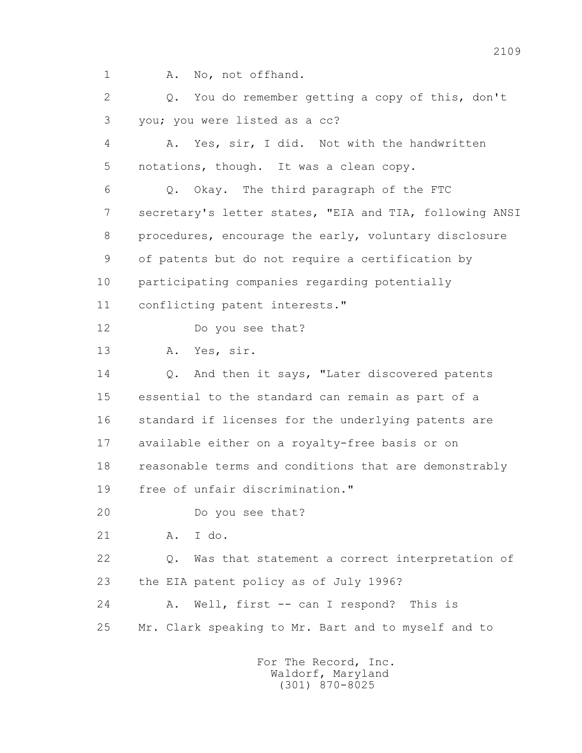1 A. No, not offhand.

 2 Q. You do remember getting a copy of this, don't 3 you; you were listed as a cc? 4 A. Yes, sir, I did. Not with the handwritten 5 notations, though. It was a clean copy. 6 Q. Okay. The third paragraph of the FTC 7 secretary's letter states, "EIA and TIA, following ANSI 8 procedures, encourage the early, voluntary disclosure 9 of patents but do not require a certification by 10 participating companies regarding potentially 11 conflicting patent interests." 12 Do you see that? 13 A. Yes, sir. 14 Q. And then it says, "Later discovered patents 15 essential to the standard can remain as part of a 16 standard if licenses for the underlying patents are 17 available either on a royalty-free basis or on 18 reasonable terms and conditions that are demonstrably 19 free of unfair discrimination." 20 Do you see that? 21 A. I do. 22 Q. Was that statement a correct interpretation of 23 the EIA patent policy as of July 1996? 24 A. Well, first -- can I respond? This is 25 Mr. Clark speaking to Mr. Bart and to myself and to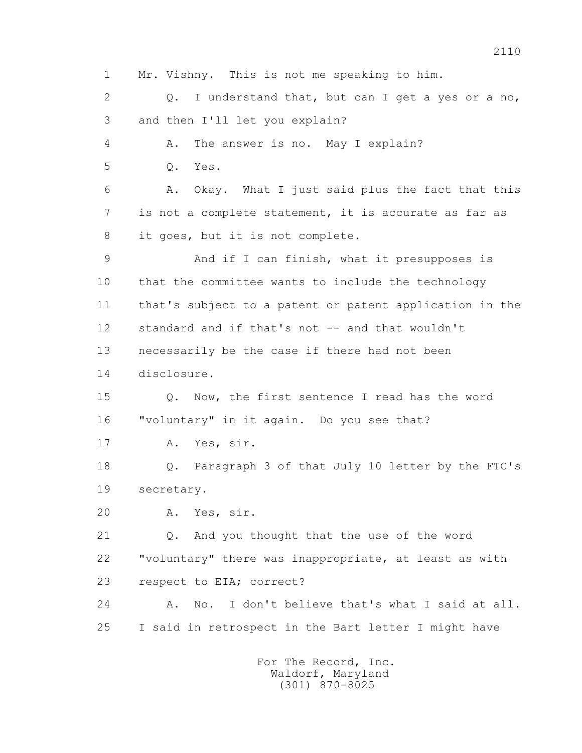1 Mr. Vishny. This is not me speaking to him. 2 0. I understand that, but can I get a yes or a no, 3 and then I'll let you explain? 4 A. The answer is no. May I explain? 5 Q. Yes. 6 A. Okay. What I just said plus the fact that this 7 is not a complete statement, it is accurate as far as 8 it goes, but it is not complete. 9 And if I can finish, what it presupposes is 10 that the committee wants to include the technology 11 that's subject to a patent or patent application in the 12 standard and if that's not -- and that wouldn't 13 necessarily be the case if there had not been 14 disclosure. 15 Q. Now, the first sentence I read has the word 16 "voluntary" in it again. Do you see that? 17 A. Yes, sir. 18 Q. Paragraph 3 of that July 10 letter by the FTC's 19 secretary. 20 A. Yes, sir. 21 Q. And you thought that the use of the word 22 "voluntary" there was inappropriate, at least as with 23 respect to EIA; correct? 24 A. No. I don't believe that's what I said at all. 25 I said in retrospect in the Bart letter I might have For The Record, Inc.

 Waldorf, Maryland (301) 870-8025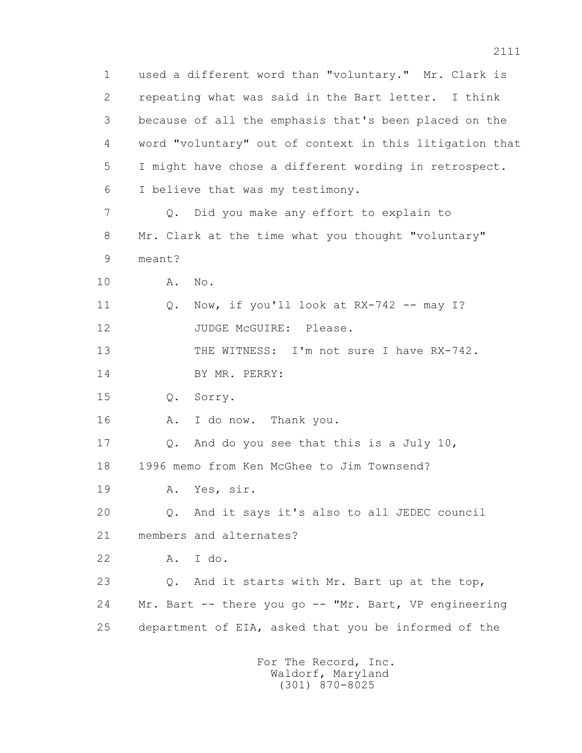1 used a different word than "voluntary." Mr. Clark is 2 repeating what was said in the Bart letter. I think 3 because of all the emphasis that's been placed on the 4 word "voluntary" out of context in this litigation that 5 I might have chose a different wording in retrospect. 6 I believe that was my testimony. 7 Q. Did you make any effort to explain to 8 Mr. Clark at the time what you thought "voluntary" 9 meant? 10 A. No. 11 O. Now, if you'll look at RX-742 -- may I? 12 JUDGE McGUIRE: Please. 13 THE WITNESS: I'm not sure I have RX-742. 14 BY MR. PERRY: 15 Q. Sorry. 16 A. I do now. Thank you. 17 Q. And do you see that this is a July 10, 18 1996 memo from Ken McGhee to Jim Townsend? 19 A. Yes, sir. 20 Q. And it says it's also to all JEDEC council 21 members and alternates? 22 A. I do. 23 Q. And it starts with Mr. Bart up at the top, 24 Mr. Bart -- there you go -- "Mr. Bart, VP engineering 25 department of EIA, asked that you be informed of the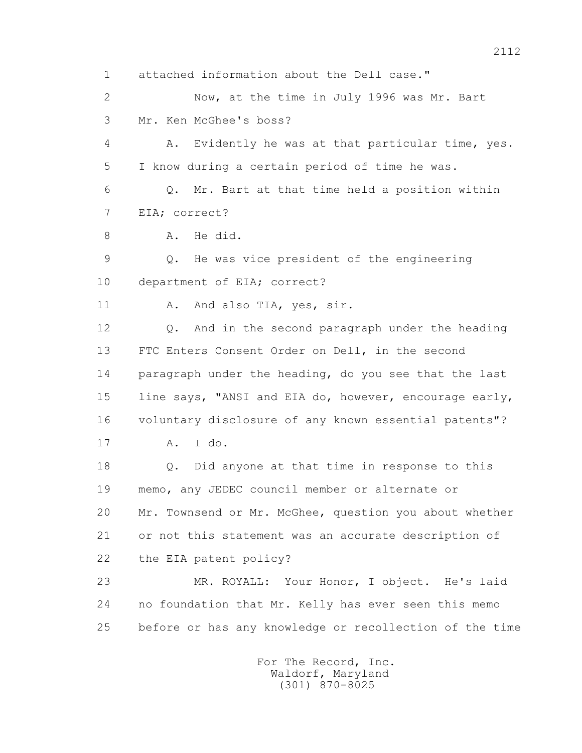1 attached information about the Dell case."

 2 Now, at the time in July 1996 was Mr. Bart 3 Mr. Ken McGhee's boss?

 4 A. Evidently he was at that particular time, yes. 5 I know during a certain period of time he was.

 6 Q. Mr. Bart at that time held a position within 7 EIA; correct?

8 A. He did.

 9 Q. He was vice president of the engineering 10 department of EIA; correct?

11 A. And also TIA, yes, sir.

 12 Q. And in the second paragraph under the heading 13 FTC Enters Consent Order on Dell, in the second 14 paragraph under the heading, do you see that the last 15 line says, "ANSI and EIA do, however, encourage early, 16 voluntary disclosure of any known essential patents"? 17 A. I do.

 18 Q. Did anyone at that time in response to this 19 memo, any JEDEC council member or alternate or 20 Mr. Townsend or Mr. McGhee, question you about whether 21 or not this statement was an accurate description of 22 the EIA patent policy?

 23 MR. ROYALL: Your Honor, I object. He's laid 24 no foundation that Mr. Kelly has ever seen this memo 25 before or has any knowledge or recollection of the time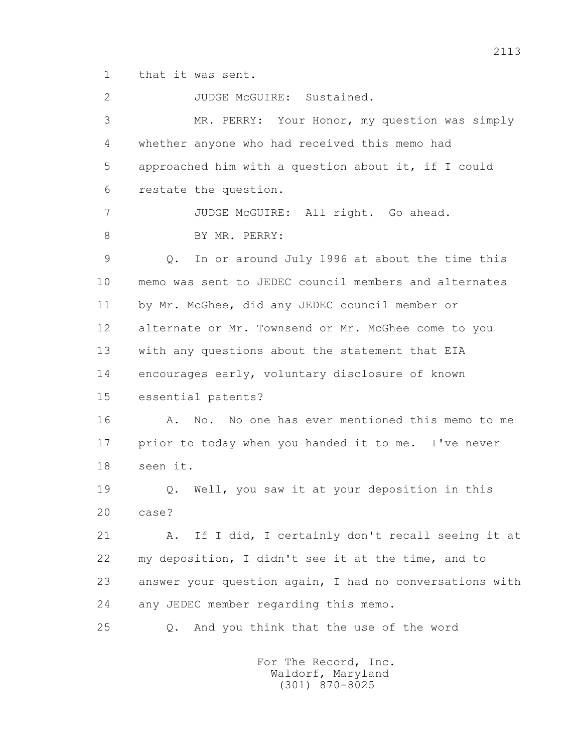1 that it was sent.

2 JUDGE McGUIRE: Sustained.

 3 MR. PERRY: Your Honor, my question was simply 4 whether anyone who had received this memo had 5 approached him with a question about it, if I could 6 restate the question. 7 JUDGE McGUIRE: All right. Go ahead. 8 BY MR. PERRY: 9 Q. In or around July 1996 at about the time this 10 memo was sent to JEDEC council members and alternates 11 by Mr. McGhee, did any JEDEC council member or 12 alternate or Mr. Townsend or Mr. McGhee come to you 13 with any questions about the statement that EIA 14 encourages early, voluntary disclosure of known 15 essential patents? 16 A. No. No one has ever mentioned this memo to me

 17 prior to today when you handed it to me. I've never 18 seen it.

 19 Q. Well, you saw it at your deposition in this 20 case?

 21 A. If I did, I certainly don't recall seeing it at 22 my deposition, I didn't see it at the time, and to 23 answer your question again, I had no conversations with 24 any JEDEC member regarding this memo.

25 Q. And you think that the use of the word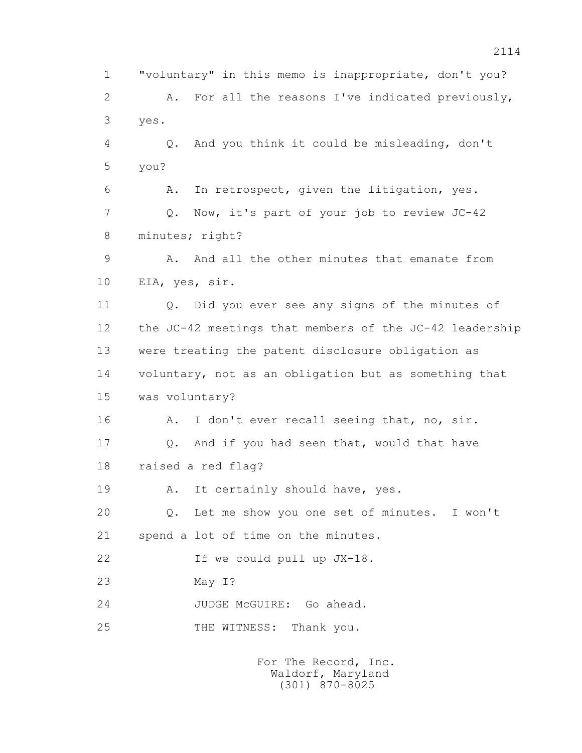1 "voluntary" in this memo is inappropriate, don't you? 2 A. For all the reasons I've indicated previously, 3 yes. 4 Q. And you think it could be misleading, don't 5 you? 6 A. In retrospect, given the litigation, yes. 7 Q. Now, it's part of your job to review JC-42 8 minutes; right? 9 A. And all the other minutes that emanate from 10 EIA, yes, sir. 11 Q. Did you ever see any signs of the minutes of 12 the JC-42 meetings that members of the JC-42 leadership 13 were treating the patent disclosure obligation as 14 voluntary, not as an obligation but as something that 15 was voluntary? 16 A. I don't ever recall seeing that, no, sir. 17 Q. And if you had seen that, would that have 18 raised a red flag? 19 A. It certainly should have, yes. 20 Q. Let me show you one set of minutes. I won't 21 spend a lot of time on the minutes. 22 If we could pull up JX-18. 23 May I? 24 JUDGE McGUIRE: Go ahead. 25 THE WITNESS: Thank you.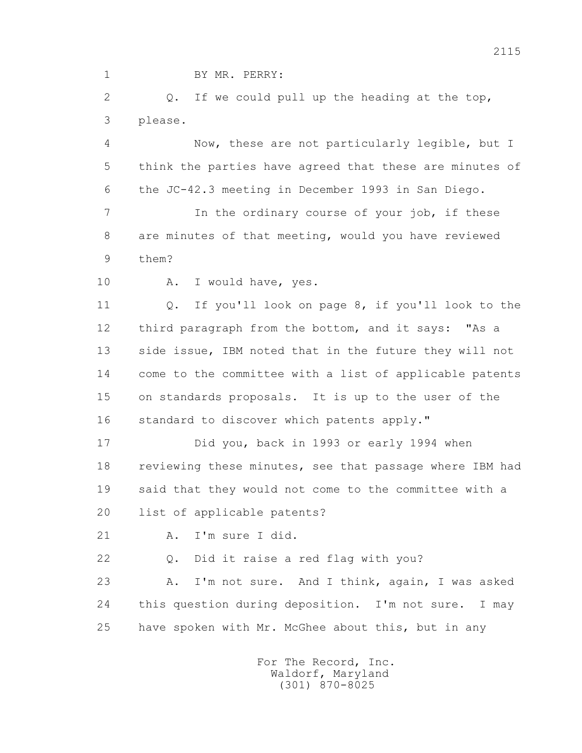1 BY MR. PERRY:

 2 Q. If we could pull up the heading at the top, 3 please.

 4 Now, these are not particularly legible, but I 5 think the parties have agreed that these are minutes of 6 the JC-42.3 meeting in December 1993 in San Diego.

 7 In the ordinary course of your job, if these 8 are minutes of that meeting, would you have reviewed 9 them?

10 A. I would have, yes.

 11 Q. If you'll look on page 8, if you'll look to the 12 third paragraph from the bottom, and it says: "As a 13 side issue, IBM noted that in the future they will not 14 come to the committee with a list of applicable patents 15 on standards proposals. It is up to the user of the 16 standard to discover which patents apply."

 17 Did you, back in 1993 or early 1994 when 18 reviewing these minutes, see that passage where IBM had 19 said that they would not come to the committee with a 20 list of applicable patents?

21 A. I'm sure I did.

22 Q. Did it raise a red flag with you?

 23 A. I'm not sure. And I think, again, I was asked 24 this question during deposition. I'm not sure. I may 25 have spoken with Mr. McGhee about this, but in any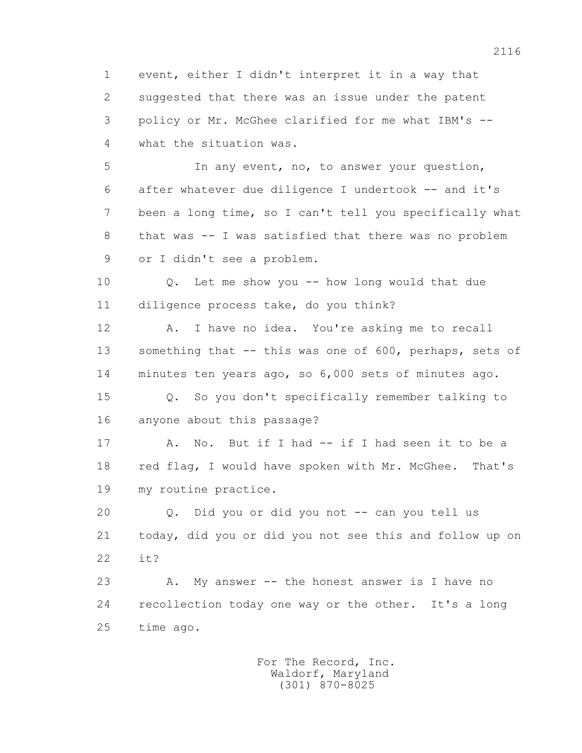1 event, either I didn't interpret it in a way that 2 suggested that there was an issue under the patent 3 policy or Mr. McGhee clarified for me what IBM's -- 4 what the situation was.

 5 In any event, no, to answer your question, 6 after whatever due diligence I undertook -- and it's 7 been a long time, so I can't tell you specifically what 8 that was -- I was satisfied that there was no problem 9 or I didn't see a problem.

 10 Q. Let me show you -- how long would that due 11 diligence process take, do you think?

 12 A. I have no idea. You're asking me to recall 13 something that -- this was one of 600, perhaps, sets of 14 minutes ten years ago, so 6,000 sets of minutes ago.

 15 Q. So you don't specifically remember talking to 16 anyone about this passage?

17 A. No. But if I had -- if I had seen it to be a 18 red flag, I would have spoken with Mr. McGhee. That's 19 my routine practice.

 20 Q. Did you or did you not -- can you tell us 21 today, did you or did you not see this and follow up on 22 it?

 23 A. My answer -- the honest answer is I have no 24 recollection today one way or the other. It's a long 25 time ago.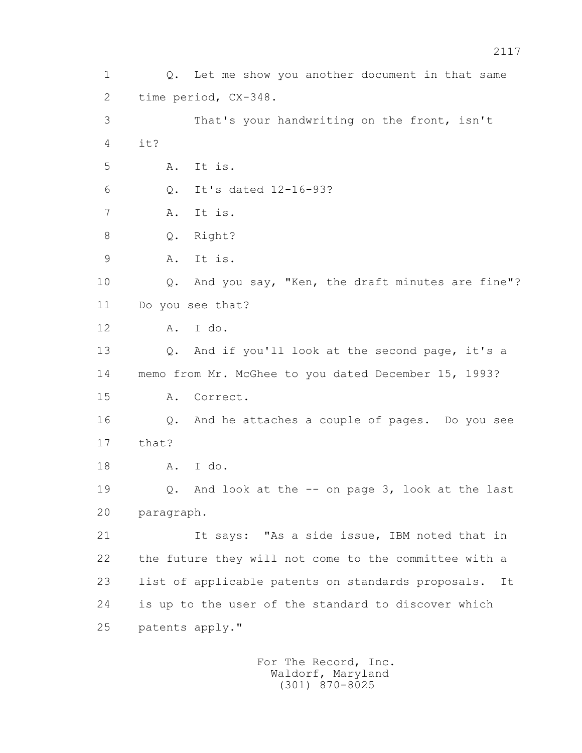1 Q. Let me show you another document in that same 2 time period, CX-348. 3 That's your handwriting on the front, isn't 4  $\mathbf{i} + 2$  5 A. It is. 6 Q. It's dated 12-16-93? 7 A. It is. 8 Q. Right? 9 A. It is. 10 Q. And you say, "Ken, the draft minutes are fine"? 11 Do you see that? 12 A. I do. 13 Q. And if you'll look at the second page, it's a 14 memo from Mr. McGhee to you dated December 15, 1993? 15 A. Correct. 16 Q. And he attaches a couple of pages. Do you see 17 that? 18 A. I do. 19 Q. And look at the -- on page 3, look at the last 20 paragraph. 21 It says: "As a side issue, IBM noted that in 22 the future they will not come to the committee with a 23 list of applicable patents on standards proposals. It 24 is up to the user of the standard to discover which 25 patents apply."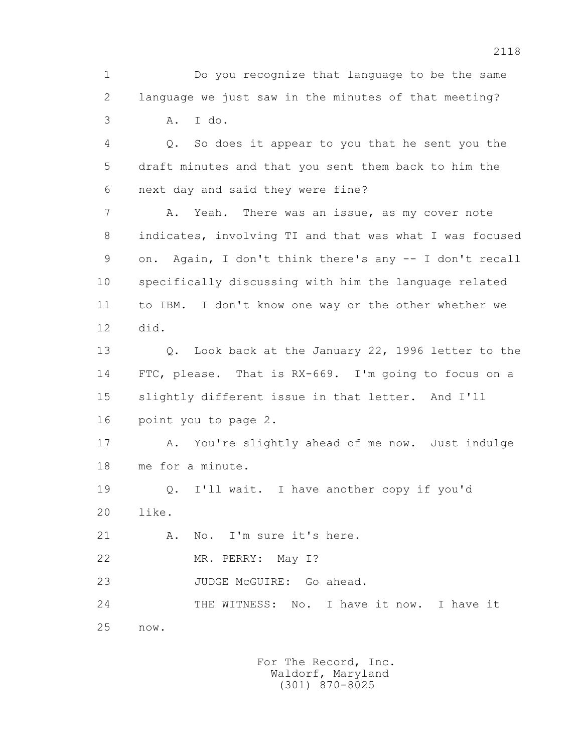1 Do you recognize that language to be the same 2 language we just saw in the minutes of that meeting? 3 A. I do.

 4 Q. So does it appear to you that he sent you the 5 draft minutes and that you sent them back to him the 6 next day and said they were fine?

7 A. Yeah. There was an issue, as my cover note 8 indicates, involving TI and that was what I was focused 9 on. Again, I don't think there's any -- I don't recall 10 specifically discussing with him the language related 11 to IBM. I don't know one way or the other whether we 12 did.

 13 Q. Look back at the January 22, 1996 letter to the 14 FTC, please. That is RX-669. I'm going to focus on a 15 slightly different issue in that letter. And I'll 16 point you to page 2.

 17 A. You're slightly ahead of me now. Just indulge 18 me for a minute.

 19 Q. I'll wait. I have another copy if you'd 20 like.

21 A. No. I'm sure it's here.

22 MR. PERRY: May I?

23 JUDGE McGUIRE: Go ahead.

24 THE WITNESS: No. I have it now. I have it 25 now.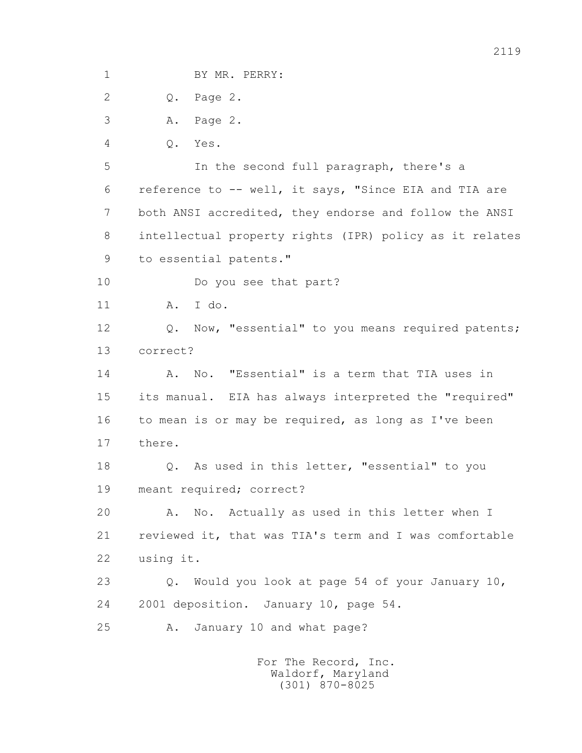1 BY MR. PERRY: 2 Q. Page 2. 3 A. Page 2. 4 Q. Yes. 5 In the second full paragraph, there's a 6 reference to -- well, it says, "Since EIA and TIA are 7 both ANSI accredited, they endorse and follow the ANSI 8 intellectual property rights (IPR) policy as it relates 9 to essential patents." 10 Do you see that part? 11 A. I do. 12 Q. Now, "essential" to you means required patents; 13 correct? 14 A. No. "Essential" is a term that TIA uses in 15 its manual. EIA has always interpreted the "required" 16 to mean is or may be required, as long as I've been 17 there. 18 Q. As used in this letter, "essential" to you 19 meant required; correct? 20 A. No. Actually as used in this letter when I 21 reviewed it, that was TIA's term and I was comfortable 22 using it. 23 Q. Would you look at page 54 of your January 10, 24 2001 deposition. January 10, page 54. 25 A. January 10 and what page?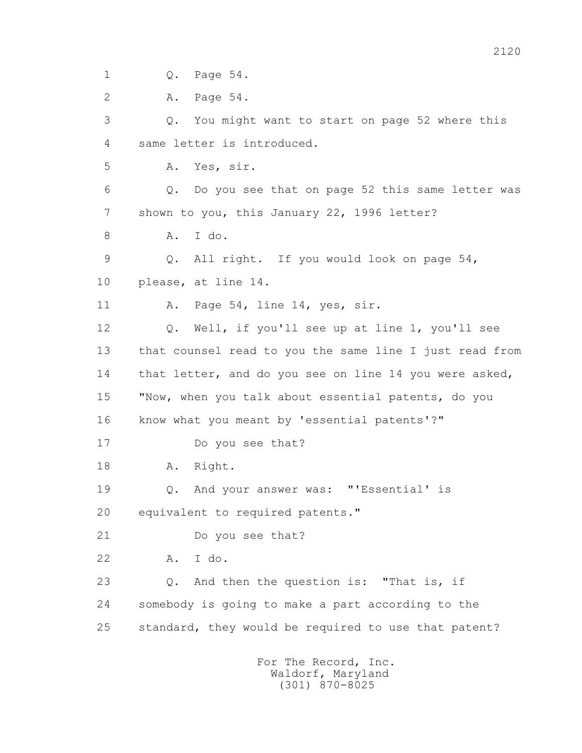1 Q. Page 54.

2 A. Page 54.

 3 Q. You might want to start on page 52 where this 4 same letter is introduced.

5 A. Yes, sir.

 6 Q. Do you see that on page 52 this same letter was 7 shown to you, this January 22, 1996 letter?

8 A. I do.

 9 Q. All right. If you would look on page 54, 10 please, at line 14.

11 A. Page 54, line 14, yes, sir.

 12 Q. Well, if you'll see up at line 1, you'll see 13 that counsel read to you the same line I just read from 14 that letter, and do you see on line 14 you were asked, 15 "Now, when you talk about essential patents, do you 16 know what you meant by 'essential patents'?"

17 Do you see that?

18 A. Right.

19 Q. And your answer was: "'Essential' is

20 equivalent to required patents."

21 Do you see that?

22 A. I do.

 23 Q. And then the question is: "That is, if 24 somebody is going to make a part according to the 25 standard, they would be required to use that patent?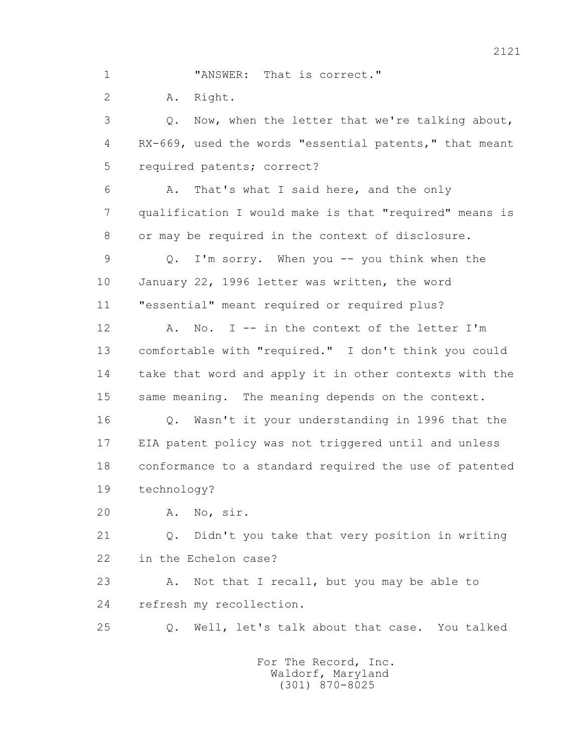1 **"ANSWER:** That is correct."

2 A. Right.

 3 Q. Now, when the letter that we're talking about, 4 RX-669, used the words "essential patents," that meant 5 required patents; correct?

 6 A. That's what I said here, and the only 7 qualification I would make is that "required" means is 8 or may be required in the context of disclosure.

 9 Q. I'm sorry. When you -- you think when the 10 January 22, 1996 letter was written, the word 11 "essential" meant required or required plus?

12 A. No. I -- in the context of the letter I'm 13 comfortable with "required." I don't think you could 14 take that word and apply it in other contexts with the 15 same meaning. The meaning depends on the context.

 16 Q. Wasn't it your understanding in 1996 that the 17 EIA patent policy was not triggered until and unless 18 conformance to a standard required the use of patented 19 technology?

20 A. No, sir.

 21 Q. Didn't you take that very position in writing 22 in the Echelon case?

23 A. Not that I recall, but you may be able to 24 refresh my recollection.

25 Q. Well, let's talk about that case. You talked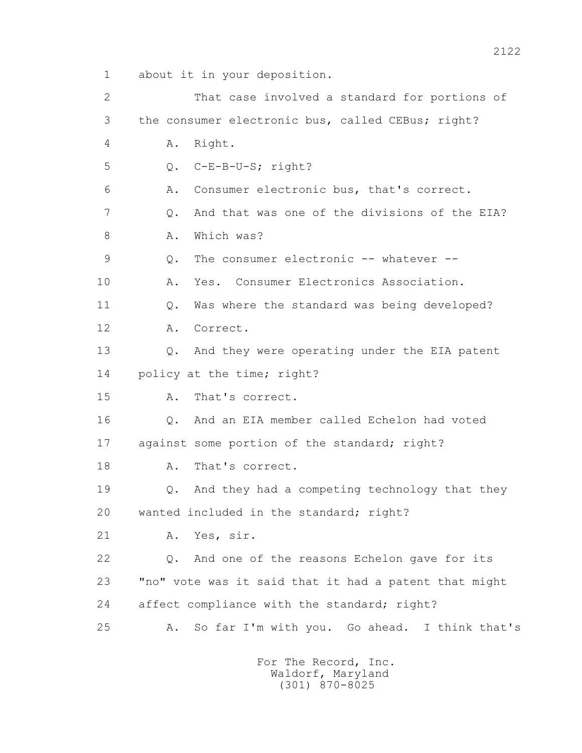1 about it in your deposition.

 2 That case involved a standard for portions of 3 the consumer electronic bus, called CEBus; right? 4 A. Right. 5 Q. C-E-B-U-S; right? 6 A. Consumer electronic bus, that's correct. 7 Q. And that was one of the divisions of the EIA? 8 A. Which was? 9 0. The consumer electronic -- whatever -- 10 A. Yes. Consumer Electronics Association. 11 O. Was where the standard was being developed? 12 A. Correct. 13 0. And they were operating under the EIA patent 14 policy at the time; right? 15 A. That's correct. 16 Q. And an EIA member called Echelon had voted 17 against some portion of the standard; right? 18 A. That's correct. 19 Q. And they had a competing technology that they 20 wanted included in the standard; right? 21 A. Yes, sir. 22 Q. And one of the reasons Echelon gave for its 23 "no" vote was it said that it had a patent that might 24 affect compliance with the standard; right? 25 A. So far I'm with you. Go ahead. I think that's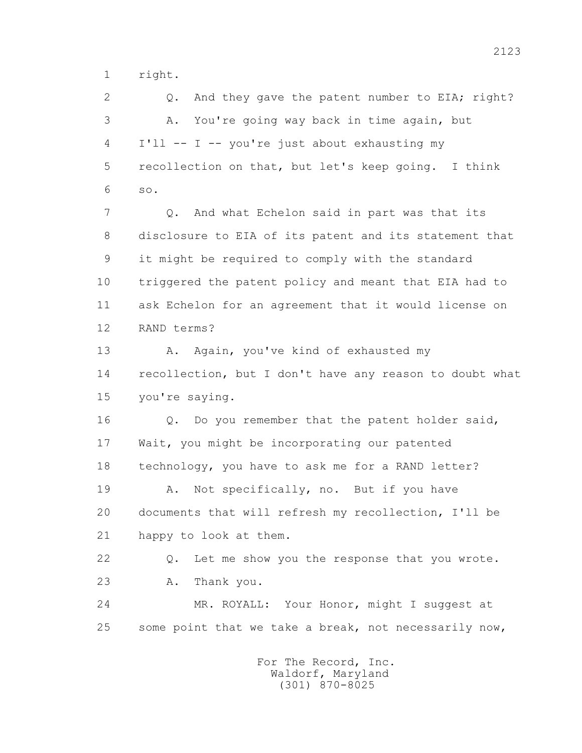1 right.

2 0. And they gave the patent number to EIA; right? 3 A. You're going way back in time again, but 4 I'll -- I -- you're just about exhausting my 5 recollection on that, but let's keep going. I think 6 so. 7 Q. And what Echelon said in part was that its 8 disclosure to EIA of its patent and its statement that 9 it might be required to comply with the standard 10 triggered the patent policy and meant that EIA had to 11 ask Echelon for an agreement that it would license on 12 RAND terms? 13 A. Again, you've kind of exhausted my 14 recollection, but I don't have any reason to doubt what 15 you're saying. 16 Q. Do you remember that the patent holder said, 17 Wait, you might be incorporating our patented 18 technology, you have to ask me for a RAND letter? 19 A. Not specifically, no. But if you have 20 documents that will refresh my recollection, I'll be 21 happy to look at them.

 22 Q. Let me show you the response that you wrote. 23 A. Thank you.

 24 MR. ROYALL: Your Honor, might I suggest at 25 some point that we take a break, not necessarily now,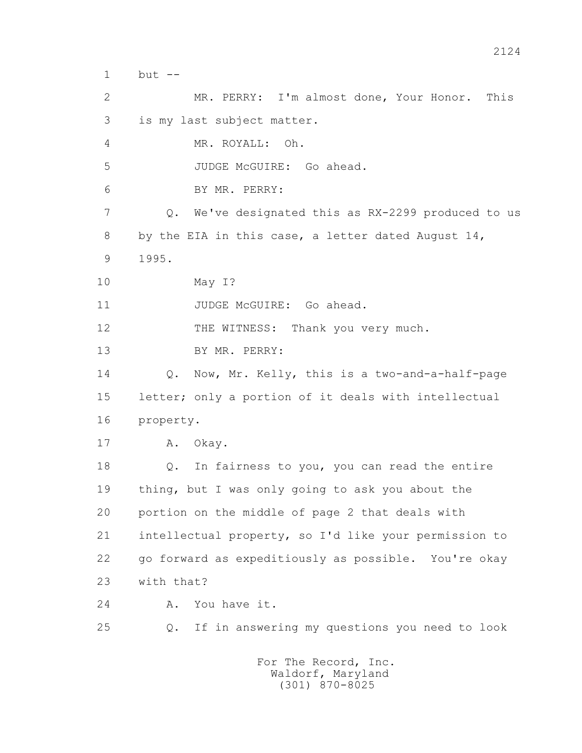1 but --

 2 MR. PERRY: I'm almost done, Your Honor. This 3 is my last subject matter. 4 MR. ROYALL: Oh. 5 JUDGE McGUIRE: Go ahead. 6 BY MR. PERRY: 7 Q. We've designated this as RX-2299 produced to us 8 by the EIA in this case, a letter dated August 14, 9 1995. 10 May I? 11 JUDGE McGUIRE: Go ahead. 12 THE WITNESS: Thank you very much. 13 BY MR. PERRY: 14 Q. Now, Mr. Kelly, this is a two-and-a-half-page 15 letter; only a portion of it deals with intellectual 16 property. 17 A. Okay. 18 Q. In fairness to you, you can read the entire 19 thing, but I was only going to ask you about the 20 portion on the middle of page 2 that deals with 21 intellectual property, so I'd like your permission to 22 go forward as expeditiously as possible. You're okay 23 with that? 24 A. You have it. 25 Q. If in answering my questions you need to look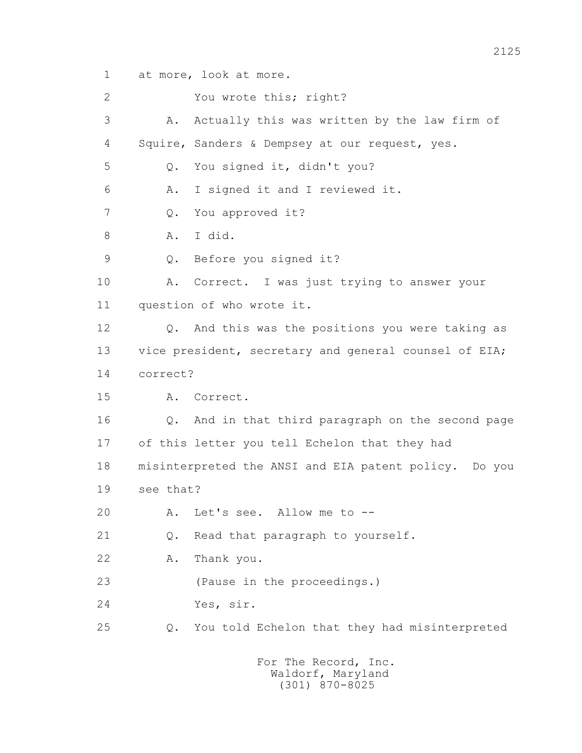1 at more, look at more.

 2 You wrote this; right? 3 A. Actually this was written by the law firm of 4 Squire, Sanders & Dempsey at our request, yes. 5 Q. You signed it, didn't you? 6 A. I signed it and I reviewed it. 7 Q. You approved it? 8 A. I did. 9 Q. Before you signed it? 10 A. Correct. I was just trying to answer your 11 question of who wrote it. 12 Q. And this was the positions you were taking as 13 vice president, secretary and general counsel of EIA; 14 correct? 15 A. Correct. 16 Q. And in that third paragraph on the second page 17 of this letter you tell Echelon that they had 18 misinterpreted the ANSI and EIA patent policy. Do you 19 see that? 20 A. Let's see. Allow me to -- 21 Q. Read that paragraph to yourself. 22 A. Thank you. 23 (Pause in the proceedings.) 24 Yes, sir. 25 Q. You told Echelon that they had misinterpreted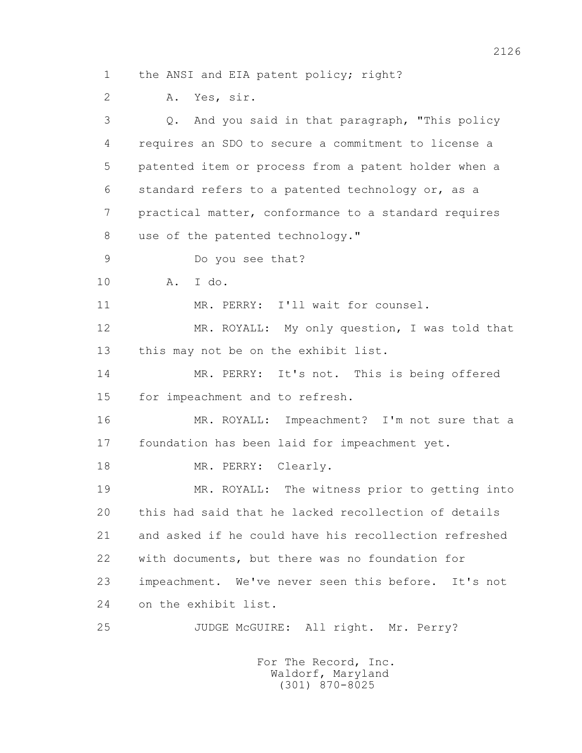1 the ANSI and EIA patent policy; right?

2 A. Yes, sir.

 3 Q. And you said in that paragraph, "This policy 4 requires an SDO to secure a commitment to license a 5 patented item or process from a patent holder when a 6 standard refers to a patented technology or, as a 7 practical matter, conformance to a standard requires 8 use of the patented technology." 9 Do you see that? 10 A. I do. 11 MR. PERRY: I'll wait for counsel. 12 MR. ROYALL: My only question, I was told that 13 this may not be on the exhibit list. 14 MR. PERRY: It's not. This is being offered 15 for impeachment and to refresh. 16 MR. ROYALL: Impeachment? I'm not sure that a 17 foundation has been laid for impeachment yet. 18 MR. PERRY: Clearly. 19 MR. ROYALL: The witness prior to getting into 20 this had said that he lacked recollection of details 21 and asked if he could have his recollection refreshed 22 with documents, but there was no foundation for 23 impeachment. We've never seen this before. It's not 24 on the exhibit list. 25 JUDGE McGUIRE: All right. Mr. Perry?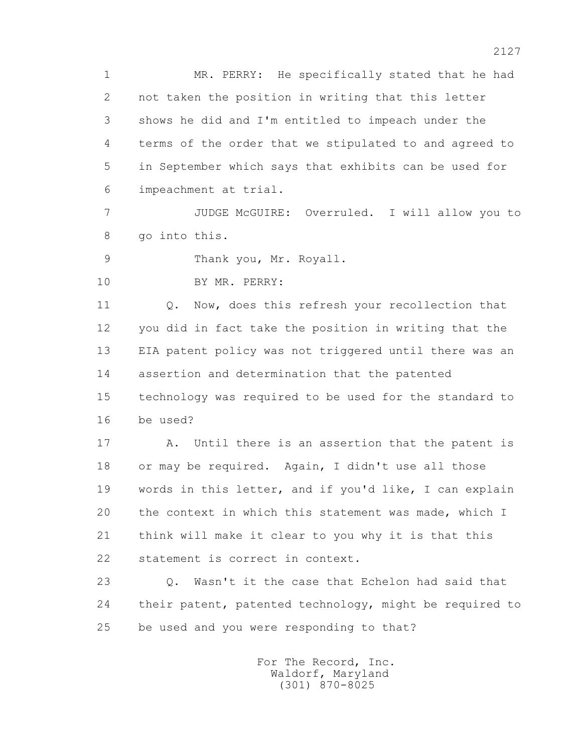1 MR. PERRY: He specifically stated that he had 2 not taken the position in writing that this letter 3 shows he did and I'm entitled to impeach under the 4 terms of the order that we stipulated to and agreed to 5 in September which says that exhibits can be used for 6 impeachment at trial.

 7 JUDGE McGUIRE: Overruled. I will allow you to 8 go into this.

9 Thank you, Mr. Royall.

10 BY MR. PERRY:

11 0. Now, does this refresh your recollection that 12 you did in fact take the position in writing that the 13 EIA patent policy was not triggered until there was an 14 assertion and determination that the patented 15 technology was required to be used for the standard to 16 be used?

 17 A. Until there is an assertion that the patent is 18 or may be required. Again, I didn't use all those 19 words in this letter, and if you'd like, I can explain 20 the context in which this statement was made, which I 21 think will make it clear to you why it is that this 22 statement is correct in context.

 23 Q. Wasn't it the case that Echelon had said that 24 their patent, patented technology, might be required to 25 be used and you were responding to that?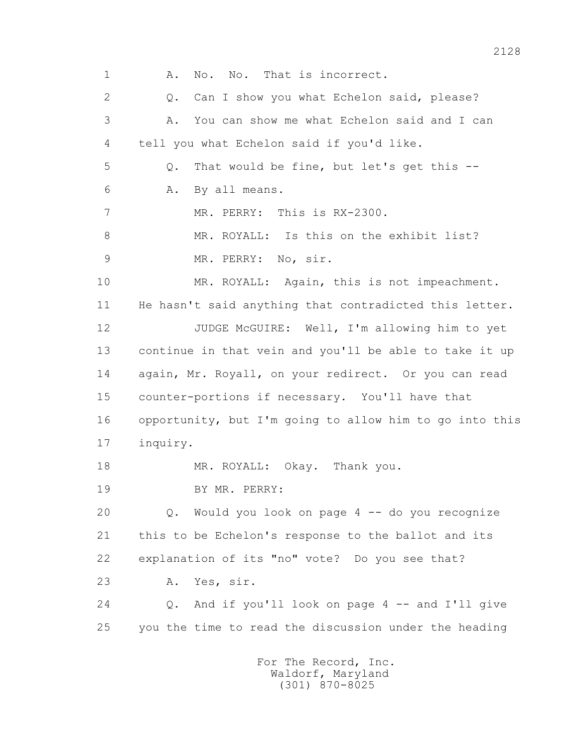1 A. No. No. That is incorrect. 2 0. Can I show you what Echelon said, please? 3 A. You can show me what Echelon said and I can 4 tell you what Echelon said if you'd like. 5 Q. That would be fine, but let's get this -- 6 A. By all means. 7 MR. PERRY: This is RX-2300. 8 MR. ROYALL: Is this on the exhibit list? 9 MR. PERRY: No, sir. 10 MR. ROYALL: Again, this is not impeachment. 11 He hasn't said anything that contradicted this letter. 12 JUDGE McGUIRE: Well, I'm allowing him to yet 13 continue in that vein and you'll be able to take it up 14 again, Mr. Royall, on your redirect. Or you can read 15 counter-portions if necessary. You'll have that 16 opportunity, but I'm going to allow him to go into this 17 inquiry. 18 MR. ROYALL: Okay. Thank you. 19 BY MR. PERRY: 20 Q. Would you look on page 4 -- do you recognize 21 this to be Echelon's response to the ballot and its 22 explanation of its "no" vote? Do you see that? 23 A. Yes, sir. 24 0. And if you'll look on page 4 -- and I'll give 25 you the time to read the discussion under the heading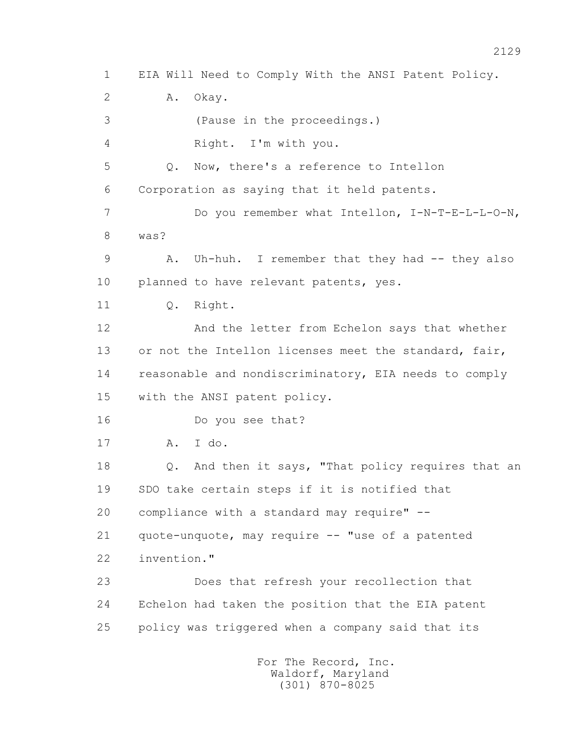1 EIA Will Need to Comply With the ANSI Patent Policy. 2 A. Okay. 3 (Pause in the proceedings.) 4 Right. I'm with you. 5 Q. Now, there's a reference to Intellon 6 Corporation as saying that it held patents. 7 Do you remember what Intellon, I-N-T-E-L-L-O-N, 8 was? 9 A. Uh-huh. I remember that they had -- they also 10 planned to have relevant patents, yes. 11 0. Right. 12 And the letter from Echelon says that whether 13 or not the Intellon licenses meet the standard, fair, 14 reasonable and nondiscriminatory, EIA needs to comply 15 with the ANSI patent policy. 16 Do you see that? 17 A. I do. 18 Q. And then it says, "That policy requires that an 19 SDO take certain steps if it is notified that 20 compliance with a standard may require" -- 21 quote-unquote, may require -- "use of a patented 22 invention." 23 Does that refresh your recollection that 24 Echelon had taken the position that the EIA patent 25 policy was triggered when a company said that its For The Record, Inc. Waldorf, Maryland

(301) 870-8025

2129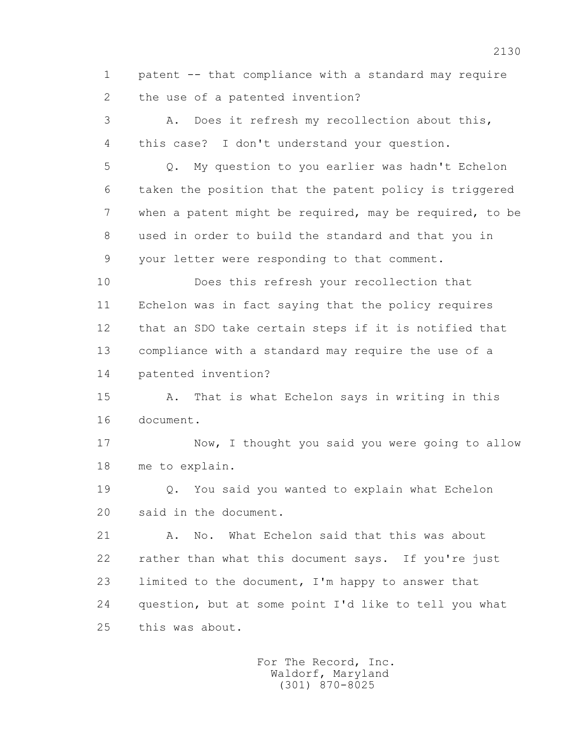1 patent -- that compliance with a standard may require 2 the use of a patented invention?

 3 A. Does it refresh my recollection about this, 4 this case? I don't understand your question.

 5 Q. My question to you earlier was hadn't Echelon 6 taken the position that the patent policy is triggered 7 when a patent might be required, may be required, to be 8 used in order to build the standard and that you in 9 your letter were responding to that comment.

 10 Does this refresh your recollection that 11 Echelon was in fact saying that the policy requires 12 that an SDO take certain steps if it is notified that 13 compliance with a standard may require the use of a 14 patented invention?

 15 A. That is what Echelon says in writing in this 16 document.

 17 Now, I thought you said you were going to allow 18 me to explain.

 19 Q. You said you wanted to explain what Echelon 20 said in the document.

21 A. No. What Echelon said that this was about 22 rather than what this document says. If you're just 23 limited to the document, I'm happy to answer that 24 question, but at some point I'd like to tell you what 25 this was about.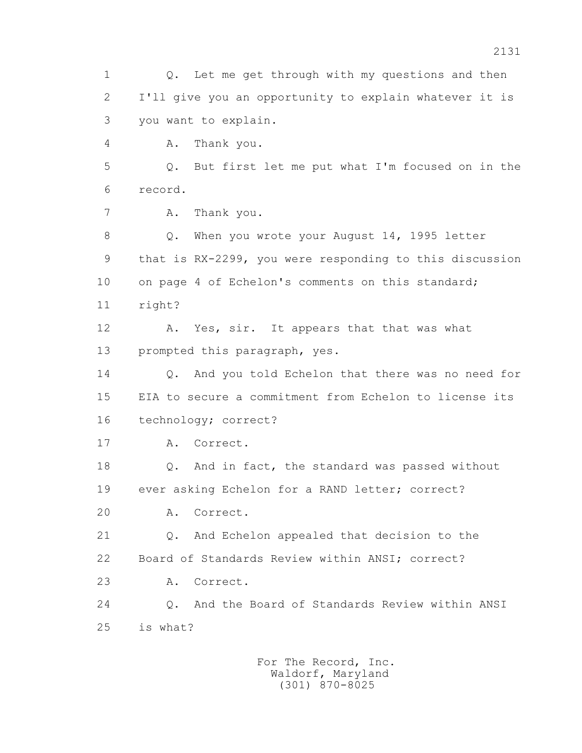1 Q. Let me get through with my questions and then 2 I'll give you an opportunity to explain whatever it is 3 you want to explain. 4 A. Thank you. 5 Q. But first let me put what I'm focused on in the 6 record. 7 A. Thank you. 8 Q. When you wrote your August 14, 1995 letter 9 that is RX-2299, you were responding to this discussion 10 on page 4 of Echelon's comments on this standard; 11 right? 12 A. Yes, sir. It appears that that was what 13 prompted this paragraph, yes. 14 0. And you told Echelon that there was no need for 15 EIA to secure a commitment from Echelon to license its 16 technology; correct? 17 A. Correct. 18 Q. And in fact, the standard was passed without 19 ever asking Echelon for a RAND letter; correct? 20 A. Correct. 21 Q. And Echelon appealed that decision to the 22 Board of Standards Review within ANSI; correct? 23 A. Correct. 24 Q. And the Board of Standards Review within ANSI 25 is what?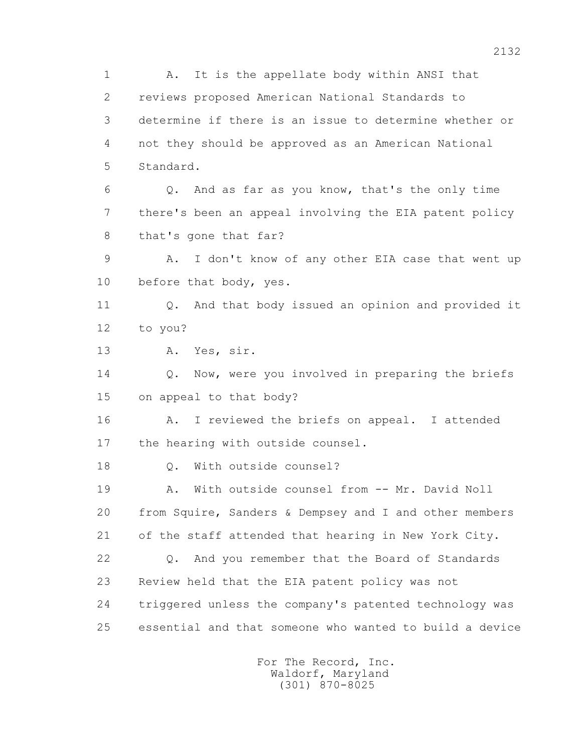1 A. It is the appellate body within ANSI that 2 reviews proposed American National Standards to 3 determine if there is an issue to determine whether or 4 not they should be approved as an American National 5 Standard. 6 Q. And as far as you know, that's the only time 7 there's been an appeal involving the EIA patent policy 8 that's gone that far? 9 A. I don't know of any other EIA case that went up 10 before that body, yes. 11 0. And that body issued an opinion and provided it 12 to you? 13 A. Yes, sir. 14 0. Now, were you involved in preparing the briefs 15 on appeal to that body? 16 A. I reviewed the briefs on appeal. I attended 17 the hearing with outside counsel. 18 Q. With outside counsel? 19 A. With outside counsel from -- Mr. David Noll 20 from Squire, Sanders & Dempsey and I and other members 21 of the staff attended that hearing in New York City. 22 Q. And you remember that the Board of Standards 23 Review held that the EIA patent policy was not 24 triggered unless the company's patented technology was 25 essential and that someone who wanted to build a device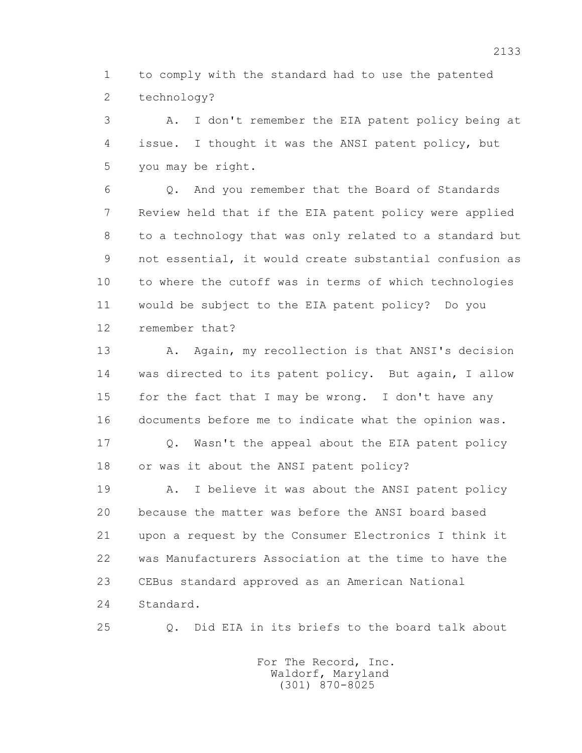1 to comply with the standard had to use the patented 2 technology?

 3 A. I don't remember the EIA patent policy being at 4 issue. I thought it was the ANSI patent policy, but 5 you may be right.

 6 Q. And you remember that the Board of Standards 7 Review held that if the EIA patent policy were applied 8 to a technology that was only related to a standard but 9 not essential, it would create substantial confusion as 10 to where the cutoff was in terms of which technologies 11 would be subject to the EIA patent policy? Do you 12 remember that?

13 A. Again, my recollection is that ANSI's decision 14 was directed to its patent policy. But again, I allow 15 for the fact that I may be wrong. I don't have any 16 documents before me to indicate what the opinion was.

 17 Q. Wasn't the appeal about the EIA patent policy 18 or was it about the ANSI patent policy?

 19 A. I believe it was about the ANSI patent policy 20 because the matter was before the ANSI board based 21 upon a request by the Consumer Electronics I think it 22 was Manufacturers Association at the time to have the 23 CEBus standard approved as an American National 24 Standard.

25 Q. Did EIA in its briefs to the board talk about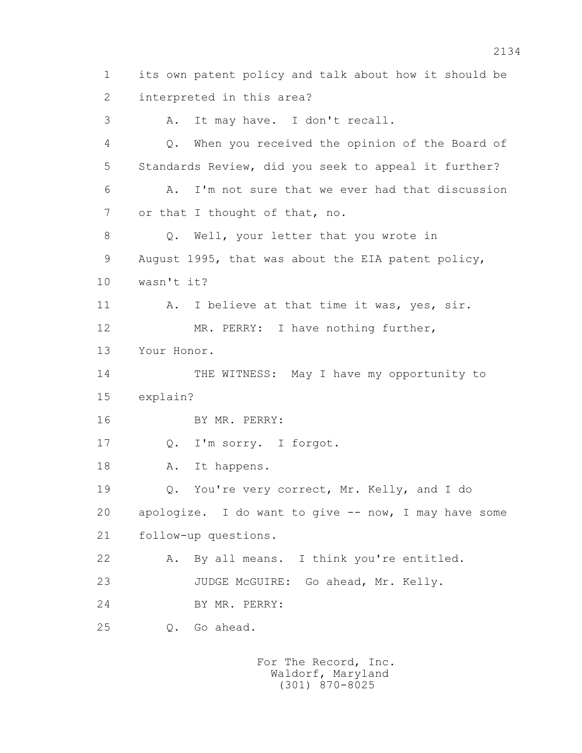1 its own patent policy and talk about how it should be 2 interpreted in this area? 3 A. It may have. I don't recall. 4 Q. When you received the opinion of the Board of 5 Standards Review, did you seek to appeal it further? 6 A. I'm not sure that we ever had that discussion 7 or that I thought of that, no. 8 Q. Well, your letter that you wrote in 9 August 1995, that was about the EIA patent policy, 10 wasn't it? 11 A. I believe at that time it was, yes, sir. 12 MR. PERRY: I have nothing further, 13 Your Honor. 14 THE WITNESS: May I have my opportunity to 15 explain? 16 BY MR. PERRY: 17 Q. I'm sorry. I forgot. 18 A. It happens. 19 Q. You're very correct, Mr. Kelly, and I do 20 apologize. I do want to give -- now, I may have some 21 follow-up questions. 22 A. By all means. I think you're entitled. 23 JUDGE McGUIRE: Go ahead, Mr. Kelly. 24 BY MR. PERRY: 25 Q. Go ahead.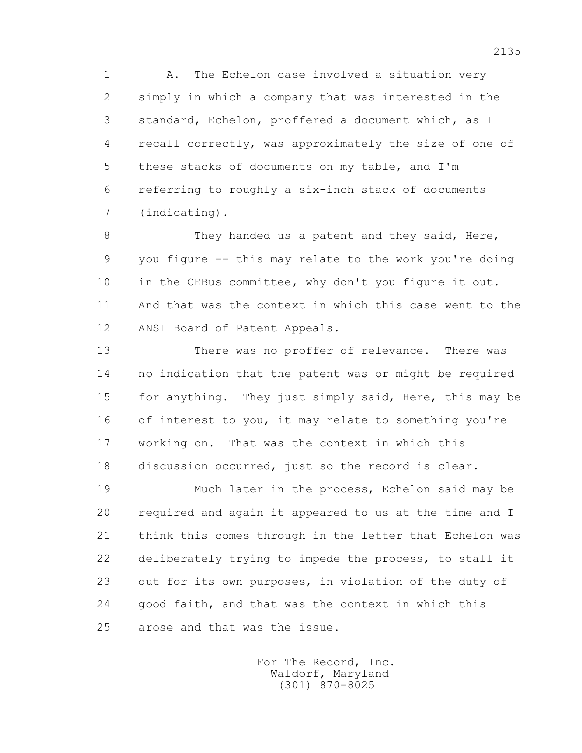1 A. The Echelon case involved a situation very 2 simply in which a company that was interested in the 3 standard, Echelon, proffered a document which, as I 4 recall correctly, was approximately the size of one of 5 these stacks of documents on my table, and I'm 6 referring to roughly a six-inch stack of documents 7 (indicating).

8 They handed us a patent and they said, Here, 9 you figure -- this may relate to the work you're doing 10 in the CEBus committee, why don't you figure it out. 11 And that was the context in which this case went to the 12 ANSI Board of Patent Appeals.

 13 There was no proffer of relevance. There was 14 no indication that the patent was or might be required 15 for anything. They just simply said, Here, this may be 16 of interest to you, it may relate to something you're 17 working on. That was the context in which this 18 discussion occurred, just so the record is clear.

 19 Much later in the process, Echelon said may be 20 required and again it appeared to us at the time and I 21 think this comes through in the letter that Echelon was 22 deliberately trying to impede the process, to stall it 23 out for its own purposes, in violation of the duty of 24 good faith, and that was the context in which this 25 arose and that was the issue.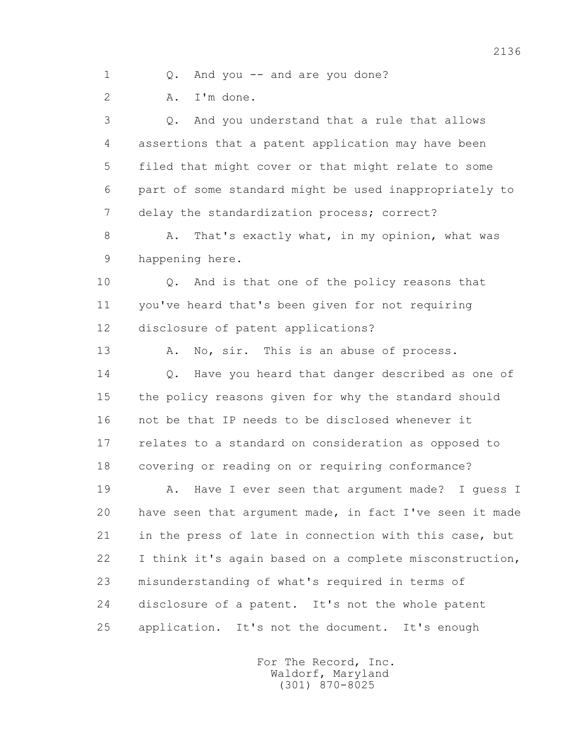1 Q. And you -- and are you done?

2 A. I'm done.

 3 Q. And you understand that a rule that allows 4 assertions that a patent application may have been 5 filed that might cover or that might relate to some 6 part of some standard might be used inappropriately to 7 delay the standardization process; correct?

8 A. That's exactly what, in my opinion, what was 9 happening here.

 10 Q. And is that one of the policy reasons that 11 you've heard that's been given for not requiring 12 disclosure of patent applications?

13 A. No, sir. This is an abuse of process. 14 0. Have you heard that danger described as one of 15 the policy reasons given for why the standard should 16 not be that IP needs to be disclosed whenever it 17 relates to a standard on consideration as opposed to 18 covering or reading on or requiring conformance?

 19 A. Have I ever seen that argument made? I guess I 20 have seen that argument made, in fact I've seen it made 21 in the press of late in connection with this case, but 22 I think it's again based on a complete misconstruction, 23 misunderstanding of what's required in terms of 24 disclosure of a patent. It's not the whole patent 25 application. It's not the document. It's enough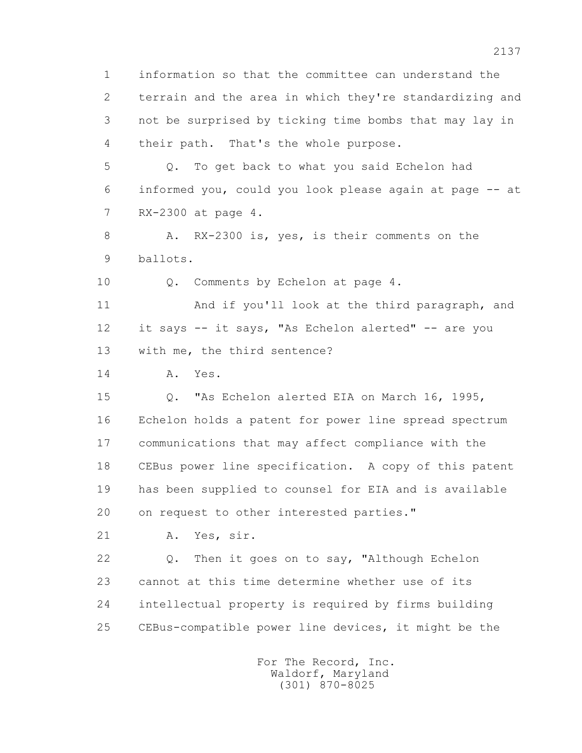1 information so that the committee can understand the 2 terrain and the area in which they're standardizing and 3 not be surprised by ticking time bombs that may lay in 4 their path. That's the whole purpose.

 5 Q. To get back to what you said Echelon had 6 informed you, could you look please again at page -- at 7 RX-2300 at page 4.

8 A. RX-2300 is, yes, is their comments on the 9 ballots.

10 Q. Comments by Echelon at page 4.

 11 And if you'll look at the third paragraph, and 12 it says -- it says, "As Echelon alerted" -- are you 13 with me, the third sentence?

14 A. Yes.

 15 Q. "As Echelon alerted EIA on March 16, 1995, 16 Echelon holds a patent for power line spread spectrum 17 communications that may affect compliance with the 18 CEBus power line specification. A copy of this patent 19 has been supplied to counsel for EIA and is available 20 on request to other interested parties."

21 A. Yes, sir.

 22 Q. Then it goes on to say, "Although Echelon 23 cannot at this time determine whether use of its 24 intellectual property is required by firms building 25 CEBus-compatible power line devices, it might be the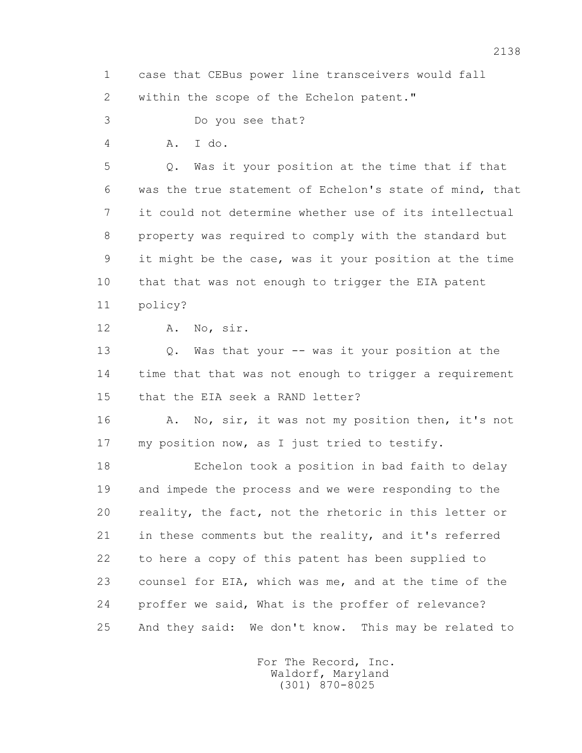1 case that CEBus power line transceivers would fall 2 within the scope of the Echelon patent."

3 Do you see that?

4 A. I do.

 5 Q. Was it your position at the time that if that 6 was the true statement of Echelon's state of mind, that 7 it could not determine whether use of its intellectual 8 property was required to comply with the standard but 9 it might be the case, was it your position at the time 10 that that was not enough to trigger the EIA patent 11 policy?

12 A. No, sir.

 13 Q. Was that your -- was it your position at the 14 time that that was not enough to trigger a requirement 15 that the EIA seek a RAND letter?

16 A. No, sir, it was not my position then, it's not 17 my position now, as I just tried to testify.

 18 Echelon took a position in bad faith to delay 19 and impede the process and we were responding to the 20 reality, the fact, not the rhetoric in this letter or 21 in these comments but the reality, and it's referred 22 to here a copy of this patent has been supplied to 23 counsel for EIA, which was me, and at the time of the 24 proffer we said, What is the proffer of relevance? 25 And they said: We don't know. This may be related to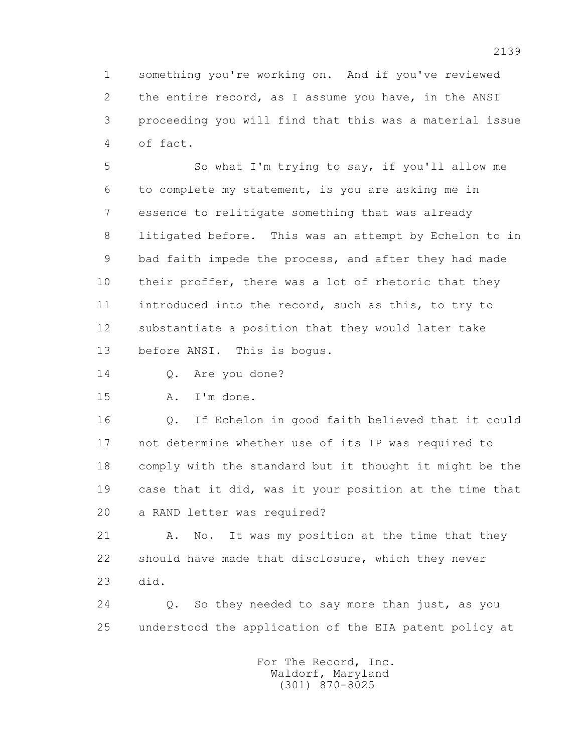1 something you're working on. And if you've reviewed 2 the entire record, as I assume you have, in the ANSI 3 proceeding you will find that this was a material issue 4 of fact.

 5 So what I'm trying to say, if you'll allow me 6 to complete my statement, is you are asking me in 7 essence to relitigate something that was already 8 litigated before. This was an attempt by Echelon to in 9 bad faith impede the process, and after they had made 10 their proffer, there was a lot of rhetoric that they 11 introduced into the record, such as this, to try to 12 substantiate a position that they would later take 13 before ANSI. This is bogus.

14 O. Are you done?

15 A. I'm done.

 16 Q. If Echelon in good faith believed that it could 17 not determine whether use of its IP was required to 18 comply with the standard but it thought it might be the 19 case that it did, was it your position at the time that 20 a RAND letter was required?

21 A. No. It was my position at the time that they 22 should have made that disclosure, which they never 23 did.

 24 Q. So they needed to say more than just, as you 25 understood the application of the EIA patent policy at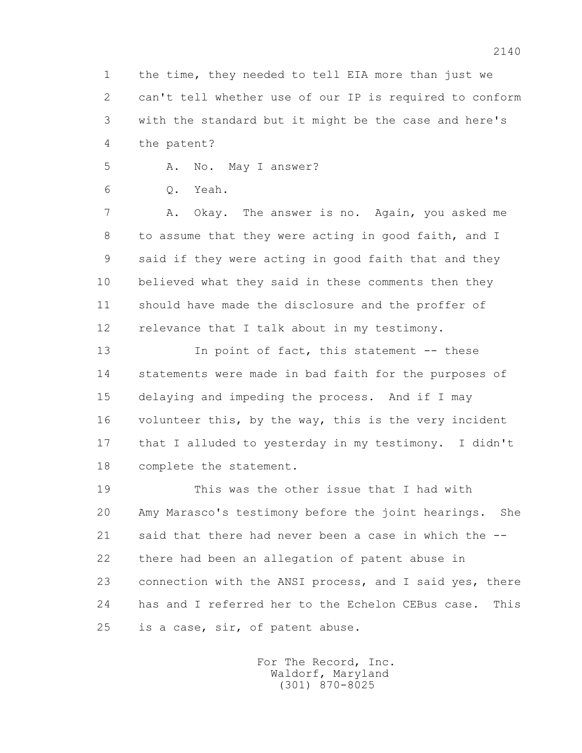1 the time, they needed to tell EIA more than just we 2 can't tell whether use of our IP is required to conform 3 with the standard but it might be the case and here's 4 the patent?

5 A. No. May I answer?

6 Q. Yeah.

 7 A. Okay. The answer is no. Again, you asked me 8 to assume that they were acting in good faith, and I 9 said if they were acting in good faith that and they 10 believed what they said in these comments then they 11 should have made the disclosure and the proffer of 12 relevance that I talk about in my testimony.

13 In point of fact, this statement -- these 14 statements were made in bad faith for the purposes of 15 delaying and impeding the process. And if I may 16 volunteer this, by the way, this is the very incident 17 that I alluded to yesterday in my testimony. I didn't 18 complete the statement.

 19 This was the other issue that I had with 20 Amy Marasco's testimony before the joint hearings. She 21 said that there had never been a case in which the -- 22 there had been an allegation of patent abuse in 23 connection with the ANSI process, and I said yes, there 24 has and I referred her to the Echelon CEBus case. This 25 is a case, sir, of patent abuse.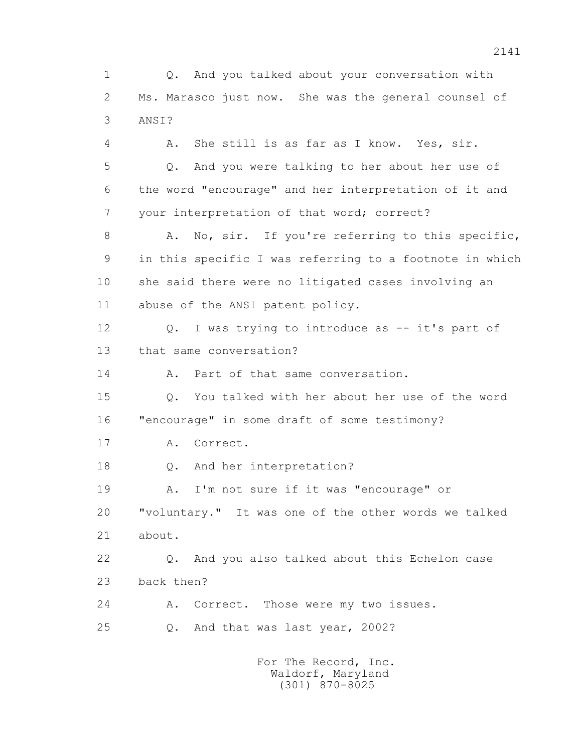1 Q. And you talked about your conversation with 2 Ms. Marasco just now. She was the general counsel of 3 ANSI?

 4 A. She still is as far as I know. Yes, sir. 5 Q. And you were talking to her about her use of 6 the word "encourage" and her interpretation of it and 7 your interpretation of that word; correct? 8 A. No, sir. If you're referring to this specific, 9 in this specific I was referring to a footnote in which 10 she said there were no litigated cases involving an 11 abuse of the ANSI patent policy. 12 Q. I was trying to introduce as -- it's part of 13 that same conversation? 14 A. Part of that same conversation. 15 Q. You talked with her about her use of the word 16 "encourage" in some draft of some testimony? 17 A. Correct. 18 Q. And her interpretation? 19 A. I'm not sure if it was "encourage" or 20 "voluntary." It was one of the other words we talked 21 about. 22 Q. And you also talked about this Echelon case 23 back then? 24 A. Correct. Those were my two issues. 25 Q. And that was last year, 2002?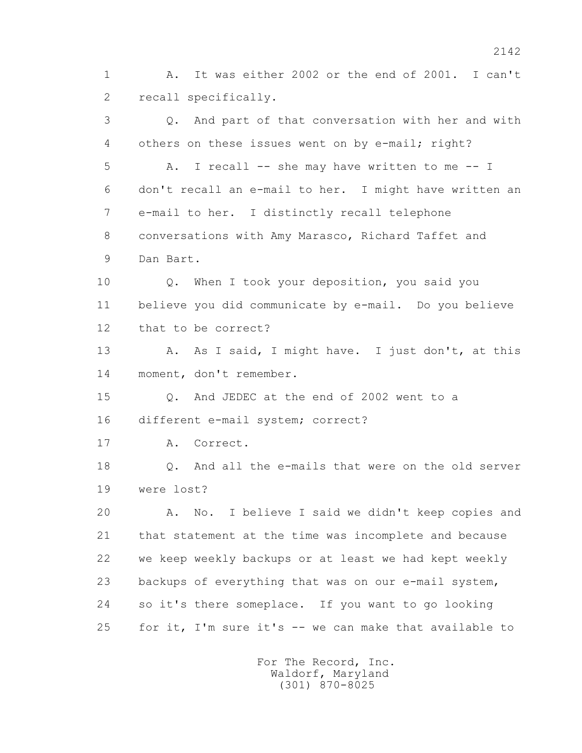1 A. It was either 2002 or the end of 2001. I can't 2 recall specifically.

 3 Q. And part of that conversation with her and with 4 others on these issues went on by e-mail; right? 5 A. I recall -- she may have written to me -- I 6 don't recall an e-mail to her. I might have written an 7 e-mail to her. I distinctly recall telephone 8 conversations with Amy Marasco, Richard Taffet and 9 Dan Bart. 10 Q. When I took your deposition, you said you 11 believe you did communicate by e-mail. Do you believe 12 that to be correct? 13 A. As I said, I might have. I just don't, at this 14 moment, don't remember. 15 Q. And JEDEC at the end of 2002 went to a 16 different e-mail system; correct? 17 A. Correct. 18 Q. And all the e-mails that were on the old server 19 were lost? 20 A. No. I believe I said we didn't keep copies and 21 that statement at the time was incomplete and because 22 we keep weekly backups or at least we had kept weekly 23 backups of everything that was on our e-mail system, 24 so it's there someplace. If you want to go looking 25 for it, I'm sure it's -- we can make that available to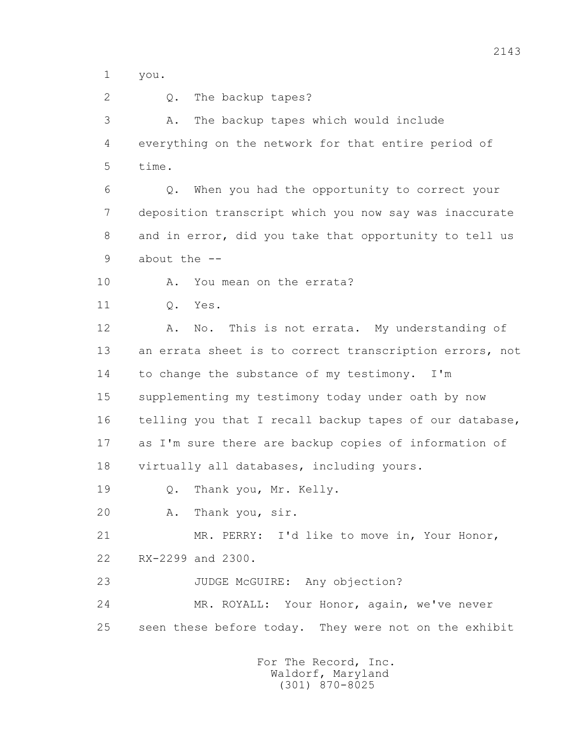1 you.

2 0. The backup tapes?

 3 A. The backup tapes which would include 4 everything on the network for that entire period of 5 time.

 6 Q. When you had the opportunity to correct your 7 deposition transcript which you now say was inaccurate 8 and in error, did you take that opportunity to tell us 9 about the --

10 A. You mean on the errata?

11 Q. Yes.

 12 A. No. This is not errata. My understanding of 13 an errata sheet is to correct transcription errors, not 14 to change the substance of my testimony. I'm 15 supplementing my testimony today under oath by now 16 telling you that I recall backup tapes of our database, 17 as I'm sure there are backup copies of information of 18 virtually all databases, including yours.

19 Q. Thank you, Mr. Kelly.

20 A. Thank you, sir.

 21 MR. PERRY: I'd like to move in, Your Honor, 22 RX-2299 and 2300.

23 JUDGE McGUIRE: Any objection?

 24 MR. ROYALL: Your Honor, again, we've never 25 seen these before today. They were not on the exhibit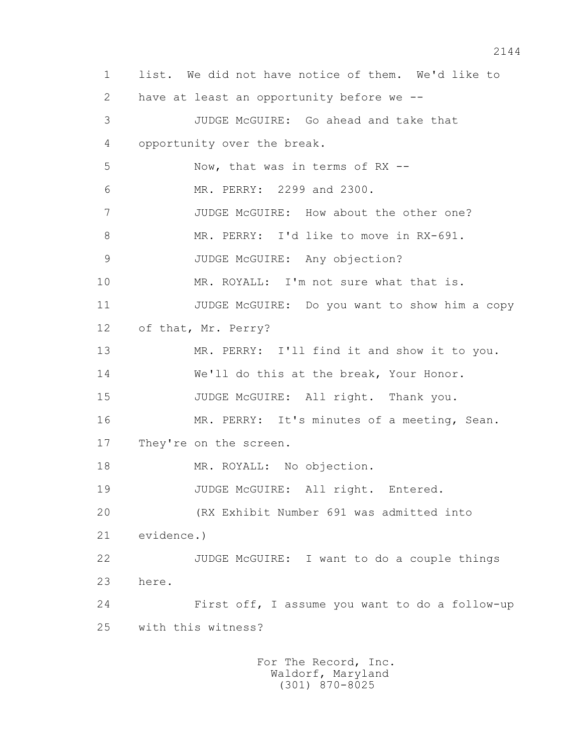1 list. We did not have notice of them. We'd like to 2 have at least an opportunity before we -- 3 JUDGE McGUIRE: Go ahead and take that 4 opportunity over the break. 5 Now, that was in terms of RX -- 6 MR. PERRY: 2299 and 2300. 7 JUDGE McGUIRE: How about the other one? 8 MR. PERRY: I'd like to move in RX-691. 9 JUDGE McGUIRE: Any objection? 10 MR. ROYALL: I'm not sure what that is. 11 JUDGE McGUIRE: Do you want to show him a copy 12 of that, Mr. Perry? 13 MR. PERRY: I'll find it and show it to you. 14 We'll do this at the break, Your Honor. 15 JUDGE McGUIRE: All right. Thank you. 16 MR. PERRY: It's minutes of a meeting, Sean. 17 They're on the screen. 18 MR. ROYALL: No objection. 19 JUDGE McGUIRE: All right. Entered. 20 (RX Exhibit Number 691 was admitted into 21 evidence.) 22 JUDGE McGUIRE: I want to do a couple things 23 here. 24 First off, I assume you want to do a follow-up 25 with this witness?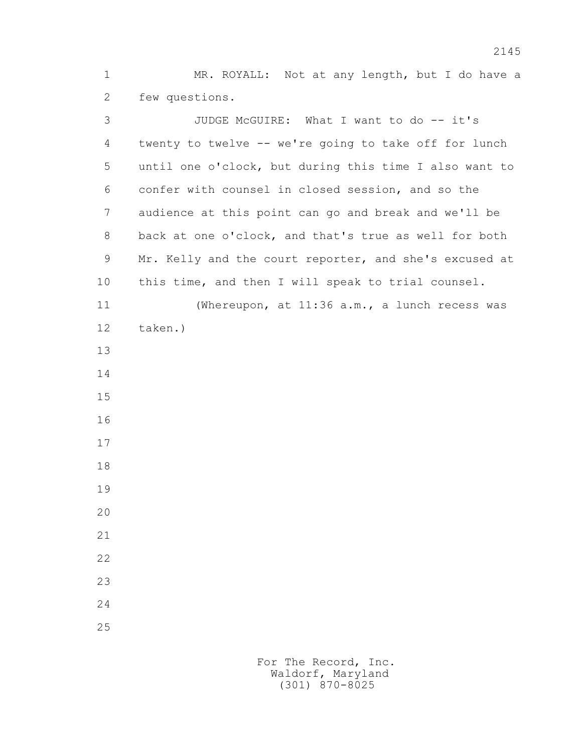1 MR. ROYALL: Not at any length, but I do have a 2 few questions.

 3 JUDGE McGUIRE: What I want to do -- it's 4 twenty to twelve -- we're going to take off for lunch 5 until one o'clock, but during this time I also want to 6 confer with counsel in closed session, and so the 7 audience at this point can go and break and we'll be 8 back at one o'clock, and that's true as well for both 9 Mr. Kelly and the court reporter, and she's excused at 10 this time, and then I will speak to trial counsel. 11 (Whereupon, at 11:36 a.m., a lunch recess was 12 taken.) 13 14 15 16 17 18 19 20 21 22 23 24 25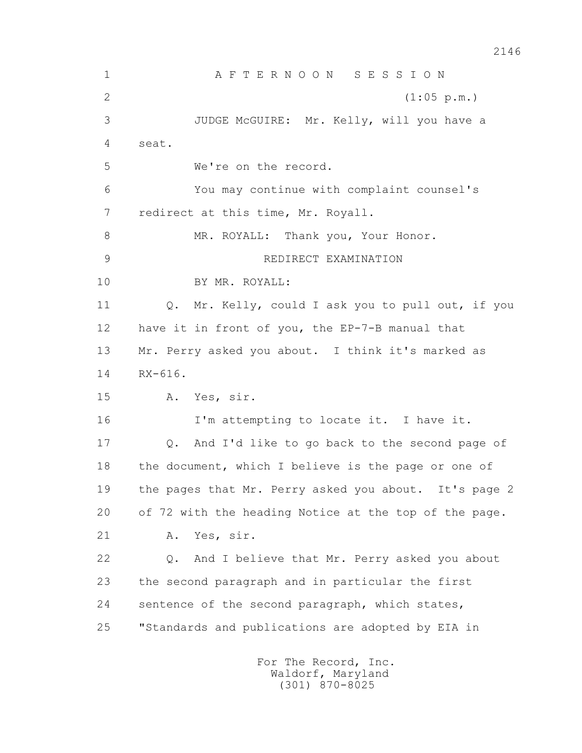1 A F T E R N O O N S E S S I O N 2 (1:05 p.m.) 3 JUDGE McGUIRE: Mr. Kelly, will you have a 4 seat. 5 We're on the record. 6 You may continue with complaint counsel's 7 redirect at this time, Mr. Royall. 8 MR. ROYALL: Thank you, Your Honor. 9 REDIRECT EXAMINATION 10 BY MR. ROYALL: 11 Q. Mr. Kelly, could I ask you to pull out, if you 12 have it in front of you, the EP-7-B manual that 13 Mr. Perry asked you about. I think it's marked as 14 RX-616. 15 A. Yes, sir. 16 I'm attempting to locate it. I have it. 17 Q. And I'd like to go back to the second page of 18 the document, which I believe is the page or one of 19 the pages that Mr. Perry asked you about. It's page 2 20 of 72 with the heading Notice at the top of the page. 21 A. Yes, sir. 22 Q. And I believe that Mr. Perry asked you about 23 the second paragraph and in particular the first 24 sentence of the second paragraph, which states, 25 "Standards and publications are adopted by EIA in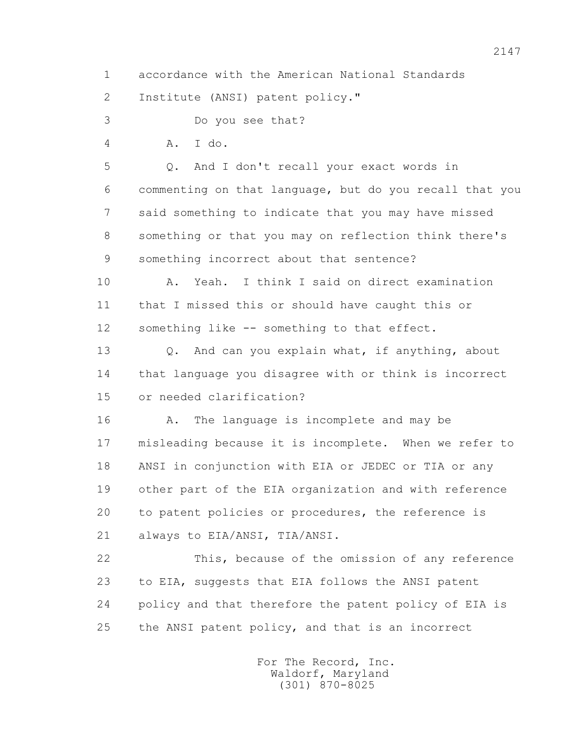1 accordance with the American National Standards

2 Institute (ANSI) patent policy."

3 Do you see that?

4 A. I do.

 5 Q. And I don't recall your exact words in 6 commenting on that language, but do you recall that you 7 said something to indicate that you may have missed 8 something or that you may on reflection think there's 9 something incorrect about that sentence?

 10 A. Yeah. I think I said on direct examination 11 that I missed this or should have caught this or 12 something like -- something to that effect.

 13 Q. And can you explain what, if anything, about 14 that language you disagree with or think is incorrect 15 or needed clarification?

 16 A. The language is incomplete and may be 17 misleading because it is incomplete. When we refer to 18 ANSI in conjunction with EIA or JEDEC or TIA or any 19 other part of the EIA organization and with reference 20 to patent policies or procedures, the reference is 21 always to EIA/ANSI, TIA/ANSI.

 22 This, because of the omission of any reference 23 to EIA, suggests that EIA follows the ANSI patent 24 policy and that therefore the patent policy of EIA is 25 the ANSI patent policy, and that is an incorrect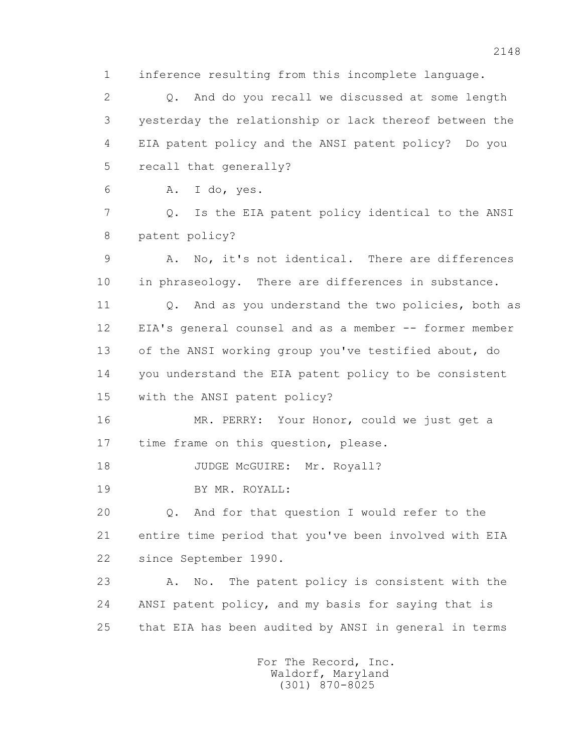1 inference resulting from this incomplete language.

 2 Q. And do you recall we discussed at some length 3 yesterday the relationship or lack thereof between the 4 EIA patent policy and the ANSI patent policy? Do you 5 recall that generally?

6 A. I do, yes.

 7 Q. Is the EIA patent policy identical to the ANSI 8 patent policy?

 9 A. No, it's not identical. There are differences 10 in phraseology. There are differences in substance.

11 0. And as you understand the two policies, both as 12 EIA's general counsel and as a member -- former member 13 of the ANSI working group you've testified about, do 14 you understand the EIA patent policy to be consistent

15 with the ANSI patent policy?

 16 MR. PERRY: Your Honor, could we just get a 17 time frame on this question, please.

18 JUDGE McGUIRE: Mr. Royall?

19 BY MR. ROYALL:

 20 Q. And for that question I would refer to the 21 entire time period that you've been involved with EIA 22 since September 1990.

 23 A. No. The patent policy is consistent with the 24 ANSI patent policy, and my basis for saying that is 25 that EIA has been audited by ANSI in general in terms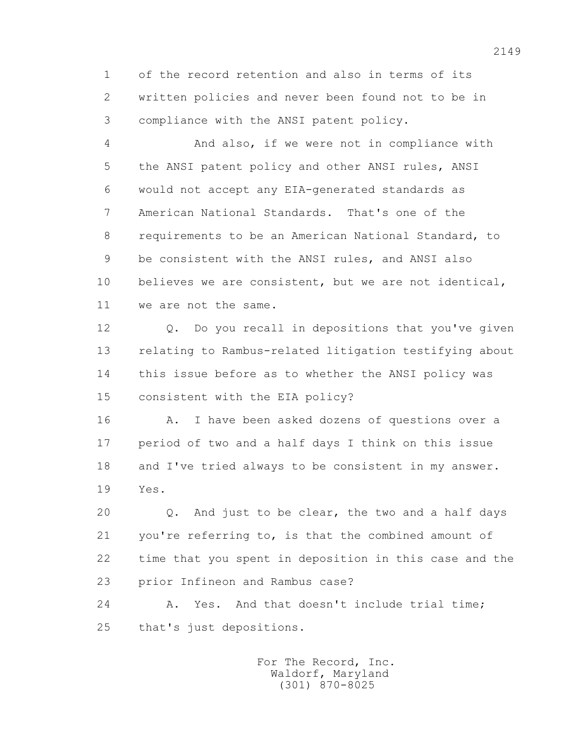1 of the record retention and also in terms of its 2 written policies and never been found not to be in 3 compliance with the ANSI patent policy.

 4 And also, if we were not in compliance with 5 the ANSI patent policy and other ANSI rules, ANSI 6 would not accept any EIA-generated standards as 7 American National Standards. That's one of the 8 requirements to be an American National Standard, to 9 be consistent with the ANSI rules, and ANSI also 10 believes we are consistent, but we are not identical, 11 we are not the same.

 12 Q. Do you recall in depositions that you've given 13 relating to Rambus-related litigation testifying about 14 this issue before as to whether the ANSI policy was 15 consistent with the EIA policy?

 16 A. I have been asked dozens of questions over a 17 period of two and a half days I think on this issue 18 and I've tried always to be consistent in my answer. 19 Yes.

 20 Q. And just to be clear, the two and a half days 21 you're referring to, is that the combined amount of 22 time that you spent in deposition in this case and the 23 prior Infineon and Rambus case?

24 A. Yes. And that doesn't include trial time; 25 that's just depositions.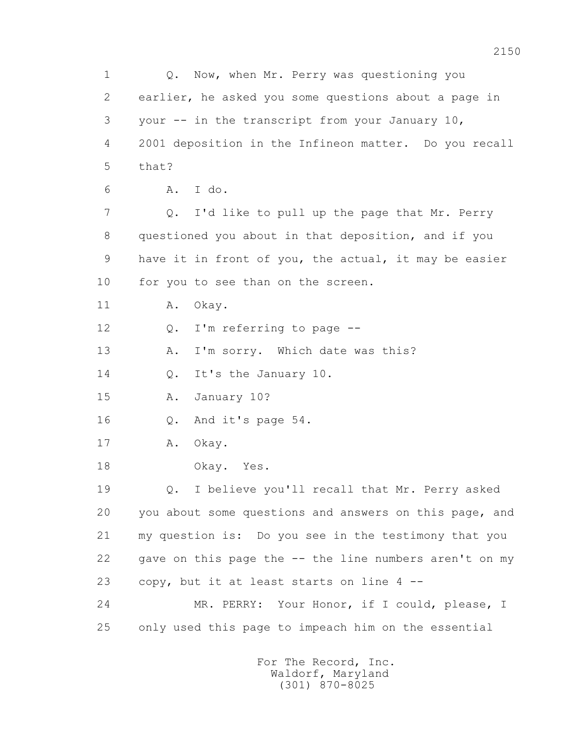1 Q. Now, when Mr. Perry was questioning you 2 earlier, he asked you some questions about a page in 3 your -- in the transcript from your January 10, 4 2001 deposition in the Infineon matter. Do you recall  $5$  that? 6 A. I do. 7 Q. I'd like to pull up the page that Mr. Perry 8 questioned you about in that deposition, and if you 9 have it in front of you, the actual, it may be easier 10 for you to see than on the screen. 11 A. Okav. 12 Q. I'm referring to page --13 A. I'm sorry. Which date was this? 14 0. It's the January 10. 15 A. January 10? 16 Q. And it's page 54. 17 A. Okay. 18 Okay. Yes. 19 Q. I believe you'll recall that Mr. Perry asked 20 you about some questions and answers on this page, and 21 my question is: Do you see in the testimony that you 22 gave on this page the -- the line numbers aren't on my 23 copy, but it at least starts on line 4 -- 24 MR. PERRY: Your Honor, if I could, please, I 25 only used this page to impeach him on the essential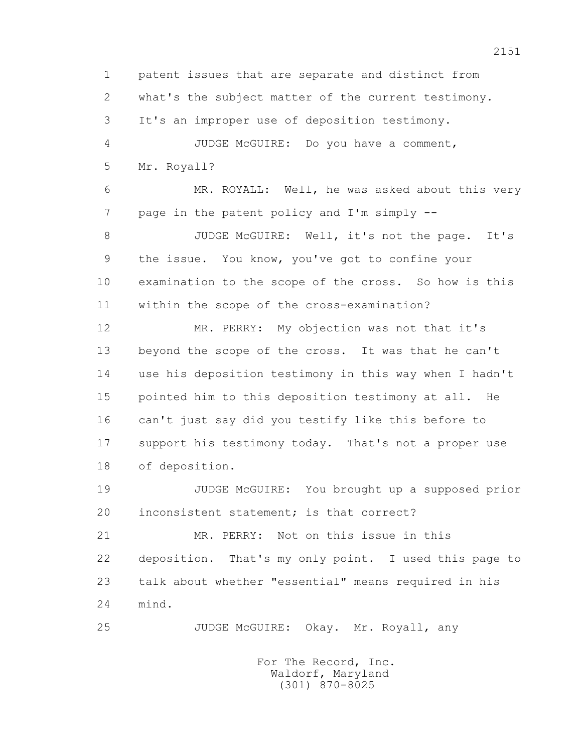1 patent issues that are separate and distinct from 2 what's the subject matter of the current testimony. 3 It's an improper use of deposition testimony. 4 JUDGE McGUIRE: Do you have a comment, 5 Mr. Royall? 6 MR. ROYALL: Well, he was asked about this very 7 page in the patent policy and I'm simply -- 8 JUDGE McGUIRE: Well, it's not the page. It's 9 the issue. You know, you've got to confine your 10 examination to the scope of the cross. So how is this 11 within the scope of the cross-examination? 12 MR. PERRY: My objection was not that it's 13 beyond the scope of the cross. It was that he can't 14 use his deposition testimony in this way when I hadn't 15 pointed him to this deposition testimony at all. He 16 can't just say did you testify like this before to 17 support his testimony today. That's not a proper use 18 of deposition. 19 JUDGE McGUIRE: You brought up a supposed prior 20 inconsistent statement; is that correct? 21 MR. PERRY: Not on this issue in this 22 deposition. That's my only point. I used this page to 23 talk about whether "essential" means required in his

25 JUDGE McGUIRE: Okay. Mr. Royall, any

 For The Record, Inc. Waldorf, Maryland (301) 870-8025

24 mind.

2151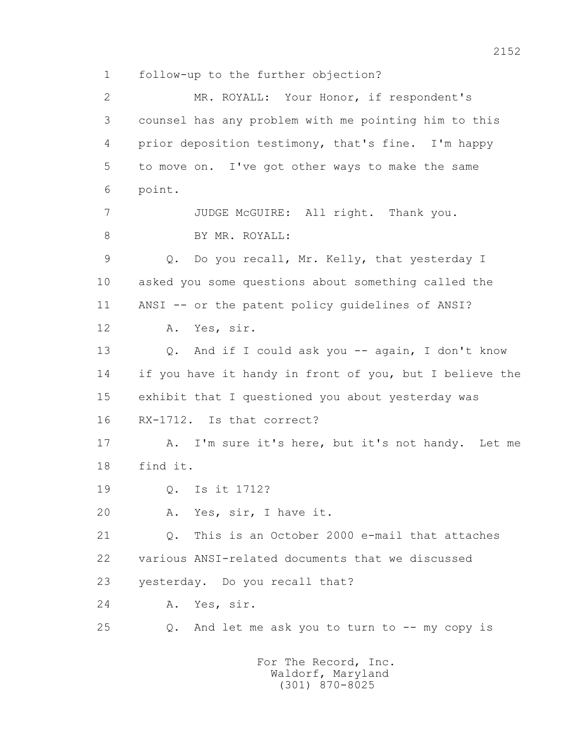1 follow-up to the further objection?

 2 MR. ROYALL: Your Honor, if respondent's 3 counsel has any problem with me pointing him to this 4 prior deposition testimony, that's fine. I'm happy 5 to move on. I've got other ways to make the same 6 point. 7 JUDGE McGUIRE: All right. Thank you. 8 BY MR. ROYALL: 9 Q. Do you recall, Mr. Kelly, that yesterday I 10 asked you some questions about something called the 11 ANSI -- or the patent policy guidelines of ANSI? 12 A. Yes, sir. 13 Q. And if I could ask you -- again, I don't know 14 if you have it handy in front of you, but I believe the 15 exhibit that I questioned you about yesterday was 16 RX-1712. Is that correct? 17 A. I'm sure it's here, but it's not handy. Let me 18 find it. 19 Q. Is it 1712? 20 A. Yes, sir, I have it. 21 Q. This is an October 2000 e-mail that attaches 22 various ANSI-related documents that we discussed 23 yesterday. Do you recall that? 24 A. Yes, sir. 25 Q. And let me ask you to turn to -- my copy is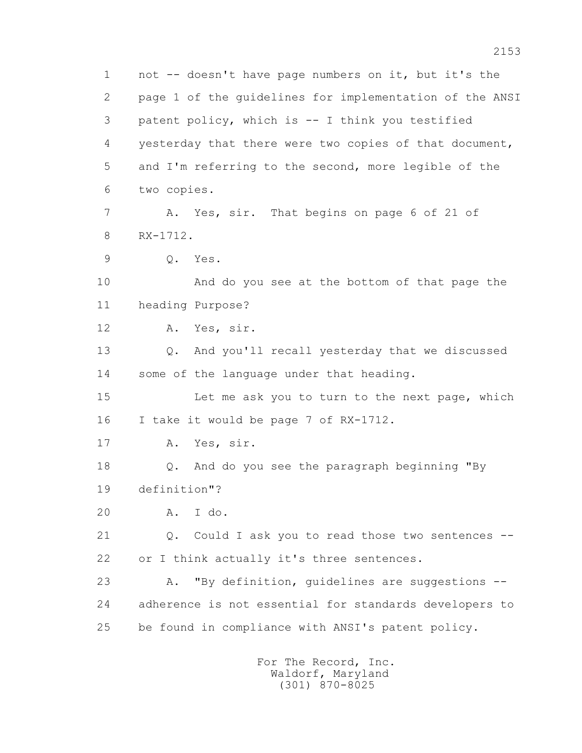1 not -- doesn't have page numbers on it, but it's the 2 page 1 of the guidelines for implementation of the ANSI 3 patent policy, which is -- I think you testified 4 yesterday that there were two copies of that document, 5 and I'm referring to the second, more legible of the 6 two copies. 7 A. Yes, sir. That begins on page 6 of 21 of 8 RX-1712. 9 Q. Yes. 10 And do you see at the bottom of that page the 11 heading Purpose? 12 A. Yes, sir. 13 Q. And you'll recall yesterday that we discussed 14 some of the language under that heading. 15 Let me ask you to turn to the next page, which 16 I take it would be page 7 of RX-1712. 17 A. Yes, sir. 18 Q. And do you see the paragraph beginning "By 19 definition"? 20 A. I do. 21 Q. Could I ask you to read those two sentences --22 or I think actually it's three sentences. 23 A. "By definition, quidelines are suggestions -- 24 adherence is not essential for standards developers to 25 be found in compliance with ANSI's patent policy.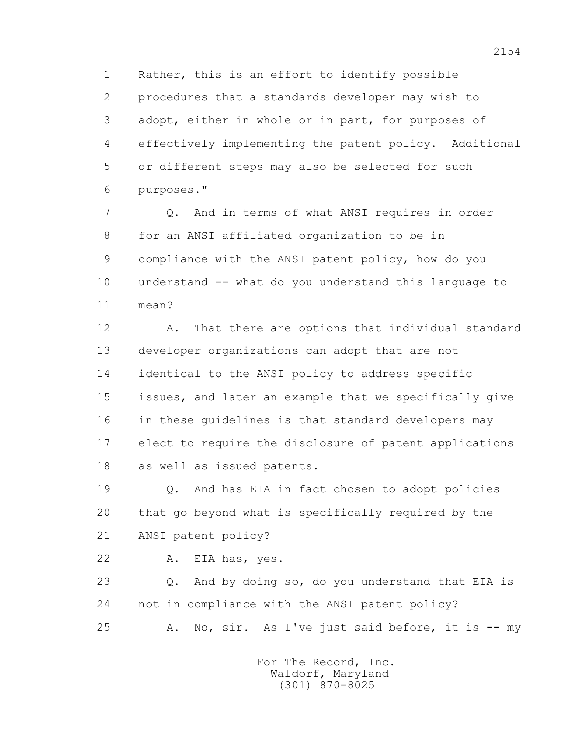1 Rather, this is an effort to identify possible 2 procedures that a standards developer may wish to 3 adopt, either in whole or in part, for purposes of 4 effectively implementing the patent policy. Additional 5 or different steps may also be selected for such 6 purposes."

 7 Q. And in terms of what ANSI requires in order 8 for an ANSI affiliated organization to be in 9 compliance with the ANSI patent policy, how do you 10 understand -- what do you understand this language to 11 mean?

 12 A. That there are options that individual standard 13 developer organizations can adopt that are not 14 identical to the ANSI policy to address specific 15 issues, and later an example that we specifically give 16 in these guidelines is that standard developers may 17 elect to require the disclosure of patent applications 18 as well as issued patents.

 19 Q. And has EIA in fact chosen to adopt policies 20 that go beyond what is specifically required by the 21 ANSI patent policy?

22 A. EIA has, yes.

 23 Q. And by doing so, do you understand that EIA is 24 not in compliance with the ANSI patent policy? 25 A. No, sir. As I've just said before, it is -- my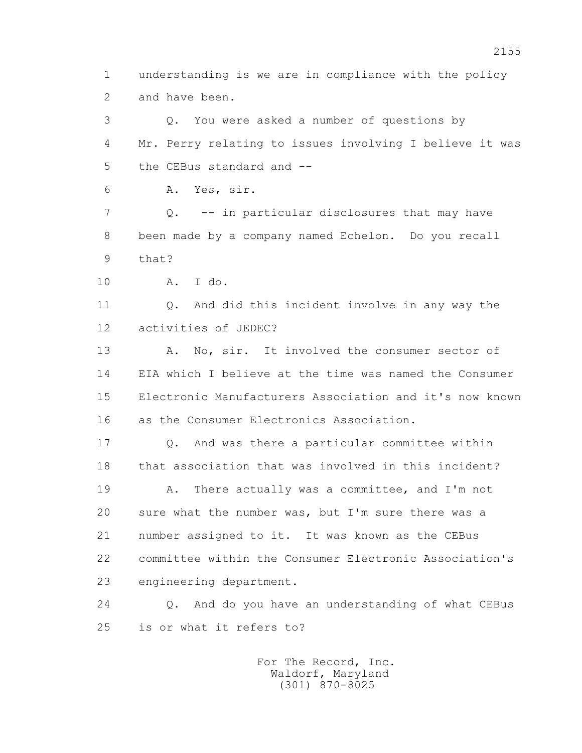1 understanding is we are in compliance with the policy 2 and have been.

 3 Q. You were asked a number of questions by 4 Mr. Perry relating to issues involving I believe it was 5 the CEBus standard and -- 6 A. Yes, sir. 7 Q. -- in particular disclosures that may have

 8 been made by a company named Echelon. Do you recall 9 that?

10 A. I do.

 11 Q. And did this incident involve in any way the 12 activities of JEDEC?

 13 A. No, sir. It involved the consumer sector of 14 EIA which I believe at the time was named the Consumer 15 Electronic Manufacturers Association and it's now known 16 as the Consumer Electronics Association.

 17 Q. And was there a particular committee within 18 that association that was involved in this incident?

19 A. There actually was a committee, and I'm not 20 sure what the number was, but I'm sure there was a 21 number assigned to it. It was known as the CEBus 22 committee within the Consumer Electronic Association's 23 engineering department.

 24 Q. And do you have an understanding of what CEBus 25 is or what it refers to?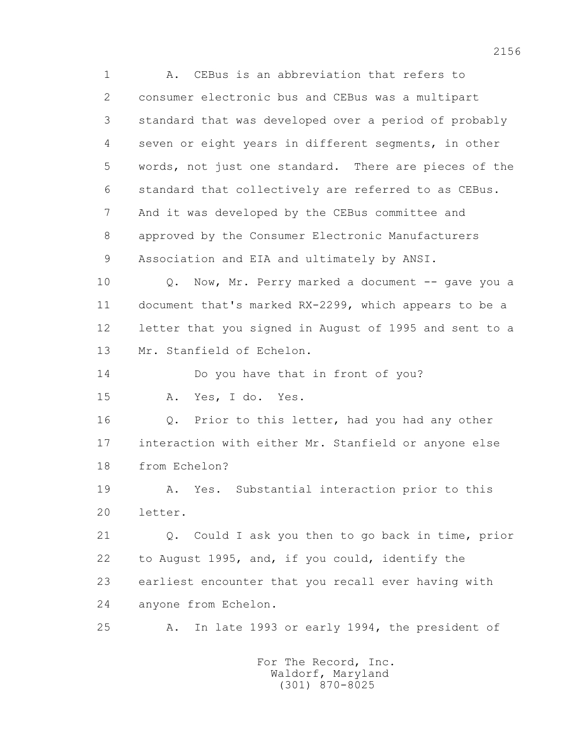1 A. CEBus is an abbreviation that refers to 2 consumer electronic bus and CEBus was a multipart 3 standard that was developed over a period of probably 4 seven or eight years in different segments, in other 5 words, not just one standard. There are pieces of the 6 standard that collectively are referred to as CEBus. 7 And it was developed by the CEBus committee and 8 approved by the Consumer Electronic Manufacturers 9 Association and EIA and ultimately by ANSI.

10 Q. Now, Mr. Perry marked a document -- gave you a 11 document that's marked RX-2299, which appears to be a 12 letter that you signed in August of 1995 and sent to a 13 Mr. Stanfield of Echelon.

14 Do you have that in front of you?

15 A. Yes, I do. Yes.

 16 Q. Prior to this letter, had you had any other 17 interaction with either Mr. Stanfield or anyone else 18 from Echelon?

 19 A. Yes. Substantial interaction prior to this 20 letter.

 21 Q. Could I ask you then to go back in time, prior 22 to August 1995, and, if you could, identify the 23 earliest encounter that you recall ever having with 24 anyone from Echelon.

25 A. In late 1993 or early 1994, the president of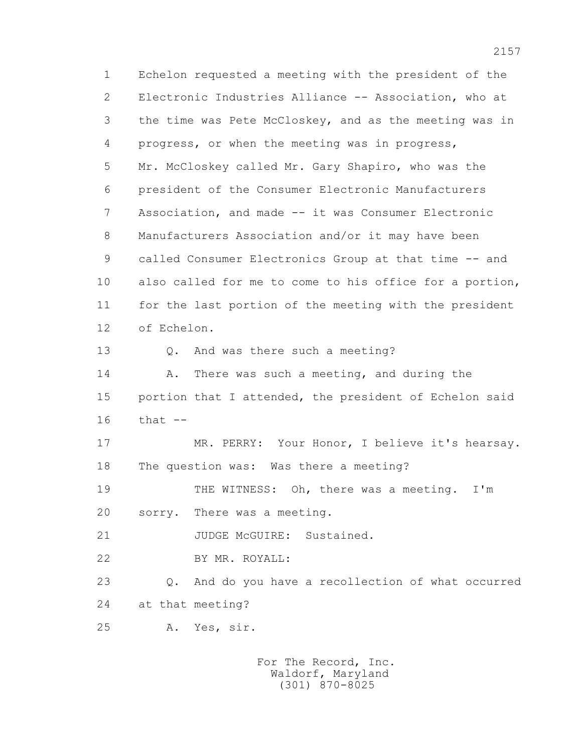1 Echelon requested a meeting with the president of the 2 Electronic Industries Alliance -- Association, who at 3 the time was Pete McCloskey, and as the meeting was in 4 progress, or when the meeting was in progress, 5 Mr. McCloskey called Mr. Gary Shapiro, who was the 6 president of the Consumer Electronic Manufacturers 7 Association, and made -- it was Consumer Electronic 8 Manufacturers Association and/or it may have been 9 called Consumer Electronics Group at that time -- and 10 also called for me to come to his office for a portion, 11 for the last portion of the meeting with the president 12 of Echelon. 13 Q. And was there such a meeting? 14 A. There was such a meeting, and during the 15 portion that I attended, the president of Echelon said 16 that -- 17 MR. PERRY: Your Honor, I believe it's hearsay. 18 The question was: Was there a meeting? 19 THE WITNESS: Oh, there was a meeting. I'm 20 sorry. There was a meeting. 21 JUDGE McGUIRE: Sustained. 22 BY MR. ROYALL: 23 Q. And do you have a recollection of what occurred 24 at that meeting? 25 A. Yes, sir.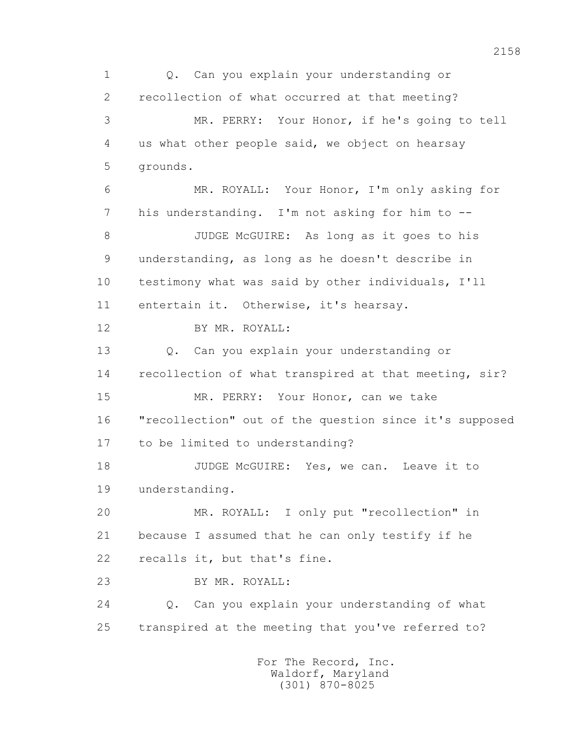1 Q. Can you explain your understanding or 2 recollection of what occurred at that meeting? 3 MR. PERRY: Your Honor, if he's going to tell 4 us what other people said, we object on hearsay 5 grounds. 6 MR. ROYALL: Your Honor, I'm only asking for 7 his understanding. I'm not asking for him to -- 8 JUDGE McGUIRE: As long as it goes to his 9 understanding, as long as he doesn't describe in 10 testimony what was said by other individuals, I'll 11 entertain it. Otherwise, it's hearsay. 12 BY MR. ROYALL: 13 Q. Can you explain your understanding or 14 recollection of what transpired at that meeting, sir? 15 MR. PERRY: Your Honor, can we take 16 "recollection" out of the question since it's supposed 17 to be limited to understanding? 18 JUDGE McGUIRE: Yes, we can. Leave it to 19 understanding. 20 MR. ROYALL: I only put "recollection" in 21 because I assumed that he can only testify if he 22 recalls it, but that's fine. 23 BY MR. ROYALL: 24 Q. Can you explain your understanding of what 25 transpired at the meeting that you've referred to?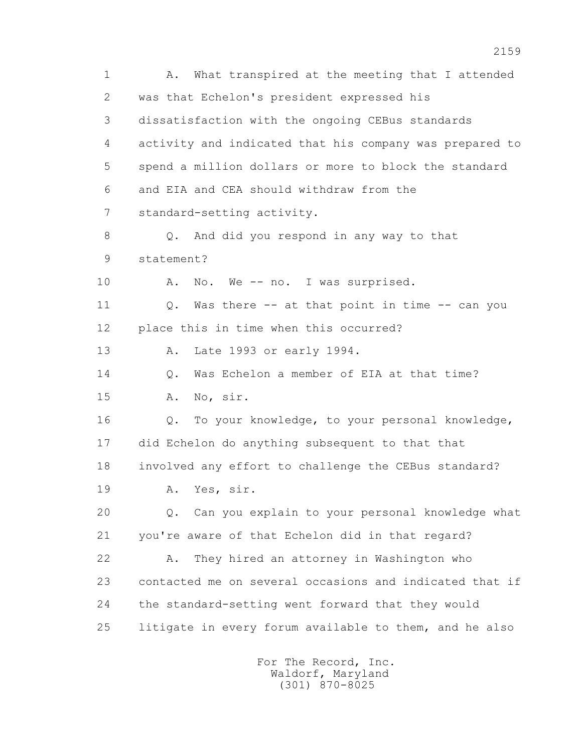1 A. What transpired at the meeting that I attended 2 was that Echelon's president expressed his 3 dissatisfaction with the ongoing CEBus standards 4 activity and indicated that his company was prepared to 5 spend a million dollars or more to block the standard 6 and EIA and CEA should withdraw from the 7 standard-setting activity. 8 Q. And did you respond in any way to that 9 statement? 10 A. No. We -- no. I was surprised. 11 Q. Was there -- at that point in time -- can you 12 place this in time when this occurred? 13 A. Late 1993 or early 1994. 14 Q. Was Echelon a member of EIA at that time? 15 A. No, sir. 16 Q. To your knowledge, to your personal knowledge, 17 did Echelon do anything subsequent to that that 18 involved any effort to challenge the CEBus standard? 19 A. Yes, sir. 20 Q. Can you explain to your personal knowledge what 21 you're aware of that Echelon did in that regard? 22 A. They hired an attorney in Washington who 23 contacted me on several occasions and indicated that if 24 the standard-setting went forward that they would 25 litigate in every forum available to them, and he also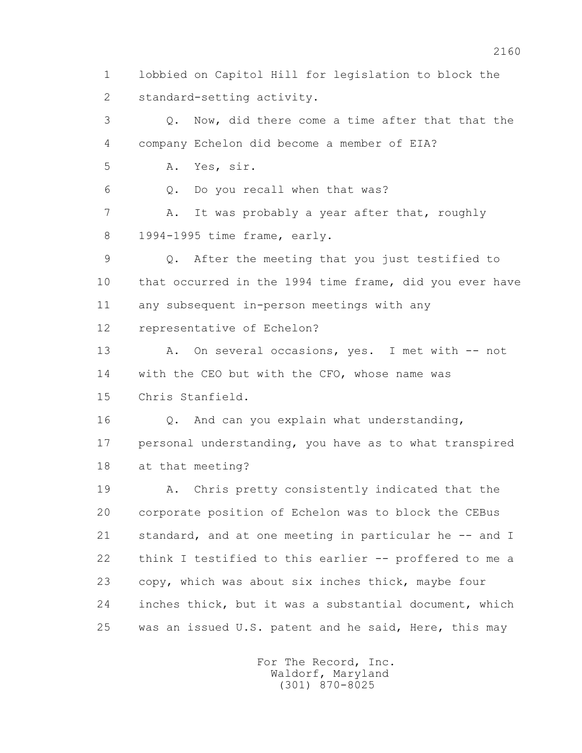1 lobbied on Capitol Hill for legislation to block the 2 standard-setting activity.

 3 Q. Now, did there come a time after that that the 4 company Echelon did become a member of EIA? 5 A. Yes, sir. 6 Q. Do you recall when that was? 7 A. It was probably a year after that, roughly 8 1994-1995 time frame, early. 9 Q. After the meeting that you just testified to 10 that occurred in the 1994 time frame, did you ever have 11 any subsequent in-person meetings with any 12 representative of Echelon? 13 A. On several occasions, yes. I met with -- not 14 with the CEO but with the CFO, whose name was 15 Chris Stanfield. 16 0. And can you explain what understanding, 17 personal understanding, you have as to what transpired 18 at that meeting? 19 A. Chris pretty consistently indicated that the 20 corporate position of Echelon was to block the CEBus 21 standard, and at one meeting in particular he -- and I 22 think I testified to this earlier -- proffered to me a 23 copy, which was about six inches thick, maybe four 24 inches thick, but it was a substantial document, which

> For The Record, Inc. Waldorf, Maryland (301) 870-8025

25 was an issued U.S. patent and he said, Here, this may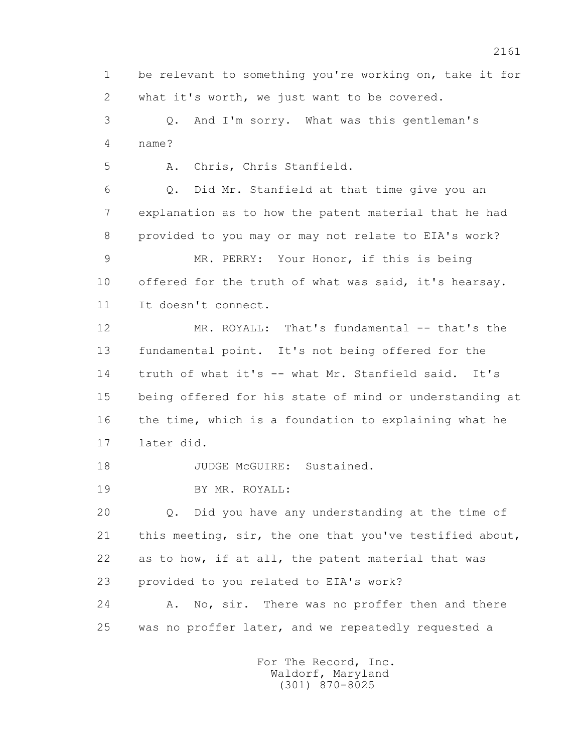1 be relevant to something you're working on, take it for 2 what it's worth, we just want to be covered.

 3 Q. And I'm sorry. What was this gentleman's 4 name?

5 A. Chris, Chris Stanfield.

 6 Q. Did Mr. Stanfield at that time give you an 7 explanation as to how the patent material that he had 8 provided to you may or may not relate to EIA's work?

 9 MR. PERRY: Your Honor, if this is being 10 offered for the truth of what was said, it's hearsay. 11 It doesn't connect.

12 MR. ROYALL: That's fundamental -- that's the 13 fundamental point. It's not being offered for the 14 truth of what it's -- what Mr. Stanfield said. It's 15 being offered for his state of mind or understanding at 16 the time, which is a foundation to explaining what he 17 later did.

18 JUDGE McGUIRE: Sustained.

19 BY MR. ROYALL:

 20 Q. Did you have any understanding at the time of 21 this meeting, sir, the one that you've testified about, 22 as to how, if at all, the patent material that was 23 provided to you related to EIA's work?

 24 A. No, sir. There was no proffer then and there 25 was no proffer later, and we repeatedly requested a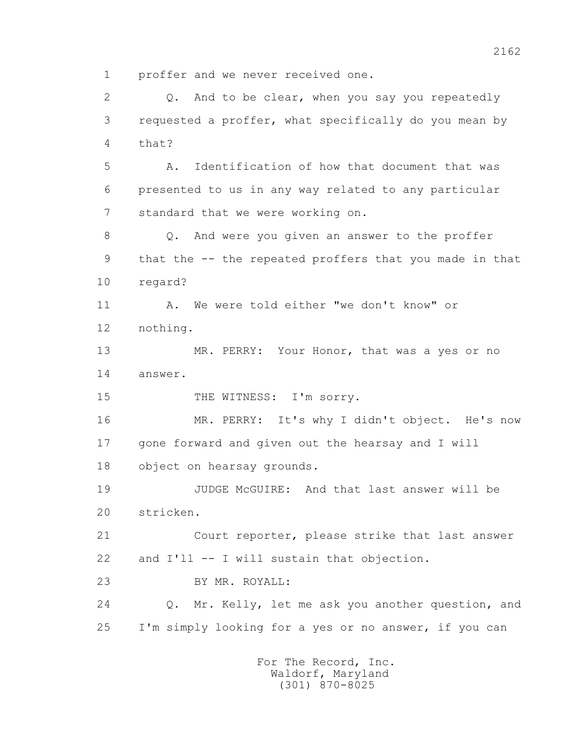1 proffer and we never received one.

 2 Q. And to be clear, when you say you repeatedly 3 requested a proffer, what specifically do you mean by 4 that? 5 A. Identification of how that document that was 6 presented to us in any way related to any particular 7 standard that we were working on. 8 Q. And were you given an answer to the proffer 9 that the -- the repeated proffers that you made in that 10 regard? 11 A. We were told either "we don't know" or 12 nothing. 13 MR. PERRY: Your Honor, that was a yes or no 14 answer. 15 THE WITNESS: I'm sorry. 16 MR. PERRY: It's why I didn't object. He's now 17 gone forward and given out the hearsay and I will 18 object on hearsay grounds. 19 JUDGE McGUIRE: And that last answer will be 20 stricken. 21 Court reporter, please strike that last answer 22 and I'll -- I will sustain that objection. 23 BY MR. ROYALL: 24 Q. Mr. Kelly, let me ask you another question, and 25 I'm simply looking for a yes or no answer, if you can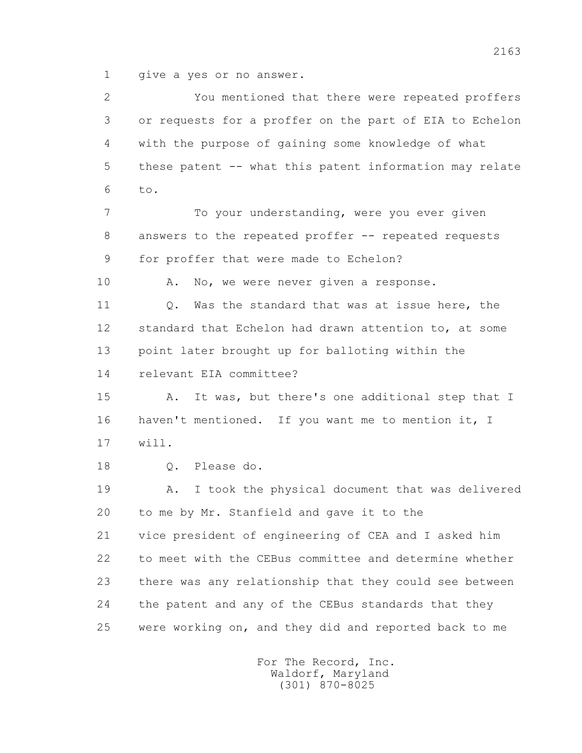1 qive a yes or no answer.

 2 You mentioned that there were repeated proffers 3 or requests for a proffer on the part of EIA to Echelon 4 with the purpose of gaining some knowledge of what 5 these patent -- what this patent information may relate 6 to. 7 To your understanding, were you ever given 8 answers to the repeated proffer -- repeated requests 9 for proffer that were made to Echelon? 10 A. No, we were never given a response. 11 0. Was the standard that was at issue here, the 12 standard that Echelon had drawn attention to, at some 13 point later brought up for balloting within the 14 relevant EIA committee? 15 A. It was, but there's one additional step that I 16 haven't mentioned. If you want me to mention it, I 17 will. 18 Q. Please do. 19 A. I took the physical document that was delivered 20 to me by Mr. Stanfield and gave it to the 21 vice president of engineering of CEA and I asked him 22 to meet with the CEBus committee and determine whether 23 there was any relationship that they could see between 24 the patent and any of the CEBus standards that they 25 were working on, and they did and reported back to me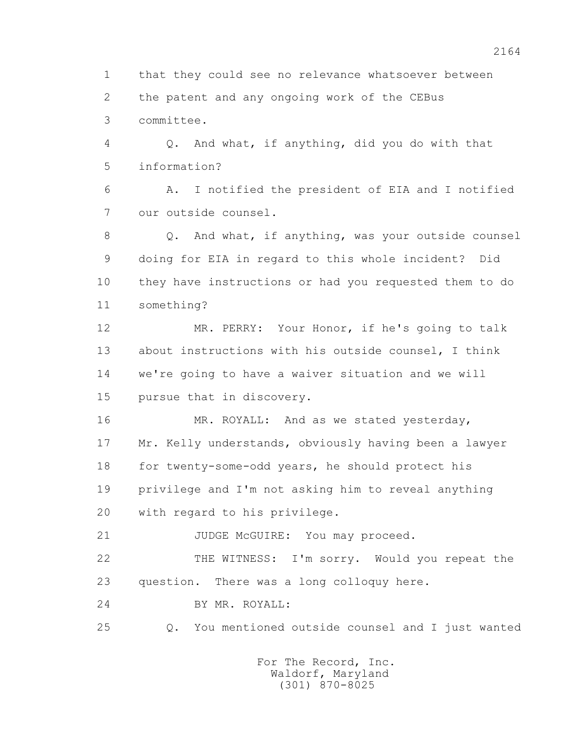1 that they could see no relevance whatsoever between 2 the patent and any ongoing work of the CEBus 3 committee.

 4 Q. And what, if anything, did you do with that 5 information?

 6 A. I notified the president of EIA and I notified 7 our outside counsel.

 8 Q. And what, if anything, was your outside counsel 9 doing for EIA in regard to this whole incident? Did 10 they have instructions or had you requested them to do 11 something?

 12 MR. PERRY: Your Honor, if he's going to talk 13 about instructions with his outside counsel, I think 14 we're going to have a waiver situation and we will 15 pursue that in discovery.

16 MR. ROYALL: And as we stated yesterday, 17 Mr. Kelly understands, obviously having been a lawyer 18 for twenty-some-odd years, he should protect his 19 privilege and I'm not asking him to reveal anything 20 with regard to his privilege.

21 JUDGE McGUIRE: You may proceed.

 22 THE WITNESS: I'm sorry. Would you repeat the 23 question. There was a long colloquy here.

24 BY MR. ROYALL:

25 Q. You mentioned outside counsel and I just wanted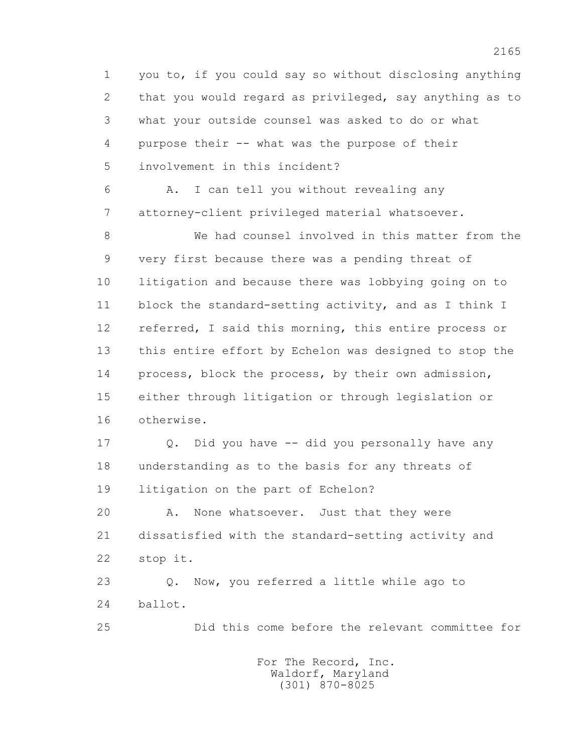1 you to, if you could say so without disclosing anything 2 that you would regard as privileged, say anything as to 3 what your outside counsel was asked to do or what 4 purpose their -- what was the purpose of their 5 involvement in this incident? 6 A. I can tell you without revealing any 7 attorney-client privileged material whatsoever. 8 We had counsel involved in this matter from the 9 very first because there was a pending threat of 10 litigation and because there was lobbying going on to 11 block the standard-setting activity, and as I think I 12 referred, I said this morning, this entire process or 13 this entire effort by Echelon was designed to stop the

 14 process, block the process, by their own admission, 15 either through litigation or through legislation or 16 otherwise.

 17 Q. Did you have -- did you personally have any 18 understanding as to the basis for any threats of 19 litigation on the part of Echelon?

 20 A. None whatsoever. Just that they were 21 dissatisfied with the standard-setting activity and 22 stop it.

 23 Q. Now, you referred a little while ago to 24 ballot.

25 Did this come before the relevant committee for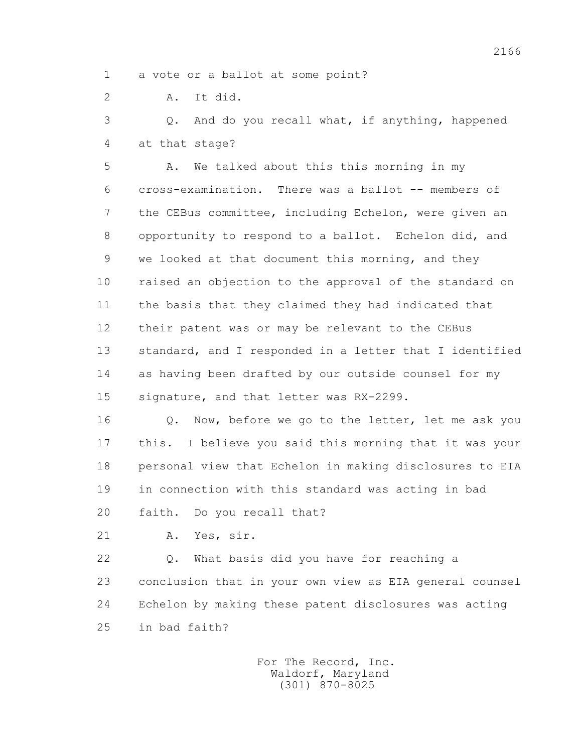1 a vote or a ballot at some point?

2 A. It did.

 3 Q. And do you recall what, if anything, happened 4 at that stage?

 5 A. We talked about this this morning in my 6 cross-examination. There was a ballot -- members of 7 the CEBus committee, including Echelon, were given an 8 opportunity to respond to a ballot. Echelon did, and 9 we looked at that document this morning, and they 10 raised an objection to the approval of the standard on 11 the basis that they claimed they had indicated that 12 their patent was or may be relevant to the CEBus 13 standard, and I responded in a letter that I identified 14 as having been drafted by our outside counsel for my 15 signature, and that letter was RX-2299.

 16 Q. Now, before we go to the letter, let me ask you 17 this. I believe you said this morning that it was your 18 personal view that Echelon in making disclosures to EIA 19 in connection with this standard was acting in bad 20 faith. Do you recall that?

21 A. Yes, sir.

 22 Q. What basis did you have for reaching a 23 conclusion that in your own view as EIA general counsel 24 Echelon by making these patent disclosures was acting 25 in bad faith?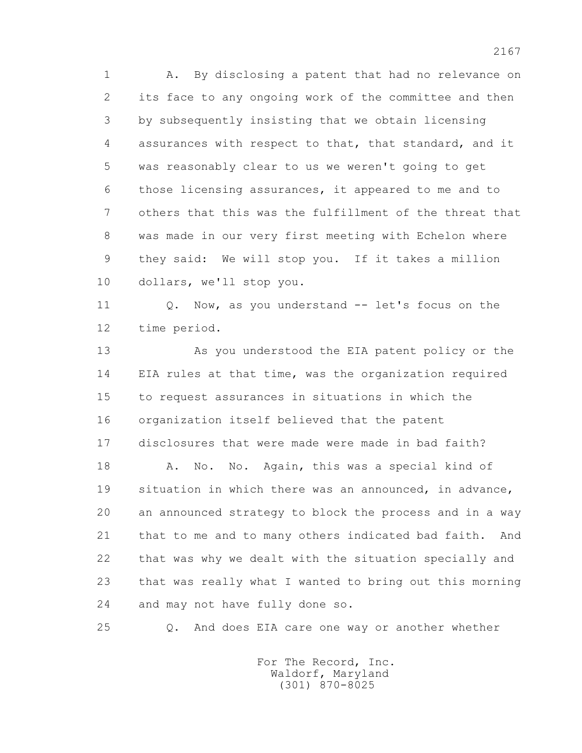1 A. By disclosing a patent that had no relevance on 2 its face to any ongoing work of the committee and then 3 by subsequently insisting that we obtain licensing 4 assurances with respect to that, that standard, and it 5 was reasonably clear to us we weren't going to get 6 those licensing assurances, it appeared to me and to 7 others that this was the fulfillment of the threat that 8 was made in our very first meeting with Echelon where 9 they said: We will stop you. If it takes a million 10 dollars, we'll stop you.

11 0. Now, as you understand -- let's focus on the 12 time period.

 13 As you understood the EIA patent policy or the 14 EIA rules at that time, was the organization required 15 to request assurances in situations in which the 16 organization itself believed that the patent 17 disclosures that were made were made in bad faith?

18 A. No. No. Again, this was a special kind of 19 situation in which there was an announced, in advance, 20 an announced strategy to block the process and in a way 21 that to me and to many others indicated bad faith. And 22 that was why we dealt with the situation specially and 23 that was really what I wanted to bring out this morning 24 and may not have fully done so.

25 Q. And does EIA care one way or another whether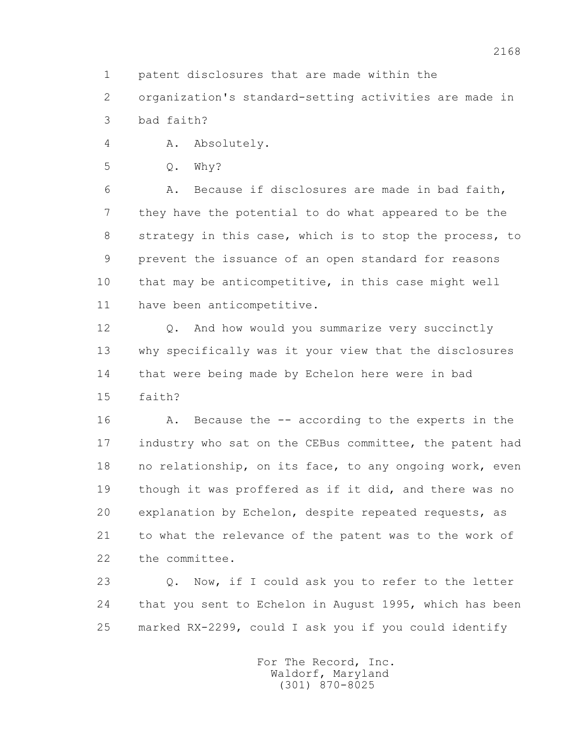1 patent disclosures that are made within the

 2 organization's standard-setting activities are made in 3 bad faith?

4 A. Absolutely.

5 Q. Why?

 6 A. Because if disclosures are made in bad faith, 7 they have the potential to do what appeared to be the 8 strategy in this case, which is to stop the process, to 9 prevent the issuance of an open standard for reasons 10 that may be anticompetitive, in this case might well 11 have been anticompetitive.

 12 Q. And how would you summarize very succinctly 13 why specifically was it your view that the disclosures 14 that were being made by Echelon here were in bad 15 faith?

 16 A. Because the -- according to the experts in the 17 industry who sat on the CEBus committee, the patent had 18 no relationship, on its face, to any ongoing work, even 19 though it was proffered as if it did, and there was no 20 explanation by Echelon, despite repeated requests, as 21 to what the relevance of the patent was to the work of 22 the committee.

 23 Q. Now, if I could ask you to refer to the letter 24 that you sent to Echelon in August 1995, which has been 25 marked RX-2299, could I ask you if you could identify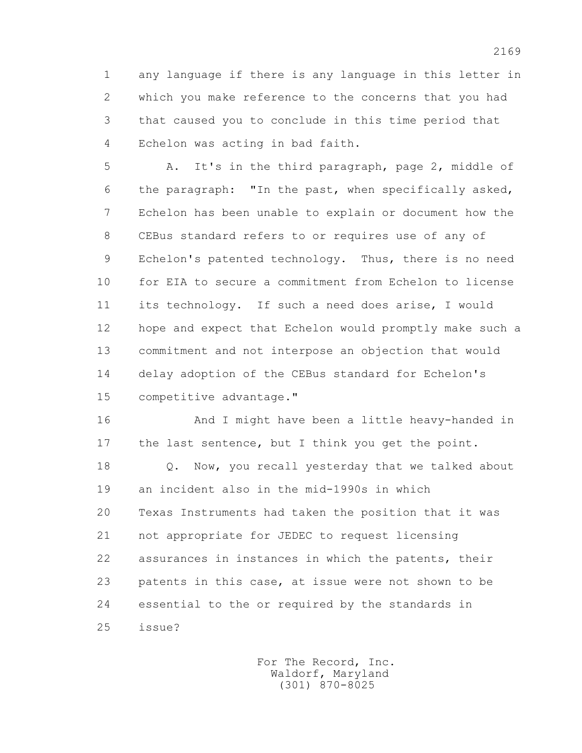1 any language if there is any language in this letter in 2 which you make reference to the concerns that you had 3 that caused you to conclude in this time period that 4 Echelon was acting in bad faith.

 5 A. It's in the third paragraph, page 2, middle of 6 the paragraph: "In the past, when specifically asked, 7 Echelon has been unable to explain or document how the 8 CEBus standard refers to or requires use of any of 9 Echelon's patented technology. Thus, there is no need 10 for EIA to secure a commitment from Echelon to license 11 its technology. If such a need does arise, I would 12 hope and expect that Echelon would promptly make such a 13 commitment and not interpose an objection that would 14 delay adoption of the CEBus standard for Echelon's 15 competitive advantage."

 16 And I might have been a little heavy-handed in 17 the last sentence, but I think you get the point.

 18 Q. Now, you recall yesterday that we talked about 19 an incident also in the mid-1990s in which 20 Texas Instruments had taken the position that it was 21 not appropriate for JEDEC to request licensing 22 assurances in instances in which the patents, their 23 patents in this case, at issue were not shown to be 24 essential to the or required by the standards in 25 issue?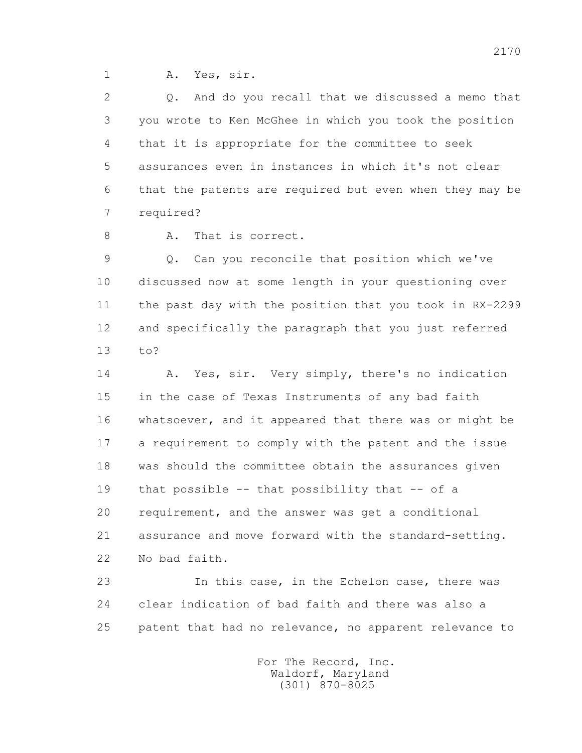1 A. Yes, sir.

 2 Q. And do you recall that we discussed a memo that 3 you wrote to Ken McGhee in which you took the position 4 that it is appropriate for the committee to seek 5 assurances even in instances in which it's not clear 6 that the patents are required but even when they may be 7 required?

8 A. That is correct.

 9 Q. Can you reconcile that position which we've 10 discussed now at some length in your questioning over 11 the past day with the position that you took in RX-2299 12 and specifically the paragraph that you just referred 13 to?

 14 A. Yes, sir. Very simply, there's no indication 15 in the case of Texas Instruments of any bad faith 16 whatsoever, and it appeared that there was or might be 17 a requirement to comply with the patent and the issue 18 was should the committee obtain the assurances given 19 that possible -- that possibility that -- of a 20 requirement, and the answer was get a conditional 21 assurance and move forward with the standard-setting. 22 No bad faith.

 23 In this case, in the Echelon case, there was 24 clear indication of bad faith and there was also a 25 patent that had no relevance, no apparent relevance to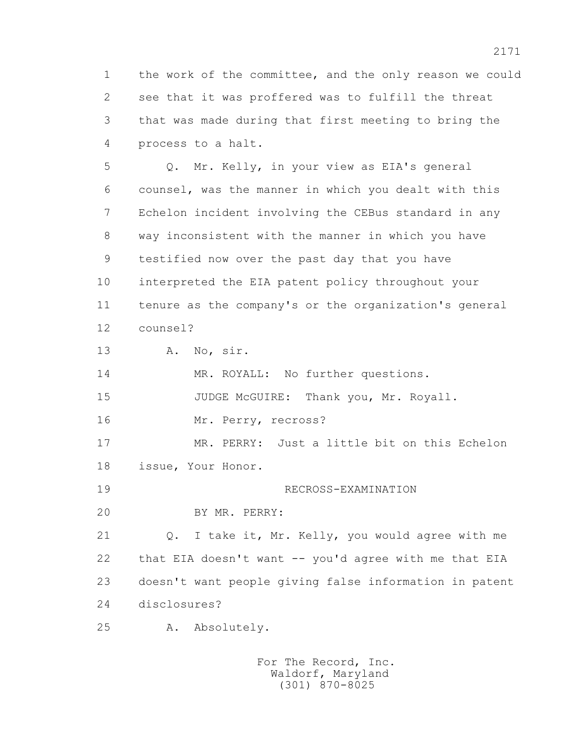1 the work of the committee, and the only reason we could 2 see that it was proffered was to fulfill the threat 3 that was made during that first meeting to bring the 4 process to a halt.

 5 Q. Mr. Kelly, in your view as EIA's general 6 counsel, was the manner in which you dealt with this 7 Echelon incident involving the CEBus standard in any 8 way inconsistent with the manner in which you have 9 testified now over the past day that you have 10 interpreted the EIA patent policy throughout your 11 tenure as the company's or the organization's general 12 counsel?

13 A. No, sir.

14 MR. ROYALL: No further questions.

15 JUDGE McGUIRE: Thank you, Mr. Royall.

16 Mr. Perry, recross?

 17 MR. PERRY: Just a little bit on this Echelon 18 issue, Your Honor.

19 RECROSS-EXAMINATION

20 BY MR. PERRY:

 21 Q. I take it, Mr. Kelly, you would agree with me 22 that EIA doesn't want -- you'd agree with me that EIA 23 doesn't want people giving false information in patent 24 disclosures?

25 A. Absolutely.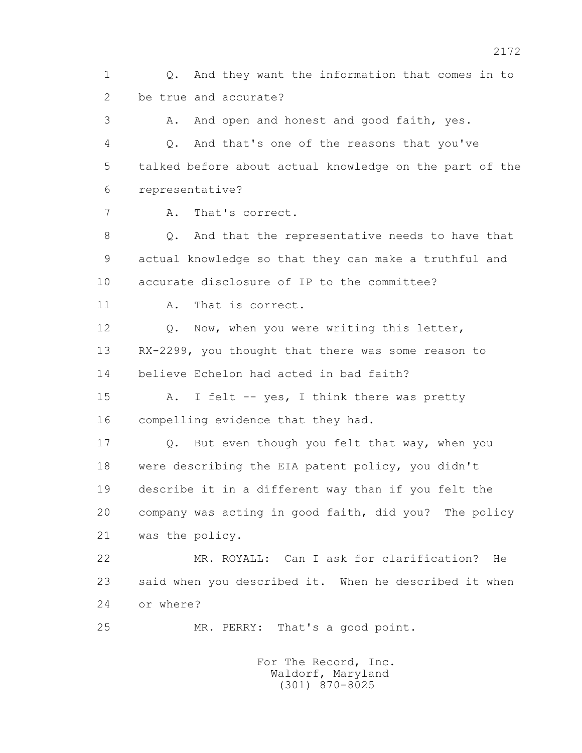1 Q. And they want the information that comes in to 2 be true and accurate?

3 A. And open and honest and good faith, yes. 4 Q. And that's one of the reasons that you've 5 talked before about actual knowledge on the part of the 6 representative?

7 A. That's correct.

 8 Q. And that the representative needs to have that 9 actual knowledge so that they can make a truthful and 10 accurate disclosure of IP to the committee?

11 A. That is correct.

 12 Q. Now, when you were writing this letter, 13 RX-2299, you thought that there was some reason to 14 believe Echelon had acted in bad faith?

15 A. I felt -- yes, I think there was pretty 16 compelling evidence that they had.

17 Q. But even though you felt that way, when you 18 were describing the EIA patent policy, you didn't 19 describe it in a different way than if you felt the 20 company was acting in good faith, did you? The policy 21 was the policy.

 22 MR. ROYALL: Can I ask for clarification? He 23 said when you described it. When he described it when 24 or where?

25 MR. PERRY: That's a good point.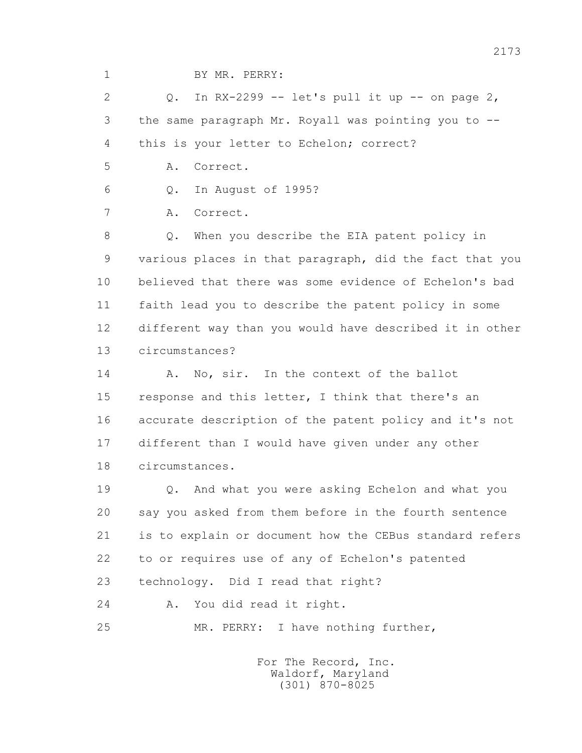1 BY MR. PERRY:

2  $Q$  Q. In RX-2299 -- let's pull it up -- on page 2, 3 the same paragraph Mr. Royall was pointing you to -- 4 this is your letter to Echelon; correct?

5 A. Correct.

6 Q. In August of 1995?

7 A. Correct.

 8 Q. When you describe the EIA patent policy in 9 various places in that paragraph, did the fact that you 10 believed that there was some evidence of Echelon's bad 11 faith lead you to describe the patent policy in some 12 different way than you would have described it in other 13 circumstances?

14 A. No. sir. In the context of the ballot 15 response and this letter, I think that there's an 16 accurate description of the patent policy and it's not 17 different than I would have given under any other 18 circumstances.

 19 Q. And what you were asking Echelon and what you 20 say you asked from them before in the fourth sentence 21 is to explain or document how the CEBus standard refers 22 to or requires use of any of Echelon's patented 23 technology. Did I read that right?

24 A. You did read it right.

25 MR. PERRY: I have nothing further,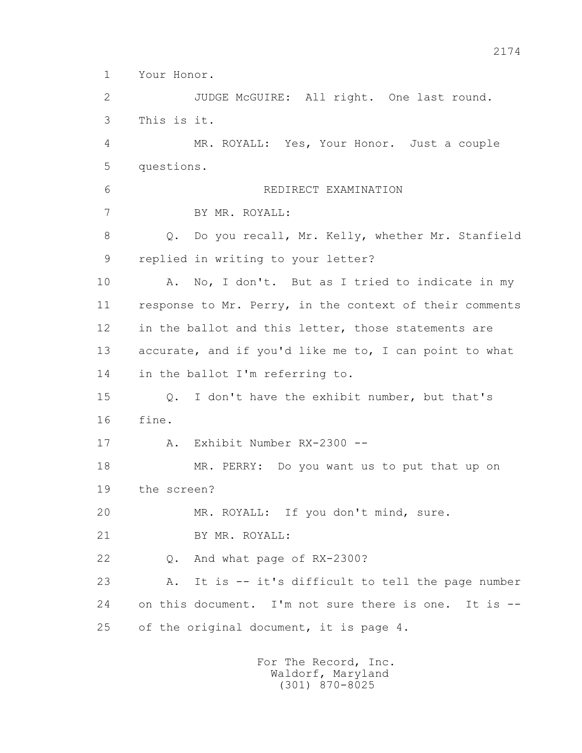1 Your Honor.

 2 JUDGE McGUIRE: All right. One last round. 3 This is it. 4 MR. ROYALL: Yes, Your Honor. Just a couple 5 questions. 6 REDIRECT EXAMINATION 7 BY MR. ROYALL: 8 Q. Do you recall, Mr. Kelly, whether Mr. Stanfield 9 replied in writing to your letter? 10 A. No, I don't. But as I tried to indicate in my 11 response to Mr. Perry, in the context of their comments 12 in the ballot and this letter, those statements are 13 accurate, and if you'd like me to, I can point to what 14 in the ballot I'm referring to. 15 Q. I don't have the exhibit number, but that's 16 fine. 17 A. Exhibit Number RX-2300 -- 18 MR. PERRY: Do you want us to put that up on 19 the screen? 20 MR. ROYALL: If you don't mind, sure. 21 BY MR. ROYALL: 22 Q. And what page of RX-2300? 23 A. It is -- it's difficult to tell the page number 24 on this document. I'm not sure there is one. It is -- 25 of the original document, it is page 4.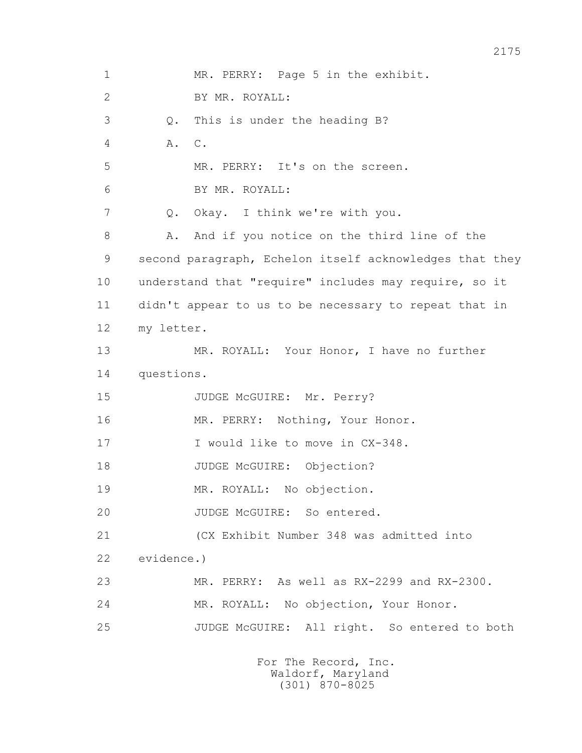1 MR. PERRY: Page 5 in the exhibit. 2 BY MR. ROYALL: 3 Q. This is under the heading B? 4 A. C. 5 MR. PERRY: It's on the screen. 6 BY MR. ROYALL: 7 Q. Okay. I think we're with you. 8 A. And if you notice on the third line of the 9 second paragraph, Echelon itself acknowledges that they 10 understand that "require" includes may require, so it 11 didn't appear to us to be necessary to repeat that in 12 my letter. 13 MR. ROYALL: Your Honor, I have no further 14 questions. 15 JUDGE McGUIRE: Mr. Perry? 16 MR. PERRY: Nothing, Your Honor. 17 I would like to move in CX-348. 18 JUDGE McGUIRE: Objection? 19 MR. ROYALL: No objection. 20 JUDGE McGUIRE: So entered. 21 (CX Exhibit Number 348 was admitted into 22 evidence.) 23 MR. PERRY: As well as RX-2299 and RX-2300. 24 MR. ROYALL: No objection, Your Honor. 25 JUDGE McGUIRE: All right. So entered to both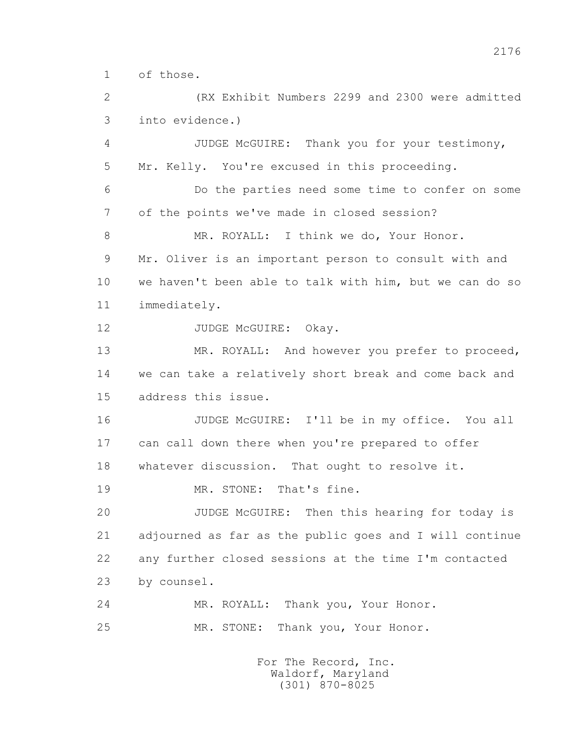1 of those.

 2 (RX Exhibit Numbers 2299 and 2300 were admitted 3 into evidence.)

 4 JUDGE McGUIRE: Thank you for your testimony, 5 Mr. Kelly. You're excused in this proceeding.

 6 Do the parties need some time to confer on some 7 of the points we've made in closed session?

8 MR. ROYALL: I think we do, Your Honor. 9 Mr. Oliver is an important person to consult with and 10 we haven't been able to talk with him, but we can do so 11 immediately.

12 JUDGE McGUIRE: Okay.

 13 MR. ROYALL: And however you prefer to proceed, 14 we can take a relatively short break and come back and 15 address this issue.

 16 JUDGE McGUIRE: I'll be in my office. You all 17 can call down there when you're prepared to offer 18 whatever discussion. That ought to resolve it.

19 MR. STONE: That's fine.

 20 JUDGE McGUIRE: Then this hearing for today is 21 adjourned as far as the public goes and I will continue 22 any further closed sessions at the time I'm contacted 23 by counsel.

 24 MR. ROYALL: Thank you, Your Honor. 25 MR. STONE: Thank you, Your Honor.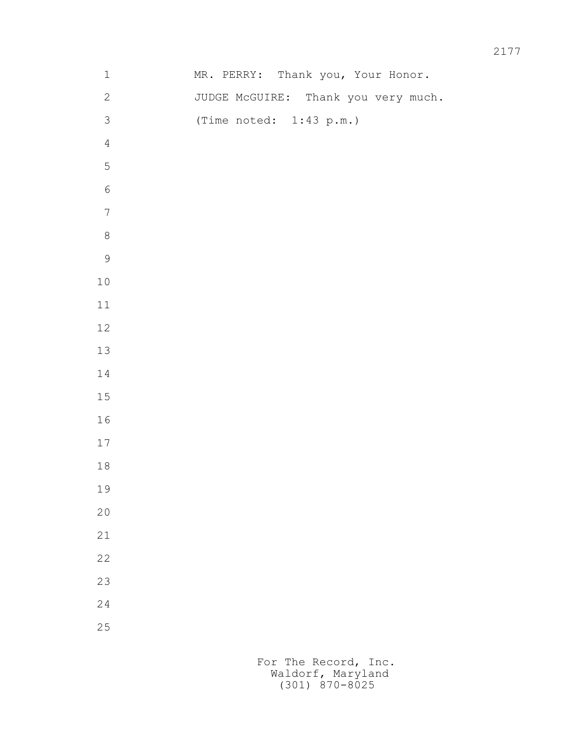| $\mathbf 1$      | MR. PERRY: Thank you, Your Honor.   |
|------------------|-------------------------------------|
| $\sqrt{2}$       | JUDGE McGUIRE: Thank you very much. |
| $\mathfrak{Z}$   | (Time noted: 1:43 p.m.)             |
| $\sqrt{4}$       |                                     |
| $\mathsf S$      |                                     |
| $\epsilon$       |                                     |
| $\boldsymbol{7}$ |                                     |
| $\,8\,$          |                                     |
| $\mathsf 9$      |                                     |
| $1\,0$           |                                     |
| $11$             |                                     |
| $12$             |                                     |
| 13               |                                     |
| $1\,4$           |                                     |
| $1\,5$           |                                     |
| $1\,6$           |                                     |
| $17$             |                                     |
| $1\,8$           |                                     |
| 19               |                                     |
| $20$             |                                     |
| $21\,$           |                                     |
| 22               |                                     |
| 23               |                                     |
| 24               |                                     |
| 25               |                                     |
|                  |                                     |